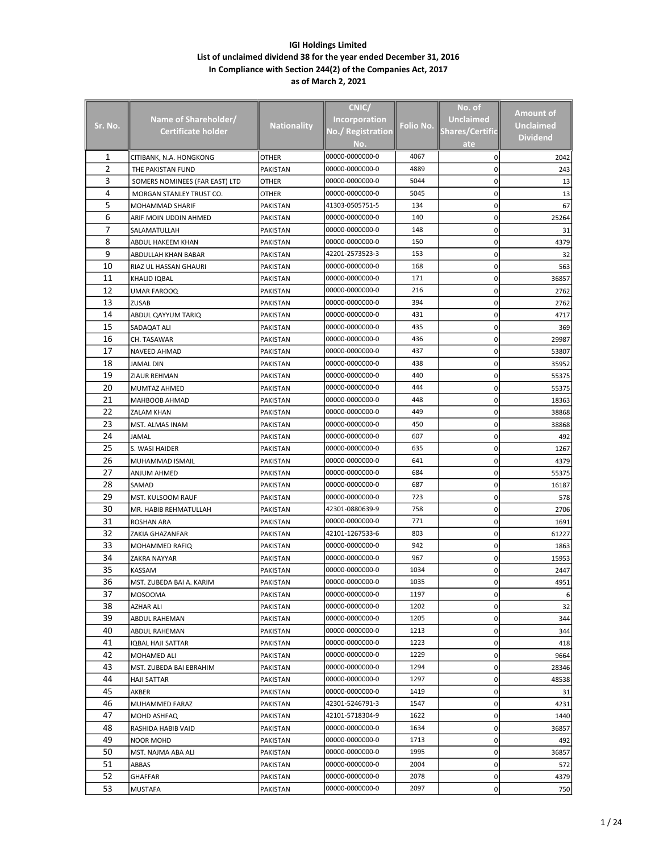|                |                                |                    | CNIC/                |           | No. of                 |                  |
|----------------|--------------------------------|--------------------|----------------------|-----------|------------------------|------------------|
|                | Name of Shareholder/           |                    | <b>Incorporation</b> |           | <b>Unclaimed</b>       | <b>Amount of</b> |
| Sr. No.        | Certificate holder             | <b>Nationality</b> | No./ Registration    | Folio No. | <b>Shares/Certific</b> | <b>Unclaimed</b> |
|                |                                |                    |                      |           |                        | <b>Dividend</b>  |
|                |                                |                    | No.                  |           | ate                    |                  |
| 1              | CITIBANK, N.A. HONGKONG        | OTHER              | 00000-0000000-0      | 4067      | 0                      | 2042             |
| $\overline{2}$ | THE PAKISTAN FUND              | PAKISTAN           | 00000-0000000-0      | 4889      | 0                      | 243              |
| 3              | SOMERS NOMINEES (FAR EAST) LTD | OTHER              | 00000-0000000-0      | 5044      | 0                      | 13               |
| 4              | MORGAN STANLEY TRUST CO.       | OTHER              | 00000-0000000-0      | 5045      | 0                      | 13               |
| 5              | MOHAMMAD SHARIF                | PAKISTAN           | 41303-0505751-5      | 134       | 0                      | 67               |
| 6              | ARIF MOIN UDDIN AHMED          | PAKISTAN           | 00000-0000000-0      | 140       | 0                      | 25264            |
| 7              | SALAMATULLAH                   | PAKISTAN           | 00000-0000000-0      | 148       | 0                      | 31               |
| 8              | ABDUL HAKEEM KHAN              | PAKISTAN           | 00000-0000000-0      | 150       | 0                      | 4379             |
| 9              | ABDULLAH KHAN BABAR            | PAKISTAN           | 42201-2573523-3      | 153       | 0                      | 32               |
| 10             | RIAZ UL HASSAN GHAURI          | PAKISTAN           | 00000-0000000-0      | 168       | 0                      | 563              |
| 11             | KHALID IQBAL                   | PAKISTAN           | 00000-0000000-0      | 171       | 0                      | 36857            |
| 12             | UMAR FAROOQ                    | PAKISTAN           | 00000-0000000-0      | 216       | 0                      | 2762             |
| 13             | <b>ZUSAB</b>                   | PAKISTAN           | 00000-0000000-0      | 394       | 0                      | 2762             |
| 14             | ABDUL QAYYUM TARIQ             | PAKISTAN           | 00000-0000000-0      | 431       | 0                      | 4717             |
| 15             | SADAQAT ALI                    | PAKISTAN           | 00000-0000000-0      | 435       | 0                      | 369              |
| 16             | CH. TASAWAR                    | PAKISTAN           | 00000-0000000-0      | 436       | 0                      | 29987            |
| 17             | NAVEED AHMAD                   | PAKISTAN           | 00000-0000000-0      | 437       | 0                      | 53807            |
| 18             | JAMAL DIN                      | PAKISTAN           | 00000-0000000-0      | 438       | 0                      | 35952            |
| 19             | ZIAUR REHMAN                   | PAKISTAN           | 00000-0000000-0      | 440       | 0                      | 55375            |
| 20             | MUMTAZ AHMED                   | PAKISTAN           | 00000-0000000-0      | 444       | 0                      | 55375            |
| 21             | MAHBOOB AHMAD                  | PAKISTAN           | 00000-0000000-0      | 448       | 0                      | 18363            |
| 22             | <b>ZALAM KHAN</b>              | PAKISTAN           | 00000-0000000-0      | 449       | 0                      | 38868            |
| 23             | MST. ALMAS INAM                | PAKISTAN           | 00000-0000000-0      | 450       | 0                      | 38868            |
| 24             | JAMAL                          | PAKISTAN           | 00000-0000000-0      | 607       | 0                      | 492              |
| 25             | S. WASI HAIDER                 | PAKISTAN           | 00000-0000000-0      | 635       | 0                      | 1267             |
| 26             | MUHAMMAD ISMAIL                | PAKISTAN           | 00000-0000000-0      | 641       | 0                      | 4379             |
| 27             | ANJUM AHMED                    | PAKISTAN           | 00000-0000000-0      | 684       | 0                      | 55375            |
| 28             | SAMAD                          | PAKISTAN           | 00000-0000000-0      | 687       | 0                      | 16187            |
| 29             | MST. KULSOOM RAUF              | PAKISTAN           | 00000-0000000-0      | 723       | 0                      | 578              |
| 30             | MR. HABIB REHMATULLAH          | PAKISTAN           | 42301-0880639-9      | 758       | 0                      | 2706             |
| 31             | ROSHAN ARA                     | PAKISTAN           | 00000-0000000-0      | 771       | 0                      | 1691             |
| 32             | ZAKIA GHAZANFAR                | PAKISTAN           | 42101-1267533-6      | 803       | 0                      | 61227            |
| 33             | MOHAMMED RAFIQ                 | PAKISTAN           | 00000-0000000-0      | 942       | 0                      | 1863             |
| 34             | ZAKRA NAYYAR                   | PAKISTAN           | 00000-0000000-0      | 967       | 0                      | 15953            |
| 35             | KASSAM                         | PAKISTAN           | 00000-0000000-0      | 1034      | 0                      | 2447             |
| 36             | MST. ZUBEDA BAI A. KARIM       | PAKISTAN           | 00000-0000000-0      | 1035      | 0                      | 4951             |
| 37             | <b>MOSOOMA</b>                 | PAKISTAN           | 00000-0000000-0      | 1197      | 0                      |                  |
| 38             | AZHAR ALI                      | PAKISTAN           | 00000-0000000-0      | 1202      | 0                      | 32               |
| 39             | ABDUL RAHEMAN                  | PAKISTAN           | 00000-0000000-0      | 1205      | 0                      | 344              |
| 40             | ABDUL RAHEMAN                  | PAKISTAN           | 00000-0000000-0      | 1213      | 0                      | 344              |
| 41             | IQBAL HAJI SATTAR              | PAKISTAN           | 00000-0000000-0      | 1223      | 0                      | 418              |
| 42             | MOHAMED ALI                    | PAKISTAN           | 00000-0000000-0      | 1229      | 0                      | 9664             |
| 43             | MST. ZUBEDA BAI EBRAHIM        | PAKISTAN           | 00000-0000000-0      | 1294      | 0                      | 28346            |
| 44             | HAJI SATTAR                    | PAKISTAN           | 00000-0000000-0      | 1297      | 0                      | 48538            |
| 45             | AKBER                          | PAKISTAN           | 00000-0000000-0      | 1419      | 0                      | 31               |
| 46             | MUHAMMED FARAZ                 | PAKISTAN           | 42301-5246791-3      | 1547      | 0                      | 4231             |
| 47             | MOHD ASHFAQ                    | PAKISTAN           | 42101-5718304-9      | 1622      | 0                      | 1440             |
| 48             | RASHIDA HABIB VAID             | PAKISTAN           | 00000-0000000-0      | 1634      | 0                      | 36857            |
| 49             | <b>NOOR MOHD</b>               | PAKISTAN           | 00000-0000000-0      | 1713      | 0                      | 492              |
| 50             | MST. NAJMA ABA ALI             | PAKISTAN           | 00000-0000000-0      | 1995      | 0                      | 36857            |
| 51             |                                | PAKISTAN           | 00000-0000000-0      | 2004      | 0                      |                  |
| 52             | ABBAS                          |                    | 00000-0000000-0      | 2078      |                        | 572              |
| 53             | GHAFFAR                        | PAKISTAN           | 00000-0000000-0      | 2097      | 0                      | 4379             |
|                | <b>MUSTAFA</b>                 | PAKISTAN           |                      |           | 0                      | 750              |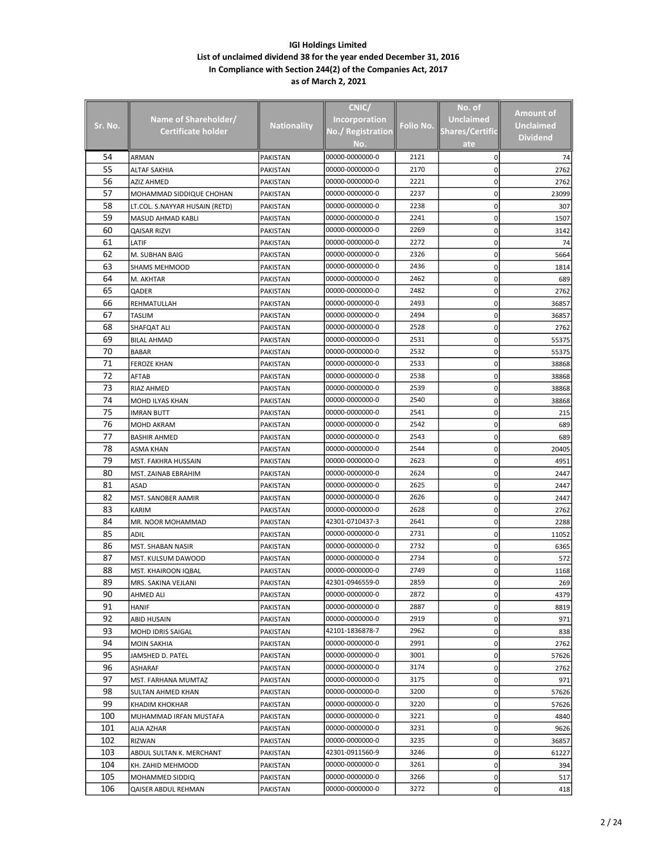|         |                                |                    | CNIC/                |           | No. of                 |                  |
|---------|--------------------------------|--------------------|----------------------|-----------|------------------------|------------------|
|         |                                |                    |                      |           |                        | Amount of        |
| Sr. No. | Name of Shareholder/           | <b>Nationality</b> | <b>Incorporation</b> | Folio No. | Unclaimed              | <b>Unclaimed</b> |
|         | Certificate holder             |                    | No./ Registration    |           | <b>Shares/Certific</b> | <b>Dividend</b>  |
|         |                                |                    | No.                  |           | ate                    |                  |
| 54      | <b>ARMAN</b>                   | <b>PAKISTAN</b>    | 00000-0000000-0      | 2121      | 0                      | 74               |
| 55      | ALTAF SAKHIA                   | <b>PAKISTAN</b>    | 00000-0000000-0      | 2170      | 0                      | 2762             |
| 56      | AZIZ AHMED                     | PAKISTAN           | 00000-0000000-0      | 2221      | 0                      | 2762             |
| 57      | MOHAMMAD SIDDIQUE CHOHAN       | PAKISTAN           | 00000-0000000-0      | 2237      | 0                      | 23099            |
| 58      | LT.COL. S.NAYYAR HUSAIN (RETD) | PAKISTAN           | 00000-0000000-0      | 2238      | 0                      | 307              |
| 59      | MASUD AHMAD KABLI              | <b>PAKISTAN</b>    | 00000-0000000-0      | 2241      | 0                      | 1507             |
| 60      | <b>QAISAR RIZVI</b>            | <b>PAKISTAN</b>    | 00000-0000000-0      | 2269      | 0                      | 3142             |
| 61      | LATIF                          | <b>PAKISTAN</b>    | 00000-0000000-0      | 2272      | 0                      | 74               |
| 62      | M. SUBHAN BAIG                 | PAKISTAN           | 00000-0000000-0      | 2326      | 0                      | 5664             |
| 63      | SHAMS MEHMOOD                  | PAKISTAN           | 00000-0000000-0      | 2436      | 0                      | 1814             |
| 64      | M. AKHTAR                      | PAKISTAN           | 00000-0000000-0      | 2462      | 0                      | 689              |
| 65      | QADER                          | PAKISTAN           | 00000-0000000-0      | 2482      | 0                      | 2762             |
| 66      | REHMATULLAH                    | <b>PAKISTAN</b>    | 00000-0000000-0      | 2493      | 0                      | 36857            |
| 67      | TASLIM                         | PAKISTAN           | 00000-0000000-0      | 2494      | 0                      | 36857            |
| 68      | SHAFQAT ALI                    | PAKISTAN           | 00000-0000000-0      | 2528      | 0                      | 2762             |
| 69      | <b>BILAL AHMAD</b>             | PAKISTAN           | 00000-0000000-0      | 2531      | 0                      | 55375            |
| 70      | <b>BABAR</b>                   | <b>PAKISTAN</b>    | 00000-0000000-0      | 2532      | 0                      | 55375            |
| 71      | <b>FEROZE KHAN</b>             | PAKISTAN           | 00000-0000000-0      | 2533      | 0                      | 38868            |
| 72      | AFTAB                          | <b>PAKISTAN</b>    | 00000-0000000-0      | 2538      | 0                      | 38868            |
| 73      | RIAZ AHMED                     | PAKISTAN           | 00000-0000000-0      | 2539      | 0                      | 38868            |
| 74      | MOHD ILYAS KHAN                | PAKISTAN           | 00000-0000000-0      | 2540      | 0                      | 38868            |
| 75      |                                |                    | 00000-0000000-0      | 2541      | 0                      |                  |
|         | <b>IMRAN BUTT</b>              | PAKISTAN           |                      |           |                        | 215              |
| 76      | MOHD AKRAM                     | <b>PAKISTAN</b>    | 00000-0000000-0      | 2542      | 0                      | 689              |
| 77      | <b>BASHIR AHMED</b>            | PAKISTAN           | 00000-0000000-0      | 2543      | 0                      | 689              |
| 78      | ASMA KHAN                      | <b>PAKISTAN</b>    | 00000-0000000-0      | 2544      | 0                      | 20405            |
| 79      | MST. FAKHRA HUSSAIN            | PAKISTAN           | 00000-0000000-0      | 2623      | 0                      | 4951             |
| 80      | MST. ZAINAB EBRAHIM            | PAKISTAN           | 00000-0000000-0      | 2624      | 0                      | 2447             |
| 81      | ASAD                           | PAKISTAN           | 00000-0000000-0      | 2625      | 0                      | 2447             |
| 82      | MST. SANOBER AAMIR             | PAKISTAN           | 00000-0000000-0      | 2626      | 0                      | 2447             |
| 83      | KARIM                          | PAKISTAN           | 00000-0000000-0      | 2628      | 0                      | 2762             |
| 84      | MR. NOOR MOHAMMAD              | PAKISTAN           | 42301-0710437-3      | 2641      | 0                      | 2288             |
| 85      | ADIL                           | <b>PAKISTAN</b>    | 00000-0000000-0      | 2731      | 0                      | 11052            |
| 86      | MST. SHABAN NASIR              | PAKISTAN           | 00000-0000000-0      | 2732      | 0                      | 6365             |
| 87      | MST. KULSUM DAWOOD             | PAKISTAN           | 00000-0000000-0      | 2734      | 0                      | 572              |
| 88      | MST. KHAIROON IQBAL            | PAKISTAN           | 00000-0000000-0      | 2749      | 0                      | 1168             |
| 89      | MRS. SAKINA VEJLANI            | PAKISTAN           | 42301-0946559-0      | 2859      | 0                      | 269              |
| 90      | AHMED ALI                      | PAKISTAN           | 00000-0000000-0      | 2872      | 0                      | 4379             |
| 91      | <b>HANIF</b>                   | PAKISTAN           | 00000-0000000-0      | 2887      | 0                      | 8819             |
| 92      | ABID HUSAIN                    | PAKISTAN           | 00000-0000000-0      | 2919      | 0                      | 971              |
| 93      | MOHD IDRIS SAIGAL              | PAKISTAN           | 42101-1836878-7      | 2962      | 0                      | 838              |
| 94      | <b>MOIN SAKHIA</b>             | PAKISTAN           | 00000-0000000-0      | 2991      | 0                      | 2762             |
| 95      | JAMSHED D. PATEL               | PAKISTAN           | 00000-0000000-0      | 3001      | 0                      | 57626            |
| 96      | ASHARAF                        | PAKISTAN           | 00000-0000000-0      | 3174      | 0                      | 2762             |
| 97      | MST. FARHANA MUMTAZ            | PAKISTAN           | 00000-0000000-0      | 3175      | 0                      | 971              |
| 98      | SULTAN AHMED KHAN              | PAKISTAN           | 00000-0000000-0      | 3200      | 0                      | 57626            |
| 99      | KHADIM KHOKHAR                 | PAKISTAN           | 00000-0000000-0      | 3220      | 0                      | 57626            |
| 100     | MUHAMMAD IRFAN MUSTAFA         | PAKISTAN           | 00000-0000000-0      | 3221      | 0                      | 4840             |
| 101     | ALIA AZHAR                     | PAKISTAN           | 00000-0000000-0      | 3231      | 0                      | 9626             |
| 102     | RIZWAN                         | PAKISTAN           | 00000-0000000-0      | 3235      | 0                      | 36857            |
| 103     | ABDUL SULTAN K. MERCHANT       |                    | 42301-0911560-9      | 3246      | 0                      | 61227            |
| 104     |                                | PAKISTAN           | 00000-0000000-0      | 3261      |                        |                  |
|         | KH. ZAHID MEHMOOD              | PAKISTAN           |                      |           | 0                      | 394              |
| 105     | MOHAMMED SIDDIQ                | PAKISTAN           | 00000-0000000-0      | 3266      | 0                      | 517              |
| 106     | QAISER ABDUL REHMAN            | PAKISTAN           | 00000-0000000-0      | 3272      | 0                      | 418              |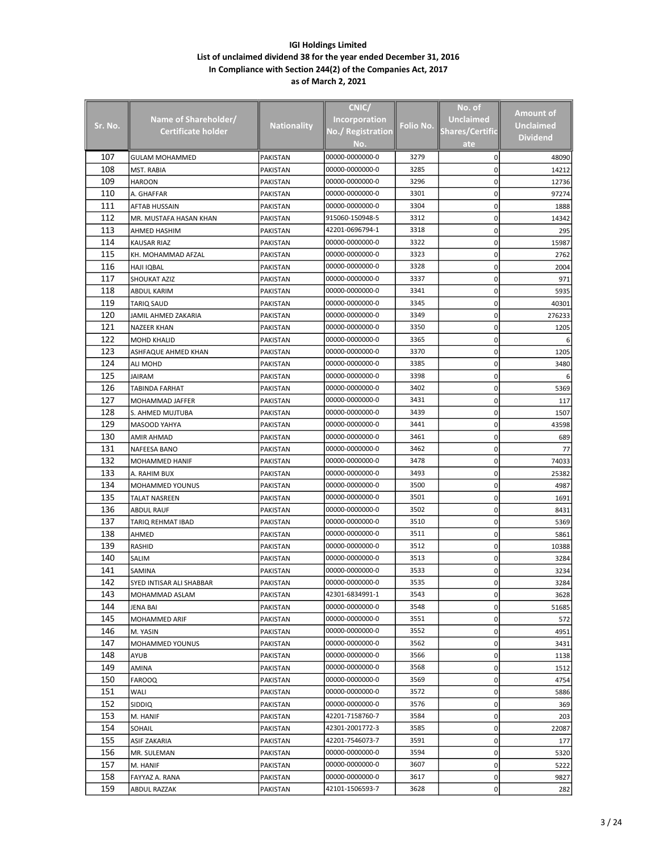|         |                            |                      | CNIC/                |           | No. of                 |                  |
|---------|----------------------------|----------------------|----------------------|-----------|------------------------|------------------|
|         | Name of Shareholder/       |                      | <b>Incorporation</b> |           | <b>Unclaimed</b>       | <b>Amount of</b> |
| Sr. No. | Certificate holder         | <b>Nationality</b>   | No./ Registration    | Folio No. | <b>Shares/Certific</b> | <b>Unclaimed</b> |
|         |                            |                      |                      |           |                        | <b>Dividend</b>  |
|         |                            |                      | No.                  |           | ate                    |                  |
| 107     | GULAM MOHAMMED             | <b>PAKISTAN</b>      | 00000-0000000-0      | 3279      | 0                      | 48090            |
| 108     | MST. RABIA                 | PAKISTAN             | 00000-0000000-0      | 3285      | 0                      | 14212            |
| 109     | <b>HAROON</b>              | PAKISTAN             | 00000-0000000-0      | 3296      | 0                      | 12736            |
| 110     | A. GHAFFAR                 | PAKISTAN             | 00000-0000000-0      | 3301      | 0                      | 97274            |
| 111     | <b>AFTAB HUSSAIN</b>       | PAKISTAN             | 00000-0000000-0      | 3304      | 0                      | 1888             |
| 112     | MR. MUSTAFA HASAN KHAN     | PAKISTAN             | 915060-150948-5      | 3312      | 0                      | 14342            |
| 113     | AHMED HASHIM               | PAKISTAN             | 42201-0696794-1      | 3318      | 0                      | 295              |
| 114     | <b>KAUSAR RIAZ</b>         | PAKISTAN             | 00000-0000000-0      | 3322      | 0                      | 15987            |
| 115     | KH. MOHAMMAD AFZAL         | PAKISTAN             | 00000-0000000-0      | 3323      | 0                      | 2762             |
| 116     | <b>HAJI IQBAL</b>          | PAKISTAN             | 00000-0000000-0      | 3328      | 0                      | 2004             |
| 117     | <b>SHOUKAT AZIZ</b>        | PAKISTAN             | 00000-0000000-0      | 3337      | 0                      | 971              |
| 118     | ABDUL KARIM                | PAKISTAN             | 00000-0000000-0      | 3341      | 0                      | 5935             |
| 119     | TARIQ SAUD                 | PAKISTAN             | 00000-0000000-0      | 3345      | 0                      | 40301            |
| 120     | JAMIL AHMED ZAKARIA        | PAKISTAN             | 00000-0000000-0      | 3349      | 0                      | 276233           |
| 121     | <b>NAZEER KHAN</b>         | PAKISTAN             | 00000-0000000-0      | 3350      | 0                      | 1205             |
| 122     | <b>MOHD KHALID</b>         | PAKISTAN             | 00000-0000000-0      | 3365      | 0                      | 6                |
| 123     | ASHFAQUE AHMED KHAN        | PAKISTAN             | 00000-0000000-0      | 3370      | 0                      | 1205             |
| 124     | ALI MOHD                   | PAKISTAN             | 00000-0000000-0      | 3385      | 0                      | 3480             |
| 125     | JAIRAM                     | PAKISTAN             | 00000-0000000-0      | 3398      | 0                      |                  |
| 126     | <b>TABINDA FARHAT</b>      | PAKISTAN             | 00000-0000000-0      | 3402      | 0                      | 5369             |
| 127     | MOHAMMAD JAFFER            | PAKISTAN             | 00000-0000000-0      | 3431      | 0                      | 117              |
| 128     | S. AHMED MUJTUBA           | PAKISTAN             | 00000-0000000-0      | 3439      | 0                      | 1507             |
| 129     | MASOOD YAHYA               | PAKISTAN             | 00000-0000000-0      | 3441      | 0                      | 43598            |
| 130     | AMIR AHMAD                 | PAKISTAN             | 00000-0000000-0      | 3461      | 0                      | 689              |
| 131     | <b>NAFEESA BANO</b>        | PAKISTAN             | 00000-0000000-0      | 3462      | 0                      | 77               |
| 132     | MOHAMMED HANIF             | PAKISTAN             | 00000-0000000-0      | 3478      | 0                      | 74033            |
| 133     | A. RAHIM BUX               | PAKISTAN             | 00000-0000000-0      | 3493      | 0                      | 25382            |
| 134     | MOHAMMED YOUNUS            |                      | 00000-0000000-0      | 3500      | 0                      | 4987             |
| 135     | TALAT NASREEN              | PAKISTAN<br>PAKISTAN | 00000-0000000-0      | 3501      | 0                      | 1691             |
| 136     | ABDUL RAUF                 |                      | 00000-0000000-0      | 3502      | 0                      | 8431             |
| 137     |                            | PAKISTAN             | 00000-0000000-0      | 3510      |                        |                  |
| 138     | TARIQ REHMAT IBAD<br>AHMED | PAKISTAN             |                      | 3511      | 0<br>0                 | 5369             |
| 139     |                            | PAKISTAN             | 00000-0000000-0      |           |                        | 5861             |
|         | RASHID                     | PAKISTAN             | 00000-0000000-0      | 3512      | 0                      | 10388            |
| 140     | SALIM                      | PAKISTAN             | 00000-0000000-0      | 3513      | 0                      | 3284             |
| 141     | SAMINA                     | PAKISTAN             | 00000-0000000-0      | 3533      | 0                      | 3234             |
| 142     | SYED INTISAR ALI SHABBAR   | PAKISTAN             | 00000-0000000-0      | 3535      | 0                      | 3284             |
| 143     | MOHAMMAD ASLAM             | PAKISTAN             | 42301-6834991-1      | 3543      | 0                      | 3628             |
| 144     | JENA BAI                   | PAKISTAN             | 00000-0000000-0      | 3548      | 0                      | 51685            |
| 145     | MOHAMMED ARIF              | <b>PAKISTAN</b>      | 00000-0000000-0      | 3551      | 0                      | 572              |
| 146     | M. YASIN                   | PAKISTAN             | 00000-0000000-0      | 3552      | 0                      | 4951             |
| 147     | MOHAMMED YOUNUS            | PAKISTAN             | 00000-0000000-0      | 3562      | 0                      | 3431             |
| 148     | AYUB                       | PAKISTAN             | 00000-0000000-0      | 3566      | 0                      | 1138             |
| 149     | AMINA                      | PAKISTAN             | 00000-0000000-0      | 3568      | 0                      | 1512             |
| 150     | <b>FAROOQ</b>              | PAKISTAN             | 00000-0000000-0      | 3569      | 0                      | 4754             |
| 151     | WALI                       | PAKISTAN             | 00000-0000000-0      | 3572      | 0                      | 5886             |
| 152     | SIDDIQ                     | PAKISTAN             | 00000-0000000-0      | 3576      | 0                      | 369              |
| 153     | M. HANIF                   | PAKISTAN             | 42201-7158760-7      | 3584      | 0                      | 203              |
| 154     | SOHAIL                     | PAKISTAN             | 42301-2001772-3      | 3585      | 0                      | 22087            |
| 155     | ASIF ZAKARIA               | PAKISTAN             | 42201-7546073-7      | 3591      | 0                      | 177              |
| 156     | MR. SULEMAN                | PAKISTAN             | 00000-0000000-0      | 3594      | 0                      | 5320             |
| 157     | M. HANIF                   | PAKISTAN             | 00000-0000000-0      | 3607      | 0                      | 5222             |
| 158     | FAYYAZ A. RANA             | PAKISTAN             | 00000-0000000-0      | 3617      | 0                      | 9827             |
| 159     | ABDUL RAZZAK               | PAKISTAN             | 42101-1506593-7      | 3628      | 0                      | 282              |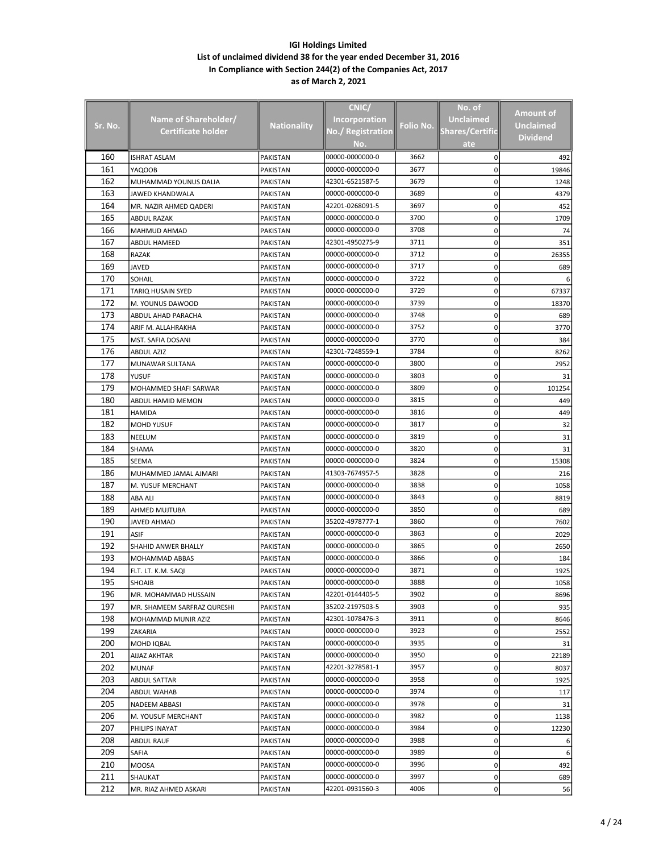|         |                             |                    | CNIC/                |              | No. of                 | <b>Amount of</b> |
|---------|-----------------------------|--------------------|----------------------|--------------|------------------------|------------------|
| Sr. No. | Name of Shareholder/        | <b>Nationality</b> | <b>Incorporation</b> | Folio No.    | <b>Unclaimed</b>       | <b>Unclaimed</b> |
|         | <b>Certificate holder</b>   |                    | No./ Registration    |              | <b>Shares/Certific</b> | <b>Dividend</b>  |
|         |                             |                    | No.                  |              | ate                    |                  |
| 160     | ISHRAT ASLAM                | <b>PAKISTAN</b>    | 00000-0000000-0      | 3662         | 0                      | 492              |
| 161     | YAQOOB                      | PAKISTAN           | 00000-0000000-0      | 3677         | 0                      | 19846            |
| 162     | MUHAMMAD YOUNUS DALIA       | PAKISTAN           | 42301-6521587-5      | 3679         | 0                      | 1248             |
| 163     | JAWED KHANDWALA             | PAKISTAN           | 00000-0000000-0      | 3689         | 0                      | 4379             |
| 164     | MR. NAZIR AHMED QADERI      | PAKISTAN           | 42201-0268091-5      | 3697         | 0                      | 452              |
| 165     | ABDUL RAZAK                 | PAKISTAN           | 00000-0000000-0      | 3700         | 0                      | 1709             |
| 166     | MAHMUD AHMAD                | PAKISTAN           | 00000-0000000-0      | 3708         | 0                      | 74               |
| 167     | ABDUL HAMEED                | PAKISTAN           | 42301-4950275-9      | 3711         | 0                      | 351              |
| 168     | RAZAK                       | PAKISTAN           | 00000-0000000-0      | 3712         | 0                      | 26355            |
| 169     | JAVED                       | PAKISTAN           | 00000-0000000-0      | 3717         | 0                      | 689              |
| 170     | SOHAIL                      | PAKISTAN           | 00000-0000000-0      | 3722         | 0                      |                  |
| 171     | TARIQ HUSAIN SYED           | PAKISTAN           | 00000-0000000-0      | 3729         | 0                      | 67337            |
| 172     | M. YOUNUS DAWOOD            | PAKISTAN           | 00000-0000000-0      | 3739         | 0                      | 18370            |
| 173     | ABDUL AHAD PARACHA          | PAKISTAN           | 00000-0000000-0      | 3748         | 0                      | 689              |
| 174     | ARIF M. ALLAHRAKHA          | PAKISTAN           | 00000-0000000-0      | 3752         | 0                      | 3770             |
| 175     | MST. SAFIA DOSANI           | PAKISTAN           | 00000-0000000-0      | 3770         | 0                      | 384              |
| 176     | ABDUL AZIZ                  | <b>PAKISTAN</b>    | 42301-7248559-1      | 3784         | 0                      | 8262             |
| 177     | MUNAWAR SULTANA             | PAKISTAN           | 00000-0000000-0      | 3800         | 0                      | 2952             |
| 178     | YUSUF                       | PAKISTAN           | 00000-0000000-0      | 3803         | 0                      | 31               |
| 179     | MOHAMMED SHAFI SARWAR       | PAKISTAN           | 00000-0000000-0      | 3809         | 0                      | 101254           |
| 180     | ABDUL HAMID MEMON           | PAKISTAN           | 00000-0000000-0      | 3815         | 0                      | 449              |
| 181     | <b>HAMIDA</b>               | PAKISTAN           | 00000-0000000-0      | 3816         | 0                      | 449              |
| 182     | <b>MOHD YUSUF</b>           | PAKISTAN           | 00000-0000000-0      | 3817         | 0                      | 32               |
| 183     | NEELUM                      | PAKISTAN           | 00000-0000000-0      | 3819         | 0                      | 31               |
| 184     | SHAMA                       | PAKISTAN           | 00000-0000000-0      | 3820         | 0                      | 31               |
| 185     | SEEMA                       | PAKISTAN           | 00000-0000000-0      | 3824         | 0                      | 15308            |
| 186     | MUHAMMED JAMAL AJMARI       | PAKISTAN           | 41303-7674957-5      | 3828         | 0                      | 216              |
| 187     |                             |                    | 00000-0000000-0      | 3838         | 0                      | 1058             |
| 188     | M. YUSUF MERCHANT           | PAKISTAN           | 00000-0000000-0      | 3843         | 0                      |                  |
| 189     | ABA ALI                     | PAKISTAN           |                      | 3850         |                        | 8819             |
| 190     | AHMED MUJTUBA               | PAKISTAN           | 00000-0000000-0      |              | 0                      | 689              |
| 191     | JAVED AHMAD                 | PAKISTAN           | 35202-4978777-1      | 3860<br>3863 | 0                      | 7602             |
|         | ASIF                        | PAKISTAN           | 00000-0000000-0      |              | 0                      | 2029             |
| 192     | <b>SHAHID ANWER BHALLY</b>  | PAKISTAN           | 00000-0000000-0      | 3865         | 0                      | 2650             |
| 193     | MOHAMMAD ABBAS              | <b>PAKISTAN</b>    | 00000-0000000-0      | 3866         | 0                      | 184              |
| 194     | FLT. LT. K.M. SAQI          | PAKISTAN           | 00000-0000000-0      | 3871         | 0                      | 1925             |
| 195     | SHOAIB                      | PAKISTAN           | 00000-0000000-0      | 3888         | 0                      | 1058             |
| 196     | MR. MOHAMMAD HUSSAIN        | PAKISTAN           | 42201-0144405-5      | 3902         | 0                      | 8696             |
| 197     | MR. SHAMEEM SARFRAZ QURESHI | PAKISTAN           | 35202-2197503-5      | 3903         | 0                      | 935              |
| 198     | MOHAMMAD MUNIR AZIZ         | <b>PAKISTAN</b>    | 42301-1078476-3      | 3911         | 0                      | 8646             |
| 199     | ZAKARIA                     | PAKISTAN           | 00000-0000000-0      | 3923         | 0                      | 2552             |
| 200     | <b>MOHD IQBAL</b>           | PAKISTAN           | 00000-0000000-0      | 3935         | 0                      | 31               |
| 201     | AIJAZ AKHTAR                | PAKISTAN           | 00000-0000000-0      | 3950         | 0                      | 22189            |
| 202     | <b>MUNAF</b>                | PAKISTAN           | 42201-3278581-1      | 3957         | 0                      | 8037             |
| 203     | ABDUL SATTAR                | PAKISTAN           | 00000-0000000-0      | 3958         | 0                      | 1925             |
| 204     | ABDUL WAHAB                 | PAKISTAN           | 00000-0000000-0      | 3974         | 0                      | 117              |
| 205     | NADEEM ABBASI               | PAKISTAN           | 00000-0000000-0      | 3978         | 0                      | 31               |
| 206     | M. YOUSUF MERCHANT          | <b>PAKISTAN</b>    | 00000-0000000-0      | 3982         | 0                      | 1138             |
| 207     | PHILIPS INAYAT              | PAKISTAN           | 00000-0000000-0      | 3984         | 0                      | 12230            |
| 208     | <b>ABDUL RAUF</b>           | PAKISTAN           | 00000-0000000-0      | 3988         | 0                      |                  |
| 209     | SAFIA                       | PAKISTAN           | 00000-0000000-0      | 3989         | 0                      | 6                |
| 210     | MOOSA                       | PAKISTAN           | 00000-0000000-0      | 3996         | 0                      | 492              |
| 211     | SHAUKAT                     | PAKISTAN           | 00000-0000000-0      | 3997         | 0                      | 689              |
| 212     | MR. RIAZ AHMED ASKARI       | PAKISTAN           | 42201-0931560-3      | 4006         | 0                      | 56               |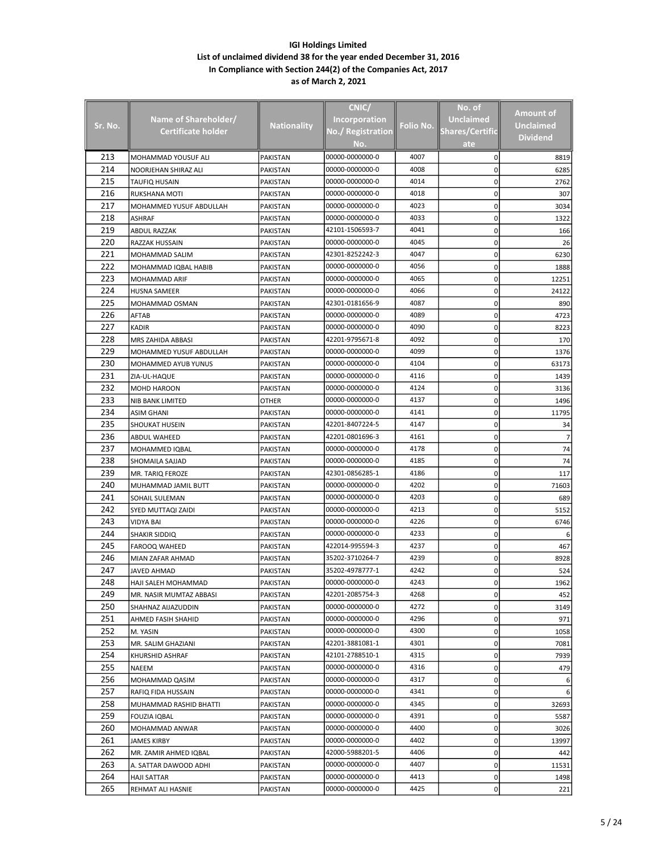|         |                         |                    | CNIC/                |           | No. of                 |                  |
|---------|-------------------------|--------------------|----------------------|-----------|------------------------|------------------|
|         | Name of Shareholder/    |                    | <b>Incorporation</b> |           | <b>Unclaimed</b>       | <b>Amount of</b> |
| Sr. No. | Certificate holder      | <b>Nationality</b> | No./ Registration    | Folio No. | <b>Shares/Certific</b> | <b>Unclaimed</b> |
|         |                         |                    | No.                  |           | ate                    | <b>Dividend</b>  |
| 213     | MOHAMMAD YOUSUF ALI     | <b>PAKISTAN</b>    | 00000-0000000-0      | 4007      | 0                      | 8819             |
| 214     | NOORJEHAN SHIRAZ ALI    | PAKISTAN           | 00000-0000000-0      | 4008      | 0                      | 6285             |
| 215     | TAUFIQ HUSAIN           | PAKISTAN           | 00000-0000000-0      | 4014      | 0                      | 2762             |
| 216     | RUKSHANA MOTI           | PAKISTAN           | 00000-0000000-0      | 4018      | 0                      | 307              |
| 217     | MOHAMMED YUSUF ABDULLAH | PAKISTAN           | 00000-0000000-0      | 4023      | 0                      | 3034             |
| 218     | ASHRAF                  | PAKISTAN           | 00000-0000000-0      | 4033      | 0                      | 1322             |
| 219     | <b>ABDUL RAZZAK</b>     | PAKISTAN           | 42101-1506593-7      | 4041      | 0                      | 166              |
| 220     | RAZZAK HUSSAIN          | PAKISTAN           | 00000-0000000-0      | 4045      | 0                      | 26               |
| 221     | MOHAMMAD SALIM          | PAKISTAN           | 42301-8252242-3      | 4047      | 0                      | 6230             |
| 222     | MOHAMMAD IQBAL HABIB    | PAKISTAN           | 00000-0000000-0      | 4056      | 0                      | 1888             |
| 223     | MOHAMMAD ARIF           | PAKISTAN           | 00000-0000000-0      | 4065      | 0                      | 12251            |
| 224     | HUSNA SAMEER            | PAKISTAN           | 00000-0000000-0      | 4066      | 0                      | 24122            |
| 225     | MOHAMMAD OSMAN          | PAKISTAN           | 42301-0181656-9      | 4087      | 0                      | 890              |
| 226     | AFTAB                   | PAKISTAN           | 00000-0000000-0      | 4089      | 0                      | 4723             |
| 227     | KADIR                   | PAKISTAN           | 00000-0000000-0      | 4090      | 0                      | 8223             |
| 228     | MRS ZAHIDA ABBASI       | PAKISTAN           | 42201-9795671-8      | 4092      | 0                      | 170              |
| 229     | MOHAMMED YUSUF ABDULLAH | PAKISTAN           | 00000-0000000-0      | 4099      | 0                      | 1376             |
| 230     | MOHAMMED AYUB YUNUS     | PAKISTAN           | 00000-0000000-0      | 4104      | 0                      | 63173            |
| 231     | ZIA-UL-HAQUE            | PAKISTAN           | 00000-0000000-0      | 4116      | 0                      | 1439             |
| 232     | MOHD HAROON             | PAKISTAN           | 00000-0000000-0      | 4124      | 0                      | 3136             |
| 233     | <b>NIB BANK LIMITED</b> | OTHER              | 00000-0000000-0      | 4137      | 0                      | 1496             |
| 234     | ASIM GHANI              | PAKISTAN           | 00000-0000000-0      | 4141      | 0                      | 11795            |
| 235     | SHOUKAT HUSEIN          | PAKISTAN           | 42201-8407224-5      | 4147      | 0                      | 34               |
| 236     | <b>ABDUL WAHEED</b>     | PAKISTAN           | 42201-0801696-3      | 4161      | 0                      |                  |
| 237     | MOHAMMED IQBAL          | PAKISTAN           | 00000-0000000-0      | 4178      | 0                      | 74               |
| 238     | SHOMAILA SAJJAD         | PAKISTAN           | 00000-0000000-0      | 4185      | 0                      | 74               |
| 239     | MR. TARIQ FEROZE        | PAKISTAN           | 42301-0856285-1      | 4186      | 0                      | 117              |
| 240     | MUHAMMAD JAMIL BUTT     | PAKISTAN           | 00000-0000000-0      | 4202      | 0                      | 71603            |
| 241     | SOHAIL SULEMAN          | PAKISTAN           | 00000-0000000-0      | 4203      | 0                      | 689              |
| 242     | SYED MUTTAQI ZAIDI      | PAKISTAN           | 00000-0000000-0      | 4213      | 0                      | 5152             |
| 243     | VIDYA BAI               | PAKISTAN           | 00000-0000000-0      | 4226      | 0                      | 6746             |
| 244     | SHAKIR SIDDIQ           | <b>PAKISTAN</b>    | 00000-0000000-0      | 4233      | 0                      | 6                |
| 245     | <b>FAROOQ WAHEED</b>    | PAKISTAN           | 422014-995594-3      | 4237      | 0                      | 467              |
| 246     | MIAN ZAFAR AHMAD        | PAKISTAN           | 35202-3710264-7      | 4239      | 0                      | 8928             |
| 247     | <b>JAVED AHMAD</b>      | PAKISTAN           | 35202-4978777-1      | 4242      | 0                      | 524              |
| 248     | HAJI SALEH MOHAMMAD     | PAKISTAN           | 00000-0000000-0      | 4243      | 0                      | 1962             |
| 249     | MR. NASIR MUMTAZ ABBASI | PAKISTAN           | 42201-2085754-3      | 4268      | 0                      | 452              |
| 250     | SHAHNAZ AIJAZUDDIN      | PAKISTAN           | 00000-0000000-0      | 4272      | 0                      | 3149             |
| 251     | AHMED FASIH SHAHID      | PAKISTAN           | 00000-0000000-0      | 4296      | 0                      | 971              |
| 252     | M. YASIN                | PAKISTAN           | 00000-0000000-0      | 4300      | 0                      | 1058             |
| 253     | MR. SALIM GHAZIANI      | PAKISTAN           | 42201-3881081-1      | 4301      | 0                      | 7081             |
| 254     | KHURSHID ASHRAF         | PAKISTAN           | 42101-2788510-1      | 4315      | 0                      | 7939             |
| 255     | NAEEM                   | PAKISTAN           | 00000-0000000-0      | 4316      | 0                      | 479              |
| 256     | MOHAMMAD QASIM          | PAKISTAN           | 00000-0000000-0      | 4317      | 0                      |                  |
| 257     | RAFIQ FIDA HUSSAIN      | PAKISTAN           | 00000-0000000-0      | 4341      | 0                      |                  |
| 258     | MUHAMMAD RASHID BHATTI  | PAKISTAN           | 00000-0000000-0      | 4345      | 0                      | 32693            |
| 259     | <b>FOUZIA IQBAL</b>     | PAKISTAN           | 00000-0000000-0      | 4391      | 0                      | 5587             |
| 260     | MOHAMMAD ANWAR          | PAKISTAN           | 00000-0000000-0      | 4400      | 0                      | 3026             |
| 261     | JAMES KIRBY             | PAKISTAN           | 00000-0000000-0      | 4402      | 0                      | 13997            |
| 262     | MR. ZAMIR AHMED IQBAL   | PAKISTAN           | 42000-5988201-5      | 4406      | 0                      | 442              |
| 263     | A. SATTAR DAWOOD ADHI   | PAKISTAN           | 00000-0000000-0      | 4407      | 0                      | 11531            |
| 264     | <b>HAJI SATTAR</b>      | PAKISTAN           | 00000-0000000-0      | 4413      | 0                      | 1498             |
| 265     | REHMAT ALI HASNIE       | PAKISTAN           | 00000-0000000-0      | 4425      | 0                      | 221              |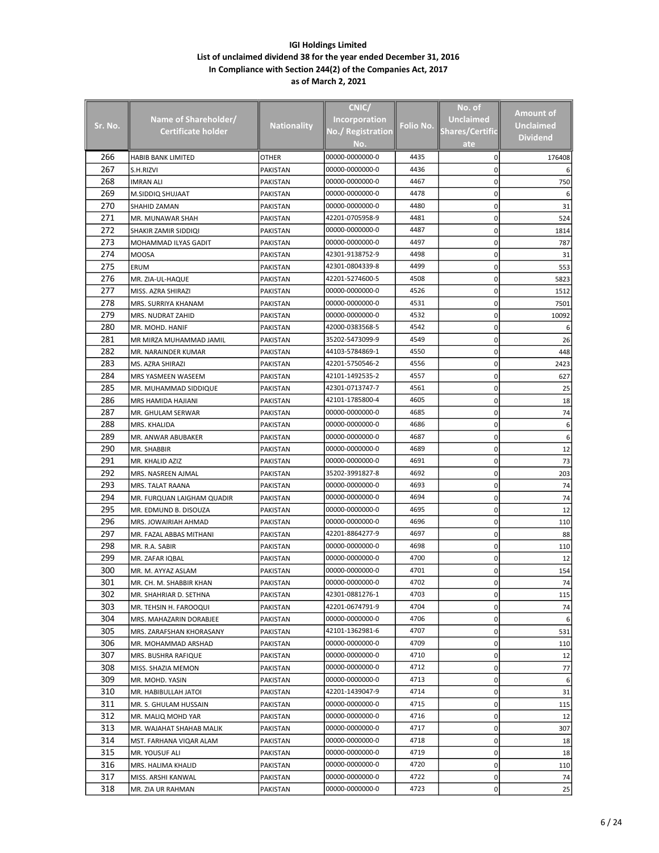|                |                            |                    | CNIC/                    |           | No. of                 |                 |
|----------------|----------------------------|--------------------|--------------------------|-----------|------------------------|-----------------|
|                | Name of Shareholder/       |                    | <b>Incorporation</b>     |           | <b>Unclaimed</b>       | Amount of       |
| <u>Sr. No.</u> | <b>Certificate holder</b>  | <b>Nationality</b> | <b>No./ Registration</b> | Folio No. | <b>Shares/Certific</b> | Unclaimed       |
|                |                            |                    | No.                      |           | ate                    | <b>Dividend</b> |
| 266            | HABIB BANK LIMITED         | <b>OTHER</b>       | 00000-0000000-0          | 4435      | 0                      | 176408          |
| 267            | S.H.RIZVI                  | PAKISTAN           | 00000-0000000-0          | 4436      | 0                      |                 |
| 268            | <b>IMRAN ALI</b>           | PAKISTAN           | 00000-0000000-0          | 4467      | 0                      | 750             |
| 269            | M.SIDDIQ SHUJAAT           | PAKISTAN           | 00000-0000000-0          | 4478      | 0                      |                 |
| 270            | SHAHID ZAMAN               | PAKISTAN           | 00000-0000000-0          | 4480      | 0                      | 31              |
| 271            | MR. MUNAWAR SHAH           | PAKISTAN           | 42201-0705958-9          | 4481      | 0                      | 524             |
| 272            | SHAKIR ZAMIR SIDDIQI       | <b>PAKISTAN</b>    | 00000-0000000-0          | 4487      | 0                      | 1814            |
| 273            | MOHAMMAD ILYAS GADIT       | PAKISTAN           | 00000-0000000-0          | 4497      | 0                      | 787             |
| 274            | <b>MOOSA</b>               | PAKISTAN           | 42301-9138752-9          | 4498      | 0                      | 31              |
| 275            | ERUM                       | PAKISTAN           | 42301-0804339-8          | 4499      | 0                      | 553             |
| 276            | MR. ZIA-UL-HAQUE           | PAKISTAN           | 42201-5274600-5          | 4508      | 0                      | 5823            |
| 277            | MISS. AZRA SHIRAZI         | PAKISTAN           | 00000-0000000-0          | 4526      | 0                      | 1512            |
| 278            | MRS. SURRIYA KHANAM        | PAKISTAN           | 00000-0000000-0          | 4531      | 0                      | 7501            |
| 279            | MRS. NUDRAT ZAHID          | PAKISTAN           | 00000-0000000-0          | 4532      | 0                      | 10092           |
| 280            | MR. MOHD. HANIF            | PAKISTAN           | 42000-0383568-5          | 4542      | 0                      |                 |
| 281            | MR MIRZA MUHAMMAD JAMIL    | PAKISTAN           | 35202-5473099-9          | 4549      | 0                      | 26              |
| 282            | MR. NARAINDER KUMAR        | PAKISTAN           | 44103-5784869-1          | 4550      | 0                      | 448             |
| 283            | MS. AZRA SHIRAZI           | PAKISTAN           | 42201-5750546-2          | 4556      | 0                      | 2423            |
| 284            | MRS YASMEEN WASEEM         | PAKISTAN           | 42101-1492535-2          | 4557      | 0                      | 627             |
| 285            | MR. MUHAMMAD SIDDIQUE      | PAKISTAN           | 42301-0713747-7          | 4561      | 0                      | 25              |
| 286            | MRS HAMIDA HAJIANI         | PAKISTAN           | 42101-1785800-4          | 4605      | 0                      | 18              |
| 287            | MR. GHULAM SERWAR          | PAKISTAN           | 00000-0000000-0          | 4685      | 0                      | 74              |
| 288            | MRS. KHALIDA               | PAKISTAN           | 00000-0000000-0          | 4686      | 0                      | 6               |
| 289            | MR. ANWAR ABUBAKER         | PAKISTAN           | 00000-0000000-0          | 4687      | 0                      | 6               |
| 290            | MR. SHABBIR                | PAKISTAN           | 00000-0000000-0          | 4689      | 0                      | 12              |
| 291            | MR. KHALID AZIZ            | PAKISTAN           | 00000-0000000-0          | 4691      | 0                      | 73              |
| 292            | MRS. NASREEN AJMAL         | PAKISTAN           | 35202-3991827-8          | 4692      | 0                      | 203             |
| 293            | MRS. TALAT RAANA           | PAKISTAN           | 00000-0000000-0          | 4693      | 0                      | 74              |
| 294            | MR. FURQUAN LAIGHAM QUADIR | PAKISTAN           | 00000-0000000-0          | 4694      | 0                      | 74              |
| 295            | MR. EDMUND B. DISOUZA      | PAKISTAN           | 00000-0000000-0          | 4695      | 0                      | 12              |
| 296            | MRS. JOWAIRIAH AHMAD       | PAKISTAN           | 00000-0000000-0          | 4696      | 0                      | 110             |
| 297            | MR. FAZAL ABBAS MITHANI    | PAKISTAN           | 42201-8864277-9          | 4697      | 0                      | 88              |
| 298            | MR. R.A. SABIR             | PAKISTAN           | 00000-0000000-0          | 4698      | 0                      | 110             |
| 299            | MR. ZAFAR IQBAL            | PAKISTAN           | 00000-0000000-0          | 4700      | 0                      | 12              |
| 300            | MR. M. AYYAZ ASLAM         | PAKISTAN           | 00000-0000000-0          | 4701      | 0                      | 154             |
| 301            | MR. CH. M. SHABBIR KHAN    | PAKISTAN           | 00000-0000000-0          | 4702      | 0                      | 74              |
| 302            | MR. SHAHRIAR D. SETHNA     | PAKISTAN           | 42301-0881276-1          | 4703      | 0                      | 115             |
| 303            | MR. TEHSIN H. FAROOQUI     | PAKISTAN           | 42201-0674791-9          | 4704      | 0                      | 74              |
| 304            | MRS. MAHAZARIN DORABJEE    | PAKISTAN           | 00000-0000000-0          | 4706      | 0                      |                 |
| 305            | MRS. ZARAFSHAN KHORASANY   | PAKISTAN           | 42101-1362981-6          | 4707      | 0                      | 531             |
| 306            | MR. MOHAMMAD ARSHAD        | PAKISTAN           | 00000-0000000-0          | 4709      | 0                      | 110             |
| 307            | MRS. BUSHRA RAFIQUE        | PAKISTAN           | 00000-0000000-0          | 4710      | 0                      | 12              |
| 308            | MISS. SHAZIA MEMON         | PAKISTAN           | 00000-0000000-0          | 4712      | 0                      | 77              |
| 309            | MR. MOHD. YASIN            | PAKISTAN           | 00000-0000000-0          | 4713      | 0                      |                 |
| 310            | MR. HABIBULLAH JATOI       | PAKISTAN           | 42201-1439047-9          | 4714      | 0                      | 31              |
| 311            | MR. S. GHULAM HUSSAIN      | PAKISTAN           | 00000-0000000-0          | 4715      | 0                      | 115             |
| 312            | MR. MALIQ MOHD YAR         | PAKISTAN           | 00000-0000000-0          | 4716      | 0                      | 12              |
| 313            | MR. WAJAHAT SHAHAB MALIK   | PAKISTAN           | 00000-0000000-0          | 4717      | 0                      | 307             |
| 314            | MST. FARHANA VIQAR ALAM    | PAKISTAN           | 00000-0000000-0          | 4718      | 0                      | 18              |
| 315            | MR. YOUSUF ALI             | PAKISTAN           | 00000-0000000-0          | 4719      | 0                      | 18              |
| 316            | MRS. HALIMA KHALID         | PAKISTAN           | 00000-0000000-0          | 4720      | 0                      | 110             |
| 317            | MISS. ARSHI KANWAL         | PAKISTAN           | 00000-0000000-0          | 4722      | 0                      | 74              |
| 318            | MR. ZIA UR RAHMAN          | PAKISTAN           | 00000-0000000-0          | 4723      | 0                      | 25              |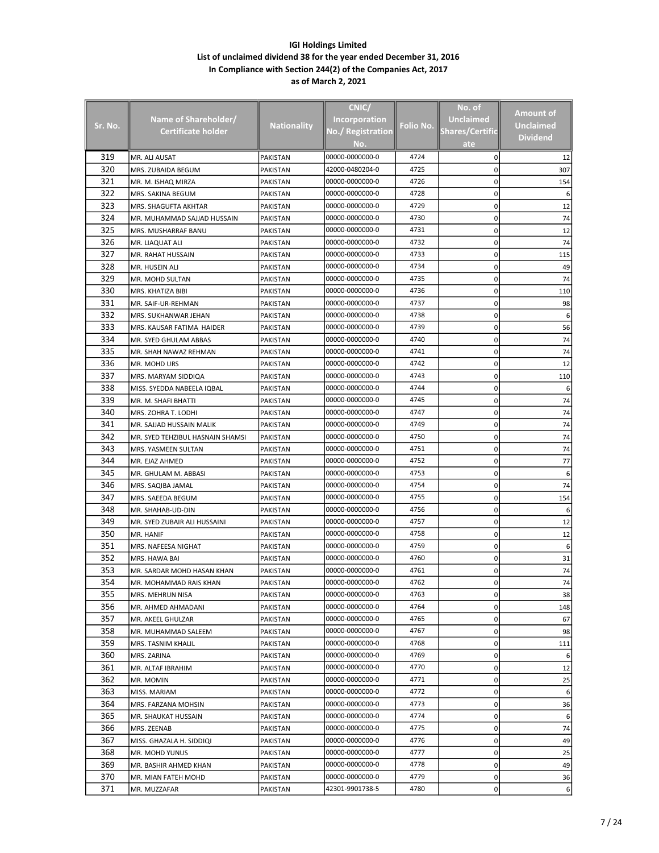|         |                                  |                    | CNIC/                |           | No. of                 |                  |
|---------|----------------------------------|--------------------|----------------------|-----------|------------------------|------------------|
|         |                                  |                    |                      |           | <b>Unclaimed</b>       | <b>Amount of</b> |
| Sr. No. | Name of Shareholder/             | <b>Nationality</b> | <b>Incorporation</b> | Folio No. |                        | <b>Unclaimed</b> |
|         | Certificate holder               |                    | No./ Registration    |           | <b>Shares/Certific</b> | <b>Dividend</b>  |
|         |                                  |                    | No.                  |           | ate                    |                  |
| 319     | MR. ALI AUSAT                    | <b>PAKISTAN</b>    | 00000-0000000-0      | 4724      | 0                      | 12               |
| 320     | MRS. ZUBAIDA BEGUM               | <b>PAKISTAN</b>    | 42000-0480204-0      | 4725      | 0                      | 307              |
| 321     | MR. M. ISHAQ MIRZA               | PAKISTAN           | 00000-0000000-0      | 4726      | 0                      | 154              |
| 322     | MRS. SAKINA BEGUM                | PAKISTAN           | 00000-0000000-0      | 4728      | 0                      |                  |
| 323     | MRS. SHAGUFTA AKHTAR             | PAKISTAN           | 00000-0000000-0      | 4729      | 0                      | 12               |
| 324     | MR. MUHAMMAD SAJJAD HUSSAIN      | PAKISTAN           | 00000-0000000-0      | 4730      | 0                      | 74               |
| 325     | MRS. MUSHARRAF BANU              | PAKISTAN           | 00000-0000000-0      | 4731      | 0                      | 12               |
| 326     | MR. LIAQUAT ALI                  | PAKISTAN           | 00000-0000000-0      | 4732      | 0                      | 74               |
| 327     | MR. RAHAT HUSSAIN                | PAKISTAN           | 00000-0000000-0      | 4733      | 0                      | 115              |
| 328     | MR. HUSEIN ALI                   | PAKISTAN           | 00000-0000000-0      | 4734      | 0                      | 49               |
| 329     | MR. MOHD SULTAN                  | PAKISTAN           | 00000-0000000-0      | 4735      | 0                      | 74               |
| 330     | MRS. KHATIZA BIBI                | PAKISTAN           | 00000-0000000-0      | 4736      | 0                      | 110              |
| 331     | MR. SAIF-UR-REHMAN               | PAKISTAN           | 00000-0000000-0      | 4737      | 0                      | 98               |
| 332     | MRS. SUKHANWAR JEHAN             | PAKISTAN           | 00000-0000000-0      | 4738      | 0                      | 6                |
| 333     | MRS. KAUSAR FATIMA HAIDER        | PAKISTAN           | 00000-0000000-0      | 4739      | 0                      | 56               |
| 334     | MR. SYED GHULAM ABBAS            | PAKISTAN           | 00000-0000000-0      | 4740      | 0                      | 74               |
| 335     | MR. SHAH NAWAZ REHMAN            | <b>PAKISTAN</b>    | 00000-0000000-0      | 4741      | 0                      | 74               |
| 336     | MR. MOHD URS                     | PAKISTAN           | 00000-0000000-0      | 4742      | 0                      | 12               |
| 337     | MRS. MARYAM SIDDIQA              | PAKISTAN           | 00000-0000000-0      | 4743      | 0                      | 110              |
| 338     | MISS. SYEDDA NABEELA IQBAL       | PAKISTAN           | 00000-0000000-0      | 4744      | 0                      |                  |
| 339     | MR. M. SHAFI BHATTI              | PAKISTAN           | 00000-0000000-0      | 4745      | 0                      | 74               |
| 340     | MRS. ZOHRA T. LODHI              | PAKISTAN           | 00000-0000000-0      | 4747      | 0                      | 74               |
| 341     | MR. SAJJAD HUSSAIN MALIK         | PAKISTAN           | 00000-0000000-0      | 4749      | 0                      | 74               |
| 342     | MR. SYED TEHZIBUL HASNAIN SHAMSI | PAKISTAN           | 00000-0000000-0      | 4750      | 0                      | 74               |
| 343     |                                  |                    | 00000-0000000-0      | 4751      | 0                      | 74               |
| 344     | MRS. YASMEEN SULTAN              | PAKISTAN           | 00000-0000000-0      | 4752      | 0                      | 77               |
| 345     | MR. EJAZ AHMED                   | PAKISTAN           | 00000-0000000-0      | 4753      |                        |                  |
| 346     | MR. GHULAM M. ABBASI             | PAKISTAN           | 00000-0000000-0      | 4754      | 0                      |                  |
|         | MRS. SAQIBA JAMAL                | PAKISTAN           |                      | 4755      | 0                      | 74               |
| 347     | MRS. SAEEDA BEGUM                | PAKISTAN           | 00000-0000000-0      |           | 0                      | 154              |
| 348     | MR. SHAHAB-UD-DIN                | PAKISTAN           | 00000-0000000-0      | 4756      | 0                      |                  |
| 349     | MR. SYED ZUBAIR ALI HUSSAINI     | PAKISTAN           | 00000-0000000-0      | 4757      | 0                      | 12               |
| 350     | MR. HANIF                        | <b>PAKISTAN</b>    | 00000-0000000-0      | 4758      | 0                      | 12               |
| 351     | MRS. NAFEESA NIGHAT              | PAKISTAN           | 00000-0000000-0      | 4759      | 0                      |                  |
| 352     | MRS. HAWA BAI                    | <b>PAKISTAN</b>    | 00000-0000000-0      | 4760      | 0                      | 31               |
| 353     | MR. SARDAR MOHD HASAN KHAN       | PAKISTAN           | 00000-0000000-0      | 4761      | 0                      | 74               |
| 354     | MR. MOHAMMAD RAIS KHAN           | PAKISTAN           | 00000-0000000-0      | 4762      | 0                      | 74               |
| 355     | MRS. MEHRUN NISA                 | PAKISTAN           | 00000-0000000-0      | 4763      | 0                      | 38               |
| 356     | MR. AHMED AHMADANI               | PAKISTAN           | 00000-0000000-0      | 4764      | 0                      | 148              |
| 357     | MR. AKEEL GHULZAR                | PAKISTAN           | 00000-0000000-0      | 4765      | 0                      | 67               |
| 358     | MR. MUHAMMAD SALEEM              | PAKISTAN           | 00000-0000000-0      | 4767      | 0                      | 98               |
| 359     | MRS. TASNIM KHALIL               | PAKISTAN           | 00000-0000000-0      | 4768      | 0                      | 111              |
| 360     | MRS. ZARINA                      | PAKISTAN           | 00000-0000000-0      | 4769      | 0                      | 6                |
| 361     | MR. ALTAF IBRAHIM                | PAKISTAN           | 00000-0000000-0      | 4770      | 0                      | 12               |
| 362     | MR. MOMIN                        | PAKISTAN           | 00000-0000000-0      | 4771      | 0                      | 25               |
| 363     | MISS. MARIAM                     | PAKISTAN           | 00000-0000000-0      | 4772      | 0                      | 6                |
| 364     | MRS. FARZANA MOHSIN              | PAKISTAN           | 00000-0000000-0      | 4773      | 0                      | 36               |
| 365     | MR. SHAUKAT HUSSAIN              | PAKISTAN           | 00000-0000000-0      | 4774      | 0                      | 6                |
| 366     | MRS. ZEENAB                      | PAKISTAN           | 00000-0000000-0      | 4775      | 0                      | 74               |
| 367     | MISS. GHAZALA H. SIDDIQI         | PAKISTAN           | 00000-0000000-0      | 4776      | 0                      | 49               |
| 368     | MR. MOHD YUNUS                   | PAKISTAN           | 00000-0000000-0      | 4777      | 0                      | 25               |
| 369     | MR. BASHIR AHMED KHAN            | PAKISTAN           | 00000-0000000-0      | 4778      | 0                      | 49               |
| 370     | MR. MIAN FATEH MOHD              | PAKISTAN           | 00000-0000000-0      | 4779      | 0                      | 36               |
| 371     | MR. MUZZAFAR                     | PAKISTAN           | 42301-9901738-5      | 4780      | 0                      | 6                |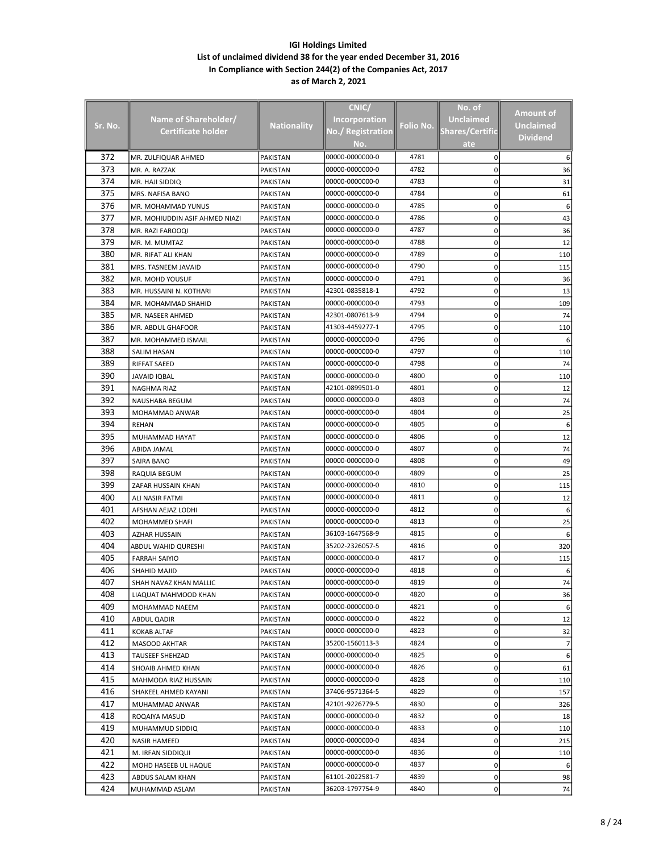|                |                                |                    | CNIC/                |           | No. of                 |                 |
|----------------|--------------------------------|--------------------|----------------------|-----------|------------------------|-----------------|
|                | Name of Shareholder/           |                    | <b>Incorporation</b> |           | <b>Unclaimed</b>       | Amount of       |
| <u>Sr. No.</u> | Certificate holder             | <b>Nationality</b> | No./ Registration    | Folio No. | <b>Shares/Certific</b> | Unclaimed       |
|                |                                |                    | No.                  |           | ate                    | <b>Dividend</b> |
| 372            | MR. ZULFIQUAR AHMED            | PAKISTAN           | 00000-0000000-0      | 4781      | 0                      |                 |
| 373            | MR. A. RAZZAK                  | PAKISTAN           | 00000-0000000-0      | 4782      | 0                      | 36              |
| 374            | MR. HAJI SIDDIQ                | PAKISTAN           | 00000-0000000-0      | 4783      | 0                      | 31              |
| 375            | MRS. NAFISA BANO               | PAKISTAN           | 00000-0000000-0      | 4784      | 0                      | 61              |
| 376            | MR. MOHAMMAD YUNUS             | <b>PAKISTAN</b>    | 00000-0000000-0      | 4785      | 0                      | 6               |
| 377            | MR. MOHIUDDIN ASIF AHMED NIAZI | PAKISTAN           | 00000-0000000-0      | 4786      | 0                      | 43              |
| 378            | MR. RAZI FAROOQI               | PAKISTAN           | 00000-0000000-0      | 4787      | 0                      | 36              |
| 379            | MR. M. MUMTAZ                  | PAKISTAN           | 00000-0000000-0      | 4788      | 0                      | 12              |
| 380            | MR. RIFAT ALI KHAN             | PAKISTAN           | 00000-0000000-0      | 4789      | 0                      | 110             |
| 381            | MRS. TASNEEM JAVAID            | PAKISTAN           | 00000-0000000-0      | 4790      | 0                      | 115             |
| 382            | MR. MOHD YOUSUF                | PAKISTAN           | 00000-0000000-0      | 4791      | 0                      | 36              |
| 383            | MR. HUSSAINI N. KOTHARI        | PAKISTAN           | 42301-0835818-1      | 4792      | 0                      | 13              |
| 384            | MR. MOHAMMAD SHAHID            | PAKISTAN           | 00000-0000000-0      | 4793      | 0                      | 109             |
| 385            | MR. NASEER AHMED               | <b>PAKISTAN</b>    | 42301-0807613-9      | 4794      | 0                      | 74              |
| 386            | MR. ABDUL GHAFOOR              | PAKISTAN           | 41303-4459277-1      | 4795      | 0                      | 110             |
| 387            | MR. MOHAMMED ISMAIL            | PAKISTAN           | 00000-0000000-0      | 4796      | 0                      |                 |
| 388            | <b>SALIM HASAN</b>             | PAKISTAN           | 00000-0000000-0      | 4797      | 0                      | 110             |
| 389            | <b>RIFFAT SAEED</b>            | PAKISTAN           | 00000-0000000-0      | 4798      | 0                      | 74              |
| 390            | JAVAID IQBAL                   | PAKISTAN           | 00000-0000000-0      | 4800      | 0                      | 110             |
| 391            | NAGHMA RIAZ                    | PAKISTAN           | 42101-0899501-0      | 4801      | 0                      | 12              |
| 392            | NAUSHABA BEGUM                 | PAKISTAN           | 00000-0000000-0      | 4803      | 0                      | 74              |
| 393            | MOHAMMAD ANWAR                 | PAKISTAN           | 00000-0000000-0      | 4804      | 0                      | 25              |
| 394            | REHAN                          | PAKISTAN           | 00000-0000000-0      | 4805      | 0                      | 6               |
| 395            | MUHAMMAD HAYAT                 | PAKISTAN           | 00000-0000000-0      | 4806      | 0                      | 12              |
| 396            | ABIDA JAMAL                    | PAKISTAN           | 00000-0000000-0      | 4807      | 0                      | 74              |
| 397            | SAIRA BANO                     | PAKISTAN           | 00000-0000000-0      | 4808      | 0                      | 49              |
| 398            | RAQUIA BEGUM                   | PAKISTAN           | 00000-0000000-0      | 4809      | 0                      | 25              |
| 399            | ZAFAR HUSSAIN KHAN             | PAKISTAN           | 00000-0000000-0      | 4810      | 0                      | 115             |
| 400            | ALI NASIR FATMI                | PAKISTAN           | 00000-0000000-0      | 4811      | 0                      | 12              |
| 401            | AFSHAN AEJAZ LODHI             | PAKISTAN           | 00000-0000000-0      | 4812      | 0                      | 6               |
| 402            | MOHAMMED SHAFI                 | PAKISTAN           | 00000-0000000-0      | 4813      | 0                      | 25              |
| 403            | AZHAR HUSSAIN                  | PAKISTAN           | 36103-1647568-9      | 4815      | 0                      | 6               |
| 404            | ABDUL WAHID QURESHI            | PAKISTAN           | 35202-2326057-5      | 4816      | 0                      | 320             |
| 405            | <b>FARRAH SAIYIO</b>           | PAKISTAN           | 00000-0000000-0      | 4817      | 0                      | 115             |
| 406            | SHAHID MAJID                   | PAKISTAN           | 00000-0000000-0      | 4818      | 0                      |                 |
| 407            | SHAH NAVAZ KHAN MALLIC         | PAKISTAN           | 00000-0000000-0      | 4819      | 0                      |                 |
| 408            | LIAQUAT MAHMOOD KHAN           | PAKISTAN           | 00000-0000000-0      | 4820      | 0                      | 36              |
| 409            | MOHAMMAD NAEEM                 | PAKISTAN           | 00000-0000000-0      | 4821      | 0                      |                 |
| 410            | ABDUL QADIR                    | PAKISTAN           | 00000-0000000-0      | 4822      | 0                      | 12              |
| 411            | <b>KOKAB ALTAF</b>             | <b>PAKISTAN</b>    | 00000-0000000-0      | 4823      | 0                      | 32              |
| 412            | MASOOD AKHTAR                  | PAKISTAN           | 35200-1560113-3      | 4824      | 0                      | 7               |
| 413            | <b>TAUSEEF SHEHZAD</b>         | PAKISTAN           | 00000-0000000-0      | 4825      | 0                      | 6               |
| 414            | SHOAIB AHMED KHAN              | PAKISTAN           | 00000-0000000-0      | 4826      | 0                      | 61              |
| 415            | MAHMODA RIAZ HUSSAIN           | PAKISTAN           | 00000-0000000-0      | 4828      | 0                      | 110             |
| 416            | SHAKEEL AHMED KAYANI           | PAKISTAN           | 37406-9571364-5      | 4829      | 0                      | 157             |
| 417            | MUHAMMAD ANWAR                 | PAKISTAN           | 42101-9226779-5      | 4830      | 0                      | 326             |
| 418            | ROQAIYA MASUD                  | PAKISTAN           | 00000-0000000-0      | 4832      | 0                      | 18              |
| 419            | MUHAMMUD SIDDIQ                | PAKISTAN           | 00000-0000000-0      | 4833      | 0                      | 110             |
| 420            | NASIR HAMEED                   | PAKISTAN           | 00000-0000000-0      | 4834      | 0                      | 215             |
| 421            | M. IRFAN SIDDIQUI              | PAKISTAN           | 00000-0000000-0      | 4836      | 0                      | 110             |
| 422            | MOHD HASEEB UL HAQUE           | PAKISTAN           | 00000-0000000-0      | 4837      | 0                      | 6               |
| 423            | ABDUS SALAM KHAN               | PAKISTAN           | 61101-2022581-7      | 4839      | 0                      | 98              |
| 424            | MUHAMMAD ASLAM                 | PAKISTAN           | 36203-1797754-9      | 4840      | 0                      | 74              |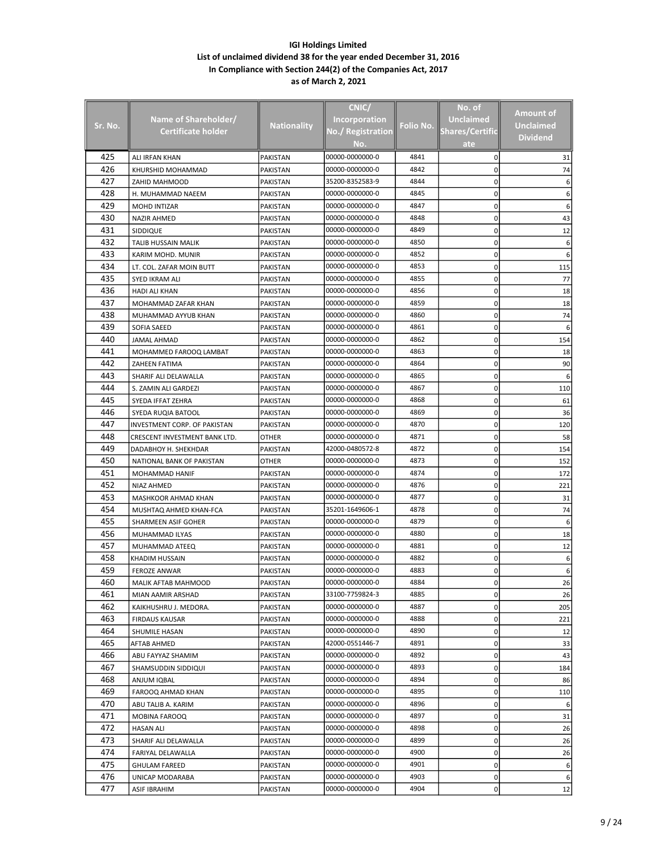|         |                               |                    | CNIC/                |           | No. of                 |                  |
|---------|-------------------------------|--------------------|----------------------|-----------|------------------------|------------------|
|         |                               |                    |                      |           | <b>Unclaimed</b>       | <b>Amount of</b> |
| Sr. No. | Name of Shareholder/          | <b>Nationality</b> | <b>Incorporation</b> | Folio No. |                        | <b>Unclaimed</b> |
|         | <b>Certificate holder</b>     |                    | No./ Registration    |           | <b>Shares/Certific</b> | <b>Dividend</b>  |
|         |                               |                    | No.                  |           | ate                    |                  |
| 425     | ALI IRFAN KHAN                | <b>PAKISTAN</b>    | 00000-0000000-0      | 4841      | 0                      | 31               |
| 426     | KHURSHID MOHAMMAD             | <b>PAKISTAN</b>    | 00000-0000000-0      | 4842      | 0                      | 74               |
| 427     | ZAHID MAHMOOD                 | PAKISTAN           | 35200-8352583-9      | 4844      | 0                      | 6                |
| 428     | H. MUHAMMAD NAEEM             | PAKISTAN           | 00000-0000000-0      | 4845      | 0                      |                  |
| 429     | <b>MOHD INTIZAR</b>           | <b>PAKISTAN</b>    | 00000-0000000-0      | 4847      | 0                      |                  |
| 430     | <b>NAZIR AHMED</b>            | <b>PAKISTAN</b>    | 00000-0000000-0      | 4848      | 0                      | 43               |
| 431     | SIDDIQUE                      | PAKISTAN           | 00000-0000000-0      | 4849      | 0                      | 12               |
| 432     | TALIB HUSSAIN MALIK           | PAKISTAN           | 00000-0000000-0      | 4850      | 0                      | 6                |
| 433     | KARIM MOHD. MUNIR             | PAKISTAN           | 00000-0000000-0      | 4852      | 0                      |                  |
| 434     | LT. COL. ZAFAR MOIN BUTT      | PAKISTAN           | 00000-0000000-0      | 4853      | 0                      | 115              |
| 435     | SYED IKRAM ALI                | PAKISTAN           | 00000-0000000-0      | 4855      | 0                      | 77               |
| 436     | HADI ALI KHAN                 | PAKISTAN           | 00000-0000000-0      | 4856      | 0                      | 18               |
| 437     | MOHAMMAD ZAFAR KHAN           | PAKISTAN           | 00000-0000000-0      | 4859      | 0                      | 18               |
| 438     | MUHAMMAD AYYUB KHAN           | PAKISTAN           | 00000-0000000-0      | 4860      | 0                      | 74               |
| 439     | SOFIA SAEED                   | PAKISTAN           | 00000-0000000-0      | 4861      | 0                      |                  |
| 440     | JAMAL AHMAD                   | PAKISTAN           | 00000-0000000-0      | 4862      | 0                      | 154              |
| 441     | MOHAMMED FAROOQ LAMBAT        | PAKISTAN           | 00000-0000000-0      | 4863      | 0                      | 18               |
| 442     | ZAHEEN FATIMA                 | PAKISTAN           | 00000-0000000-0      | 4864      | 0                      | 90               |
| 443     | SHARIF ALI DELAWALLA          | PAKISTAN           | 00000-0000000-0      | 4865      | 0                      |                  |
| 444     | S. ZAMIN ALI GARDEZI          | PAKISTAN           | 00000-0000000-0      | 4867      | 0                      | 110              |
| 445     | SYEDA IFFAT ZEHRA             | PAKISTAN           | 00000-0000000-0      | 4868      | 0                      | 61               |
| 446     | SYEDA RUQIA BATOOL            | PAKISTAN           | 00000-0000000-0      | 4869      | 0                      | 36               |
| 447     | INVESTMENT CORP. OF PAKISTAN  | PAKISTAN           | 00000-0000000-0      | 4870      | 0                      | 120              |
| 448     | CRESCENT INVESTMENT BANK LTD. | OTHER              | 00000-0000000-0      | 4871      | 0                      | 58               |
| 449     | DADABHOY H. SHEKHDAR          | PAKISTAN           | 42000-0480572-8      | 4872      | 0                      | 154              |
| 450     | NATIONAL BANK OF PAKISTAN     | OTHER              | 00000-0000000-0      | 4873      | 0                      | 152              |
| 451     |                               |                    | 00000-0000000-0      | 4874      | 0                      | 172              |
| 452     | MOHAMMAD HANIF                | PAKISTAN           | 00000-0000000-0      | 4876      | 0                      | 221              |
| 453     | NIAZ AHMED                    | PAKISTAN           | 00000-0000000-0      | 4877      |                        |                  |
| 454     | MASHKOOR AHMAD KHAN           | PAKISTAN           |                      | 4878      | 0                      | 31               |
|         | MUSHTAQ AHMED KHAN-FCA        | PAKISTAN           | 35201-1649606-1      |           | 0                      | 74               |
| 455     | SHARMEEN ASIF GOHER           | PAKISTAN           | 00000-0000000-0      | 4879      | 0                      | 6                |
| 456     | MUHAMMAD ILYAS                | PAKISTAN           | 00000-0000000-0      | 4880      | 0                      | 18               |
| 457     | MUHAMMAD ATEEQ                | PAKISTAN           | 00000-0000000-0      | 4881      | 0                      | 12               |
| 458     | KHADIM HUSSAIN                | <b>PAKISTAN</b>    | 00000-0000000-0      | 4882      | 0                      | 6                |
| 459     | <b>FEROZE ANWAR</b>           | PAKISTAN           | 00000-0000000-0      | 4883      | 0                      | 6                |
| 460     | MALIK AFTAB MAHMOOD           | PAKISTAN           | 00000-0000000-0      | 4884      | 0                      | 26               |
| 461     | MIAN AAMIR ARSHAD             | PAKISTAN           | 33100-7759824-3      | 4885      | 0                      | 26               |
| 462     | KAIKHUSHRU J. MEDORA.         | PAKISTAN           | 00000-0000000-0      | 4887      | 0                      | 205              |
| 463     | <b>FIRDAUS KAUSAR</b>         | <b>PAKISTAN</b>    | 00000-0000000-0      | 4888      | 0                      | 221              |
| 464     | SHUMILE HASAN                 | PAKISTAN           | 00000-0000000-0      | 4890      | 0                      | 12               |
| 465     | AFTAB AHMED                   | PAKISTAN           | 42000-0551446-7      | 4891      | 0                      | 33               |
| 466     | ABU FAYYAZ SHAMIM             | PAKISTAN           | 00000-0000000-0      | 4892      | 0                      | 43               |
| 467     | SHAMSUDDIN SIDDIQUI           | PAKISTAN           | 00000-0000000-0      | 4893      | 0                      | 184              |
| 468     | ANJUM IQBAL                   | PAKISTAN           | 00000-0000000-0      | 4894      | 0                      | 86               |
| 469     | FAROOQ AHMAD KHAN             | PAKISTAN           | 00000-0000000-0      | 4895      | 0                      | 110              |
| 470     | ABU TALIB A. KARIM            | PAKISTAN           | 00000-0000000-0      | 4896      | 0                      |                  |
| 471     | MOBINA FAROOQ                 | PAKISTAN           | 00000-0000000-0      | 4897      | 0                      | 31               |
| 472     | <b>HASAN ALI</b>              | PAKISTAN           | 00000-0000000-0      | 4898      | 0                      | 26               |
| 473     | SHARIF ALI DELAWALLA          | PAKISTAN           | 00000-0000000-0      | 4899      | 0                      | 26               |
| 474     | FARIYAL DELAWALLA             | PAKISTAN           | 00000-0000000-0      | 4900      | 0                      | 26               |
| 475     | <b>GHULAM FAREED</b>          | PAKISTAN           | 00000-0000000-0      | 4901      | 0                      | 6                |
| 476     | UNICAP MODARABA               | PAKISTAN           | 00000-0000000-0      | 4903      | 0                      |                  |
| 477     | ASIF IBRAHIM                  | PAKISTAN           | 00000-0000000-0      | 4904      | 0                      | 12               |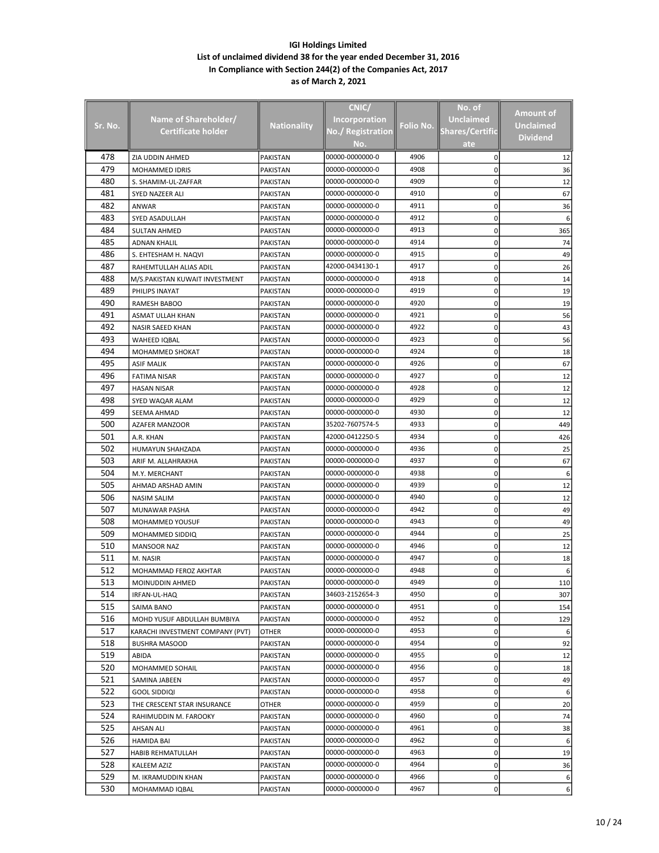|            |                                   |                      | CNIC/                              |              | No. of                 |                  |
|------------|-----------------------------------|----------------------|------------------------------------|--------------|------------------------|------------------|
|            | Name of Shareholder/              |                      | <b>Incorporation</b>               |              | <b>Unclaimed</b>       | Amount of        |
| Sr. No.    | Certificate holder                | <b>Nationality</b>   | No./ Registration                  | Folio No.    | <b>Shares/Certific</b> | <b>Unclaimed</b> |
|            |                                   |                      | No.                                |              | ate                    | <b>Dividend</b>  |
| 478        |                                   |                      | 00000-0000000-0                    | 4906         |                        |                  |
| 479        | ZIA UDDIN AHMED                   | <b>PAKISTAN</b>      | 00000-0000000-0                    | 4908         | 0                      | 12               |
| 480        | MOHAMMED IDRIS                    | PAKISTAN             | 00000-0000000-0                    | 4909         | 0<br>0                 | 36               |
| 481        | S. SHAMIM-UL-ZAFFAR               | PAKISTAN             | 00000-0000000-0                    | 4910         |                        | 12<br>67         |
| 482        | SYED NAZEER ALI                   | PAKISTAN             | 00000-0000000-0                    | 4911         | 0<br>0                 | 36               |
| 483        | ANWAR<br>SYED ASADULLAH           | PAKISTAN             | 00000-0000000-0                    | 4912         | 0                      | 6                |
| 484        | <b>SULTAN AHMED</b>               | PAKISTAN<br>PAKISTAN | 00000-0000000-0                    | 4913         | 0                      | 365              |
| 485        | <b>ADNAN KHALIL</b>               | PAKISTAN             | 00000-0000000-0                    | 4914         | 0                      | 74               |
| 486        | S. EHTESHAM H. NAQVI              | PAKISTAN             | 00000-0000000-0                    | 4915         | 0                      | 49               |
| 487        | RAHEMTULLAH ALIAS ADIL            | PAKISTAN             | 42000-0434130-1                    | 4917         | 0                      | 26               |
| 488        | M/S.PAKISTAN KUWAIT INVESTMENT    | PAKISTAN             | 00000-0000000-0                    | 4918         | 0                      | 14               |
| 489        | PHILIPS INAYAT                    | PAKISTAN             | 00000-0000000-0                    | 4919         | 0                      | 19               |
| 490        | RAMESH BABOO                      | PAKISTAN             | 00000-0000000-0                    | 4920         | 0                      | 19               |
| 491        | ASMAT ULLAH KHAN                  | PAKISTAN             | 00000-0000000-0                    | 4921         | 0                      | 56               |
| 492        | NASIR SAEED KHAN                  | <b>PAKISTAN</b>      | 00000-0000000-0                    | 4922         | 0                      | 43               |
| 493        | WAHEED IQBAL                      | PAKISTAN             | 00000-0000000-0                    | 4923         | 0                      | 56               |
| 494        | MOHAMMED SHOKAT                   | PAKISTAN             | 00000-0000000-0                    | 4924         | 0                      | 18               |
| 495        | <b>ASIF MALIK</b>                 | PAKISTAN             | 00000-0000000-0                    | 4926         | 0                      | 67               |
| 496        | <b>FATIMA NISAR</b>               | PAKISTAN             | 00000-0000000-0                    | 4927         | 0                      | 12               |
| 497        | HASAN NISAR                       | PAKISTAN             | 00000-0000000-0                    | 4928         | 0                      | 12               |
| 498        | SYED WAQAR ALAM                   | PAKISTAN             | 00000-0000000-0                    | 4929         | 0                      | 12               |
| 499        | SEEMA AHMAD                       | PAKISTAN             | 00000-0000000-0                    | 4930         | 0                      | 12               |
| 500        | <b>AZAFER MANZOOR</b>             | PAKISTAN             | 35202-7607574-5                    | 4933         | 0                      | 449              |
| 501        | A.R. KHAN                         | PAKISTAN             | 42000-0412250-5                    | 4934         | 0                      | 426              |
| 502        | HUMAYUN SHAHZADA                  | PAKISTAN             | 00000-0000000-0                    | 4936         | 0                      | 25               |
| 503        | ARIF M. ALLAHRAKHA                | PAKISTAN             | 00000-0000000-0                    | 4937         | 0                      | 67               |
| 504        | M.Y. MERCHANT                     | PAKISTAN             | 00000-0000000-0                    | 4938         | 0                      | 6                |
| 505        | AHMAD ARSHAD AMIN                 | PAKISTAN             | 00000-0000000-0                    | 4939         | 0                      | 12               |
| 506        | NASIM SALIM                       | PAKISTAN             | 00000-0000000-0                    | 4940         | 0                      | 12               |
| 507        | MUNAWAR PASHA                     | PAKISTAN             | 00000-0000000-0                    | 4942         | 0                      | 49               |
| 508        | MOHAMMED YOUSUF                   | PAKISTAN             | 00000-0000000-0                    | 4943         | 0                      | 49               |
| 509        | MOHAMMED SIDDIQ                   | PAKISTAN             | 00000-0000000-0                    | 4944         | 0                      | 25               |
| 510        | <b>MANSOOR NAZ</b>                | <b>PAKISTAN</b>      | 00000-0000000-0                    | 4946         | 0                      | 12               |
| 511        | M. NASIR                          | PAKISTAN             | 00000-0000000-0                    | 4947         | 0                      | 18               |
| 512        | MOHAMMAD FEROZ AKHTAR             | PAKISTAN             | 00000-0000000-0                    | 4948         | 0                      | 6                |
| 513        | MOINUDDIN AHMED                   | PAKISTAN             | 00000-0000000-0                    | 4949         | 0                      | 110              |
| 514        | IRFAN-UL-HAQ                      | PAKISTAN             | 34603-2152654-3                    | 4950         | 0                      | 307              |
| 515        | SAIMA BANO                        | PAKISTAN             | 00000-0000000-0                    | 4951         | 0                      | 154              |
| 516        | MOHD YUSUF ABDULLAH BUMBIYA       | PAKISTAN             | 00000-0000000-0                    | 4952         | 0                      | 129              |
| 517        | KARACHI INVESTMENT COMPANY (PVT)  | OTHER                | 00000-0000000-0                    | 4953         | 0                      | 6                |
| 518        | <b>BUSHRA MASOOD</b>              | PAKISTAN             | 00000-0000000-0                    | 4954         | 0                      | 92               |
| 519        | ABIDA                             | PAKISTAN             | 00000-0000000-0                    | 4955         | 0                      | 12               |
| 520        | MOHAMMED SOHAIL                   | PAKISTAN             | 00000-0000000-0                    | 4956         | 0                      | 18               |
| 521        | SAMINA JABEEN                     | PAKISTAN             | 00000-0000000-0                    | 4957         | 0                      | 49               |
| 522        | GOOL SIDDIQI                      | PAKISTAN             | 00000-0000000-0                    | 4958         | 0                      | 6                |
| 523        | THE CRESCENT STAR INSURANCE       | OTHER                | 00000-0000000-0                    | 4959         | 0                      | 20               |
| 524        | RAHIMUDDIN M. FAROOKY             | PAKISTAN             | 00000-0000000-0                    | 4960         | 0                      | 74               |
| 525        | <b>AHSAN ALI</b>                  | PAKISTAN             | 00000-0000000-0                    | 4961         | 0                      | 38               |
| 526        | HAMIDA BAI                        | PAKISTAN             | 00000-0000000-0                    | 4962         | 0                      | 6                |
| 527<br>528 | HABIB REHMATULLAH                 | PAKISTAN             | 00000-0000000-0<br>00000-0000000-0 | 4963<br>4964 | 0                      | 19               |
| 529        | KALEEM AZIZ<br>M. IKRAMUDDIN KHAN | PAKISTAN<br>PAKISTAN | 00000-0000000-0                    | 4966         | 0<br>0                 | 36<br>6          |
| 530        | MOHAMMAD IQBAL                    | PAKISTAN             | 00000-0000000-0                    | 4967         | 0                      | 6                |
|            |                                   |                      |                                    |              |                        |                  |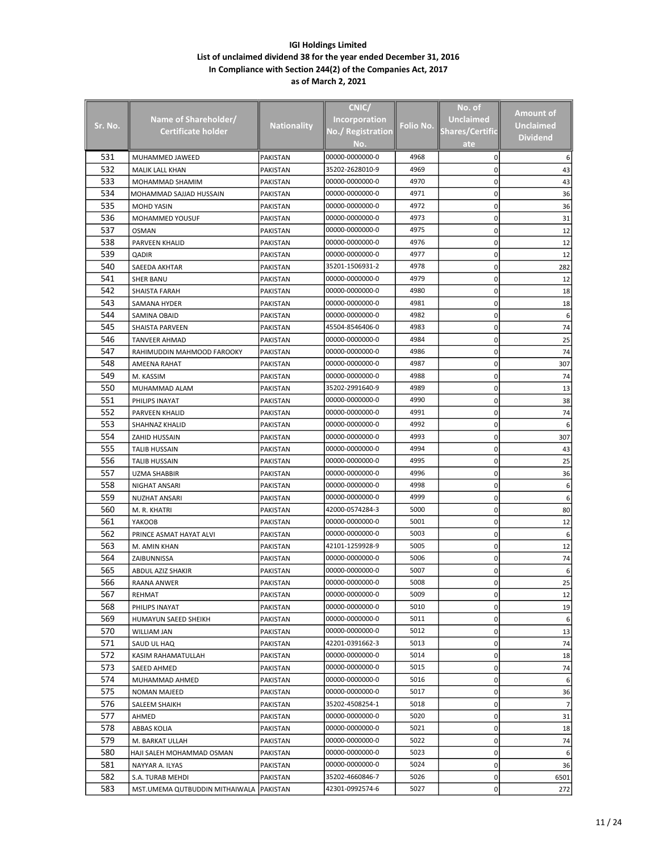|         |                                |                      | CNIC/                |           | No. of                 |                 |
|---------|--------------------------------|----------------------|----------------------|-----------|------------------------|-----------------|
|         | Name of Shareholder/           |                      | <b>Incorporation</b> |           | <b>Unclaimed</b>       | Amount of       |
| Sr. No. | <b>Certificate holder</b>      | <b>Nationality</b>   | No./ Registration    | Folio No. | <b>Shares/Certific</b> | Unclaimed       |
|         |                                |                      |                      |           |                        | <b>Dividend</b> |
|         |                                |                      | No.                  |           | ate                    |                 |
| 531     | MUHAMMED JAWEED                | <b>PAKISTAN</b>      | 00000-0000000-0      | 4968      | 0                      |                 |
| 532     | MALIK LALL KHAN                | PAKISTAN             | 35202-2628010-9      | 4969      | 0                      | 43              |
| 533     | MOHAMMAD SHAMIM                | PAKISTAN             | 00000-0000000-0      | 4970      | 0                      | 43              |
| 534     | MOHAMMAD SAJJAD HUSSAIN        | PAKISTAN             | 00000-0000000-0      | 4971      | 0                      | 36              |
| 535     | <b>MOHD YASIN</b>              | PAKISTAN             | 00000-0000000-0      | 4972      | 0                      | 36              |
| 536     | MOHAMMED YOUSUF                | <b>PAKISTAN</b>      | 00000-0000000-0      | 4973      | 0                      | 31              |
| 537     | OSMAN                          | PAKISTAN             | 00000-0000000-0      | 4975      | 0                      | 12              |
| 538     | PARVEEN KHALID                 | PAKISTAN             | 00000-0000000-0      | 4976      | 0                      | 12              |
| 539     | QADIR                          | PAKISTAN             | 00000-0000000-0      | 4977      | 0                      | 12              |
| 540     | SAEEDA AKHTAR                  | PAKISTAN             | 35201-1506931-2      | 4978      | 0                      | 282             |
| 541     | SHER BANU                      | PAKISTAN             | 00000-0000000-0      | 4979      | 0                      | 12              |
| 542     | SHAISTA FARAH                  | PAKISTAN             | 00000-0000000-0      | 4980      | 0                      | 18              |
| 543     | SAMANA HYDER                   | PAKISTAN             | 00000-0000000-0      | 4981      | 0                      | 18              |
| 544     | SAMINA OBAID                   | PAKISTAN             | 00000-0000000-0      | 4982      | 0                      | 6               |
| 545     | <b>SHAISTA PARVEEN</b>         | PAKISTAN             | 45504-8546406-0      | 4983      | 0                      | 74              |
| 546     | <b>TANVEER AHMAD</b>           | PAKISTAN             | 00000-0000000-0      | 4984      | 0                      | 25              |
| 547     | RAHIMUDDIN MAHMOOD FAROOKY     | PAKISTAN             | 00000-0000000-0      | 4986      | 0                      | 74              |
| 548     | AMEENA RAHAT                   | PAKISTAN             | 00000-0000000-0      | 4987      | 0                      | 307             |
| 549     | M. KASSIM                      | PAKISTAN             | 00000-0000000-0      | 4988      | 0                      | 74              |
| 550     | MUHAMMAD ALAM                  | PAKISTAN             | 35202-2991640-9      | 4989      | 0                      | 13              |
| 551     | PHILIPS INAYAT                 | PAKISTAN             | 00000-0000000-0      | 4990      | 0                      | 38              |
| 552     | PARVEEN KHALID                 | PAKISTAN             | 00000-0000000-0      | 4991      | 0                      | 74              |
| 553     | SHAHNAZ KHALID                 | PAKISTAN             | 00000-0000000-0      | 4992      | 0                      |                 |
| 554     | ZAHID HUSSAIN                  | PAKISTAN             | 00000-0000000-0      | 4993      | 0                      | 307             |
| 555     | <b>TALIB HUSSAIN</b>           | PAKISTAN             | 00000-0000000-0      | 4994      | 0                      | 43              |
| 556     | <b>TALIB HUSSAIN</b>           | PAKISTAN             | 00000-0000000-0      | 4995      | 0                      | 25              |
| 557     | UZMA SHABBIR                   | PAKISTAN             | 00000-0000000-0      | 4996      | 0                      | 36              |
| 558     | NIGHAT ANSARI                  | PAKISTAN             | 00000-0000000-0      | 4998      | 0                      | 6               |
| 559     | <b>NUZHAT ANSARI</b>           | PAKISTAN             | 00000-0000000-0      | 4999      | 0                      |                 |
| 560     | M. R. KHATRI                   | PAKISTAN             | 42000-0574284-3      | 5000      | 0                      | 80              |
| 561     | YAKOOB                         | PAKISTAN             | 00000-0000000-0      | 5001      | 0                      | 12              |
| 562     | PRINCE ASMAT HAYAT ALVI        | PAKISTAN             | 00000-0000000-0      | 5003      | 0                      | 6               |
| 563     | M. AMIN KHAN                   | PAKISTAN             | 42101-1259928-9      | 5005      | 0                      | 12              |
| 564     | ZAIBUNNISSA                    | <b>PAKISTAN</b>      | 00000-0000000-0      | 5006      | 0                      | 74              |
| 565     | <b>ABDUL AZIZ SHAKIR</b>       | PAKISTAN             | 00000-0000000-0      | 5007      | 0                      | 6               |
| 566     | RAANA ANWER                    | PAKISTAN             | 00000-0000000-0      | 5008      | 0                      | 25              |
| 567     | REHMAT                         | PAKISTAN             | 00000-0000000-0      | 5009      | 0                      | 12              |
| 568     | PHILIPS INAYAT                 | PAKISTAN             | 00000-0000000-0      | 5010      | 0                      | 19              |
| 569     | HUMAYUN SAEED SHEIKH           | PAKISTAN             | 00000-0000000-0      | 5011      | 0                      | 6               |
| 570     | WILLIAM JAN                    | PAKISTAN             | 00000-0000000-0      | 5012      | 0                      | 13              |
| 571     | SAUD UL HAQ                    | PAKISTAN             | 42201-0391662-3      | 5013      | 0                      | 74              |
| 572     | KASIM RAHAMATULLAH             | PAKISTAN             | 00000-0000000-0      | 5014      | 0                      | 18              |
| 573     | SAEED AHMED                    | PAKISTAN             | 00000-0000000-0      | 5015      | 0                      | 74              |
| 574     | MUHAMMAD AHMED                 | PAKISTAN             | 00000-0000000-0      | 5016      | 0                      |                 |
| 575     | <b>NOMAN MAJEED</b>            | PAKISTAN             | 00000-0000000-0      | 5017      | 0                      | 36              |
| 576     | SALEEM SHAIKH                  | PAKISTAN             | 35202-4508254-1      | 5018      | 0                      |                 |
| 577     | AHMED                          | PAKISTAN             | 00000-0000000-0      | 5020      | 0                      | 31              |
| 578     | <b>ABBAS KOLIA</b>             |                      | 00000-0000000-0      | 5021      | 0                      | 18              |
| 579     | M. BARKAT ULLAH                | PAKISTAN<br>PAKISTAN | 00000-0000000-0      | 5022      | 0                      | 74              |
| 580     |                                |                      | 00000-0000000-0      | 5023      |                        |                 |
| 581     | HAJI SALEH MOHAMMAD OSMAN      | PAKISTAN             | 00000-0000000-0      | 5024      | 0<br>0                 | 6<br>36         |
| 582     | NAYYAR A. ILYAS                | PAKISTAN             | 35202-4660846-7      | 5026      |                        |                 |
|         | S.A. TURAB MEHDI               | PAKISTAN             | 42301-0992574-6      | 5027      | 0                      | 6501            |
| 583     | MST.UMEMA QUTBUDDIN MITHAIWALA | PAKISTAN             |                      |           | 0                      | 272             |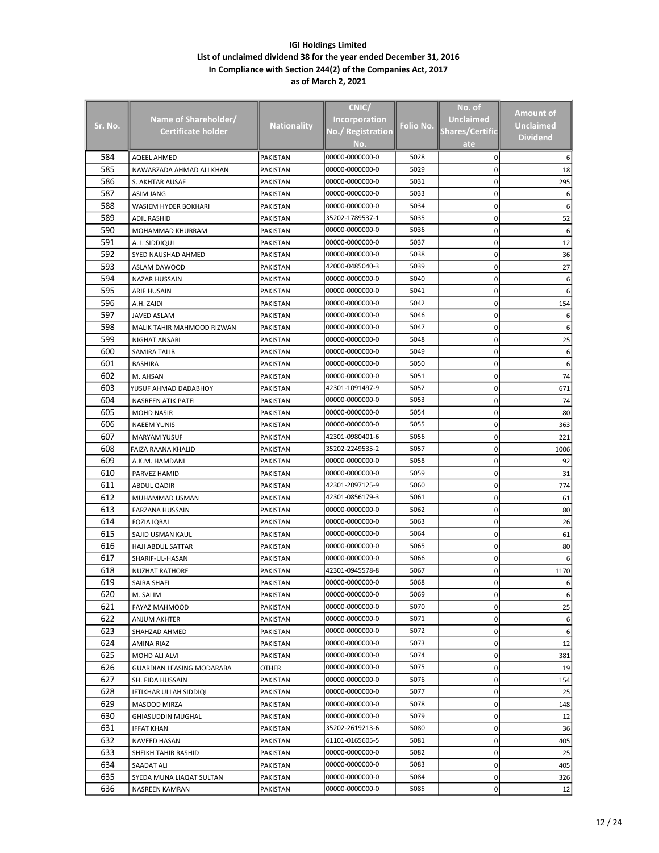|         |                             |                    | CNIC/                |           | No. of                 |                  |
|---------|-----------------------------|--------------------|----------------------|-----------|------------------------|------------------|
|         | Name of Shareholder/        |                    | <b>Incorporation</b> |           | <b>Unclaimed</b>       | Amount of        |
| Sr. No. | <u>Certificate holder</u>   | <b>Nationality</b> | No./ Registration    | Folio No. | <b>Shares/Certific</b> | <b>Unclaimed</b> |
|         |                             |                    | No.                  |           | ate                    | <b>Dividend</b>  |
|         |                             |                    |                      |           |                        |                  |
| 584     | AQEEL AHMED                 | <b>PAKISTAN</b>    | 00000-0000000-0      | 5028      | 0                      |                  |
| 585     | NAWABZADA AHMAD ALI KHAN    | <b>PAKISTAN</b>    | 00000-0000000-0      | 5029      | 0                      | 18               |
| 586     | S. AKHTAR AUSAF             | PAKISTAN           | 00000-0000000-0      | 5031      | 0                      | 295              |
| 587     | ASIM JANG                   | PAKISTAN           | 00000-0000000-0      | 5033      | 0                      | 6                |
| 588     | <b>WASIEM HYDER BOKHARI</b> | PAKISTAN           | 00000-0000000-0      | 5034      | 0                      |                  |
| 589     | <b>ADIL RASHID</b>          | PAKISTAN           | 35202-1789537-1      | 5035      | 0                      | 52               |
| 590     | MOHAMMAD KHURRAM            | PAKISTAN           | 00000-0000000-0      | 5036      | 0                      | 6                |
| 591     | A. I. SIDDIQUI              | PAKISTAN           | 00000-0000000-0      | 5037      | 0                      | 12               |
| 592     | SYED NAUSHAD AHMED          | PAKISTAN           | 00000-0000000-0      | 5038      | 0                      | 36               |
| 593     | ASLAM DAWOOD                | PAKISTAN           | 42000-0485040-3      | 5039      | 0                      | 27               |
| 594     | <b>NAZAR HUSSAIN</b>        | PAKISTAN           | 00000-0000000-0      | 5040      | 0                      |                  |
| 595     | <b>ARIF HUSAIN</b>          | PAKISTAN           | 00000-0000000-0      | 5041      | 0                      |                  |
| 596     | A.H. ZAIDI                  | PAKISTAN           | 00000-0000000-0      | 5042      | 0                      | 154              |
| 597     | <b>JAVED ASLAM</b>          | PAKISTAN           | 00000-0000000-0      | 5046      | 0                      |                  |
| 598     | MALIK TAHIR MAHMOOD RIZWAN  | PAKISTAN           | 00000-0000000-0      | 5047      | 0                      | 6                |
| 599     | NIGHAT ANSARI               | PAKISTAN           | 00000-0000000-0      | 5048      | 0                      | 25               |
| 600     | <b>SAMIRA TALIB</b>         | PAKISTAN           | 00000-0000000-0      | 5049      | 0                      | 6                |
| 601     | <b>BASHIRA</b>              | <b>PAKISTAN</b>    | 00000-0000000-0      | 5050      | 0                      |                  |
| 602     | M. AHSAN                    | PAKISTAN           | 00000-0000000-0      | 5051      | 0                      | 74               |
| 603     | YUSUF AHMAD DADABHOY        | PAKISTAN           | 42301-1091497-9      | 5052      | 0                      | 671              |
| 604     | NASREEN ATIK PATEL          | PAKISTAN           | 00000-0000000-0      | 5053      | 0                      | 74               |
| 605     | <b>MOHD NASIR</b>           | PAKISTAN           | 00000-0000000-0      | 5054      | 0                      | 80               |
| 606     | <b>NAEEM YUNIS</b>          | PAKISTAN           | 00000-0000000-0      | 5055      | 0                      | 363              |
| 607     | <b>MARYAM YUSUF</b>         | PAKISTAN           | 42301-0980401-6      | 5056      | 0                      | 221              |
| 608     | FAIZA RAANA KHALID          | PAKISTAN           | 35202-2249535-2      | 5057      | 0                      | 1006             |
| 609     | A.K.M. HAMDANI              | PAKISTAN           | 00000-0000000-0      | 5058      | 0                      | 92               |
| 610     | PARVEZ HAMID                | PAKISTAN           | 00000-0000000-0      | 5059      | 0                      | 31               |
| 611     | <b>ABDUL QADIR</b>          | PAKISTAN           | 42301-2097125-9      | 5060      | 0                      | 774              |
| 612     | MUHAMMAD USMAN              | PAKISTAN           | 42301-0856179-3      | 5061      | 0                      | 61               |
| 613     | <b>FARZANA HUSSAIN</b>      | PAKISTAN           | 00000-0000000-0      | 5062      | 0                      | 80               |
| 614     | <b>FOZIA IQBAL</b>          | PAKISTAN           | 00000-0000000-0      | 5063      | 0                      | 26               |
| 615     | SAJID USMAN KAUL            | PAKISTAN           | 00000-0000000-0      | 5064      | 0                      | 61               |
| 616     | HAJI ABDUL SATTAR           | <b>PAKISTAN</b>    | 00000-0000000-0      | 5065      | 0                      | 80               |
| 617     | SHARIF-UL-HASAN             | PAKISTAN           | 00000-0000000-0      | 5066      | 0                      |                  |
| 618     | <b>NUZHAT RATHORE</b>       | PAKISTAN           | 42301-0945578-8      | 5067      | 0                      | 1170             |
| 619     | SAIRA SHAFI                 | PAKISTAN           | 00000-0000000-0      | 5068      | 0                      |                  |
| 620     | M. SALIM                    | PAKISTAN           | 00000-0000000-0      | 5069      | 0                      | 6                |
| 621     | FAYAZ MAHMOOD               | PAKISTAN           | 00000-0000000-0      | 5070      | 0                      | 25               |
| 622     | ANJUM AKHTER                | PAKISTAN           | 00000-0000000-0      | 5071      | 0                      | 6                |
| 623     | SHAHZAD AHMED               | PAKISTAN           | 00000-0000000-0      | 5072      | 0                      | 6                |
| 624     | AMINA RIAZ                  | PAKISTAN           | 00000-0000000-0      | 5073      | 0                      | 12               |
| 625     | MOHD ALI ALVI               | PAKISTAN           | 00000-0000000-0      | 5074      | 0                      | 381              |
| 626     | GUARDIAN LEASING MODARABA   | OTHER              | 00000-0000000-0      | 5075      | 0                      | 19               |
| 627     | SH. FIDA HUSSAIN            | PAKISTAN           | 00000-0000000-0      | 5076      | 0                      | 154              |
| 628     | IFTIKHAR ULLAH SIDDIQI      | PAKISTAN           | 00000-0000000-0      | 5077      | 0                      | 25               |
| 629     | MASOOD MIRZA                | PAKISTAN           | 00000-0000000-0      | 5078      | 0                      | 148              |
| 630     | <b>GHIASUDDIN MUGHAL</b>    | PAKISTAN           | 00000-0000000-0      | 5079      | 0                      | 12               |
| 631     | <b>IFFAT KHAN</b>           | PAKISTAN           | 35202-2619213-6      | 5080      | 0                      | 36               |
| 632     | NAVEED HASAN                | PAKISTAN           | 61101-0165605-5      | 5081      | 0                      | 405              |
| 633     | SHEIKH TAHIR RASHID         | PAKISTAN           | 00000-0000000-0      | 5082      | 0                      | 25               |
| 634     | SAADAT ALI                  | PAKISTAN           | 00000-0000000-0      | 5083      | 0                      | 405              |
| 635     | SYEDA MUNA LIAQAT SULTAN    | PAKISTAN           | 00000-0000000-0      | 5084      | 0                      | 326              |
| 636     | NASREEN KAMRAN              | PAKISTAN           | 00000-0000000-0      | 5085      | 0                      | 12               |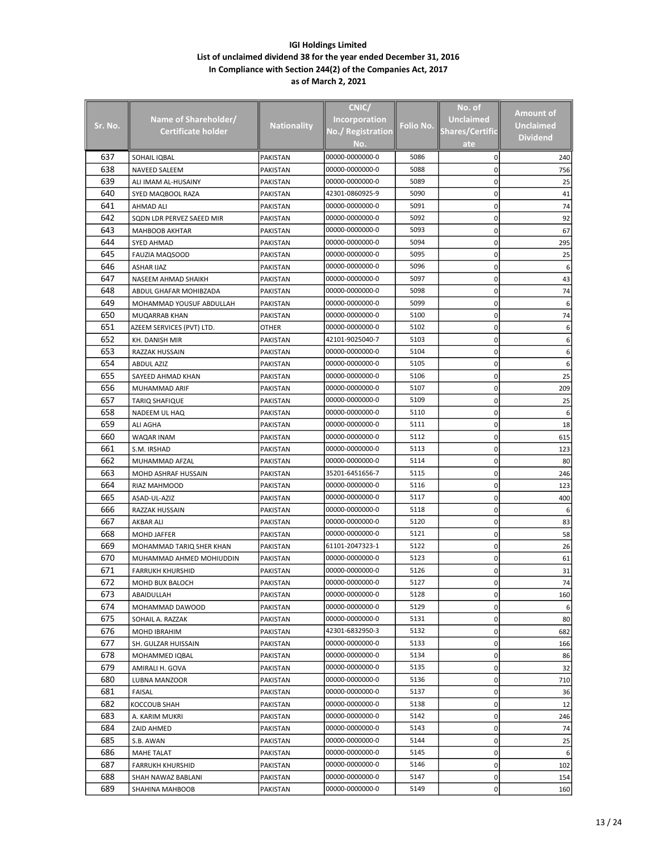|         |                           |                    | CNIC/                              |           | No. of                 |                  |
|---------|---------------------------|--------------------|------------------------------------|-----------|------------------------|------------------|
|         |                           |                    |                                    |           | <b>Unclaimed</b>       | <b>Amount of</b> |
| Sr. No. | Name of Shareholder/      | <b>Nationality</b> | <b>Incorporation</b>               | Folio No. |                        | <b>Unclaimed</b> |
|         | Certificate holder        |                    | No./ Registration                  |           | <b>Shares/Certific</b> | <b>Dividend</b>  |
|         |                           |                    | No.                                |           | ate                    |                  |
| 637     | SOHAIL IQBAL              | <b>PAKISTAN</b>    | 00000-0000000-0                    | 5086      | 0                      | 240              |
| 638     | <b>NAVEED SALEEM</b>      | <b>PAKISTAN</b>    | 00000-0000000-0                    | 5088      | 0                      | 756              |
| 639     | ALI IMAM AL-HUSAINY       | PAKISTAN           | 00000-0000000-0                    | 5089      | 0                      | 25               |
| 640     | SYED MAQBOOL RAZA         | PAKISTAN           | 42301-0860925-9                    | 5090      | 0                      | 41               |
| 641     | AHMAD ALI                 | PAKISTAN           | 00000-0000000-0                    | 5091      | 0                      | 74               |
| 642     | SQDN LDR PERVEZ SAEED MIR | PAKISTAN           | 00000-0000000-0                    | 5092      | 0                      | 92               |
| 643     | <b>MAHBOOB AKHTAR</b>     | PAKISTAN           | 00000-0000000-0                    | 5093      | 0                      | 67               |
| 644     | SYED AHMAD                | PAKISTAN           | 00000-0000000-0                    | 5094      | 0                      | 295              |
| 645     | <b>FAUZIA MAQSOOD</b>     | PAKISTAN           | 00000-0000000-0                    | 5095      | 0                      | 25               |
| 646     | <b>ASHAR IJAZ</b>         | PAKISTAN           | 00000-0000000-0                    | 5096      | 0                      | 6                |
| 647     | NASEEM AHMAD SHAIKH       | PAKISTAN           | 00000-0000000-0                    | 5097      | 0                      | 43               |
| 648     | ABDUL GHAFAR MOHIBZADA    | PAKISTAN           | 00000-0000000-0                    | 5098      | 0                      | 74               |
| 649     | MOHAMMAD YOUSUF ABDULLAH  | PAKISTAN           | 00000-0000000-0                    | 5099      | 0                      |                  |
| 650     | MUQARRAB KHAN             | PAKISTAN           | 00000-0000000-0                    | 5100      | 0                      | 74               |
| 651     | AZEEM SERVICES (PVT) LTD. | OTHER              | 00000-0000000-0                    | 5102      | 0                      | 6                |
| 652     | KH. DANISH MIR            | PAKISTAN           | 42101-9025040-7                    | 5103      | 0                      | 6                |
| 653     | RAZZAK HUSSAIN            | <b>PAKISTAN</b>    | 00000-0000000-0                    | 5104      | 0                      | 6                |
| 654     | <b>ABDUL AZIZ</b>         | PAKISTAN           | 00000-0000000-0                    | 5105      | 0                      |                  |
| 655     | SAYEED AHMAD KHAN         | PAKISTAN           | 00000-0000000-0                    | 5106      | 0                      | 25               |
| 656     | MUHAMMAD ARIF             | PAKISTAN           | 00000-0000000-0                    | 5107      | 0                      | 209              |
| 657     | <b>TARIQ SHAFIQUE</b>     | PAKISTAN           | 00000-0000000-0                    | 5109      | 0                      | 25               |
| 658     | NADEEM UL HAQ             | PAKISTAN           | 00000-0000000-0                    | 5110      | 0                      | 6                |
| 659     | ALI AGHA                  | PAKISTAN           | 00000-0000000-0                    | 5111      | 0                      | 18               |
| 660     | WAQAR INAM                | PAKISTAN           | 00000-0000000-0                    | 5112      | 0                      | 615              |
| 661     | S.M. IRSHAD               | PAKISTAN           | 00000-0000000-0                    | 5113      | 0                      | 123              |
| 662     | MUHAMMAD AFZAL            | PAKISTAN           | 00000-0000000-0                    | 5114      | 0                      | 80               |
| 663     | MOHD ASHRAF HUSSAIN       | PAKISTAN           | 35201-6451656-7                    | 5115      | 0                      | 246              |
| 664     | RIAZ MAHMOOD              | PAKISTAN           | 00000-0000000-0                    | 5116      | 0                      | 123              |
| 665     | ASAD-UL-AZIZ              | PAKISTAN           | 00000-0000000-0                    | 5117      | 0                      | 400              |
| 666     | RAZZAK HUSSAIN            | PAKISTAN           | 00000-0000000-0                    | 5118      | 0                      |                  |
| 667     | <b>AKBAR ALI</b>          | PAKISTAN           | 00000-0000000-0                    | 5120      | 0                      | 83               |
| 668     | <b>MOHD JAFFER</b>        | PAKISTAN           | 00000-0000000-0                    | 5121      | 0                      | 58               |
| 669     | MOHAMMAD TARIQ SHER KHAN  | PAKISTAN           | 61101-2047323-1                    | 5122      | 0                      | 26               |
| 670     | MUHAMMAD AHMED MOHIUDDIN  | <b>PAKISTAN</b>    | 00000-0000000-0                    | 5123      | 0                      | 61               |
| 671     | <b>FARRUKH KHURSHID</b>   | PAKISTAN           | 00000-0000000-0                    | 5126      | 0                      | 31               |
| 672     | MOHD BUX BALOCH           | PAKISTAN           | 00000-0000000-0                    | 5127      | 0                      |                  |
| 673     | ABAIDULLAH                | PAKISTAN           | 00000-0000000-0                    | 5128      | 0                      | 160              |
| 674     | MOHAMMAD DAWOOD           | PAKISTAN           | 00000-0000000-0                    | 5129      | 0                      |                  |
| 675     | SOHAIL A. RAZZAK          | PAKISTAN           | 00000-0000000-0                    | 5131      | 0                      | 80               |
| 676     | MOHD IBRAHIM              | PAKISTAN           | 42301-6832950-3                    | 5132      | 0                      | 682              |
| 677     | SH. GULZAR HUISSAIN       | PAKISTAN           | 00000-0000000-0                    | 5133      | 0                      | 166              |
| 678     | MOHAMMED IQBAL            | PAKISTAN           | 00000-0000000-0                    | 5134      | 0                      |                  |
| 679     |                           |                    |                                    |           |                        | 86               |
| 680     | AMIRALI H. GOVA           | PAKISTAN           | 00000-0000000-0                    | 5135      | 0                      | 32               |
| 681     | LUBNA MANZOOR             | PAKISTAN           | 00000-0000000-0                    | 5136      | 0                      | 710              |
| 682     | FAISAL                    | PAKISTAN           | 00000-0000000-0                    | 5137      | 0                      | 36               |
|         | KOCCOUB SHAH              | PAKISTAN           | 00000-0000000-0<br>00000-0000000-0 | 5138      | 0                      | 12               |
| 683     | A. KARIM MUKRI            | PAKISTAN           |                                    | 5142      | 0                      | 246              |
| 684     | ZAID AHMED                | PAKISTAN           | 00000-0000000-0                    | 5143      | 0                      | 74               |
| 685     | S.B. AWAN                 | PAKISTAN           | 00000-0000000-0                    | 5144      | 0                      | 25               |
| 686     | MAHE TALAT                | PAKISTAN           | 00000-0000000-0                    | 5145      | 0                      | 6                |
| 687     | <b>FARRUKH KHURSHID</b>   | PAKISTAN           | 00000-0000000-0                    | 5146      | 0                      | 102              |
| 688     | SHAH NAWAZ BABLANI        | PAKISTAN           | 00000-0000000-0                    | 5147      | 0                      | 154              |
| 689     | SHAHINA MAHBOOB           | PAKISTAN           | 00000-0000000-0                    | 5149      | 0                      | 160              |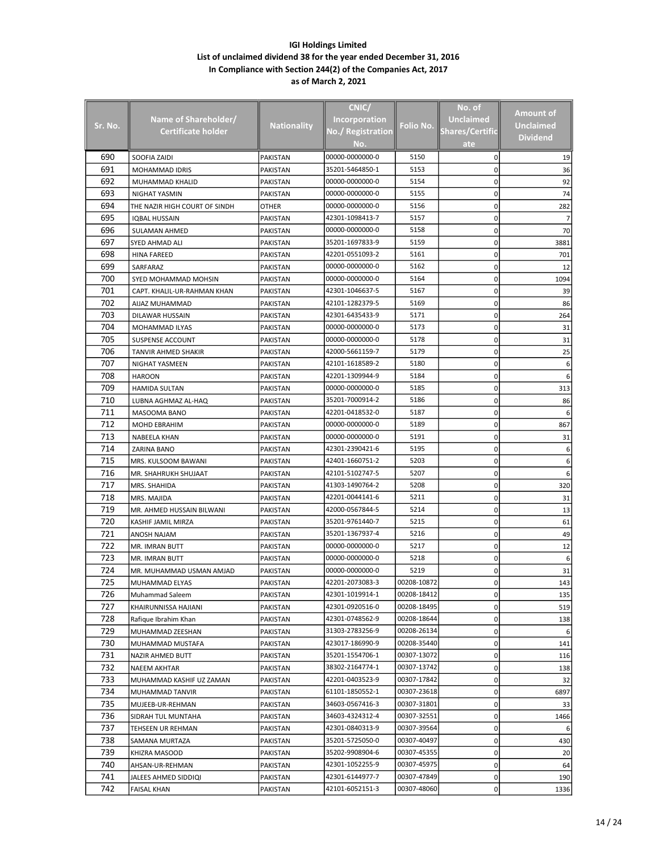|         |                               |                    | CNIC/                |             |                        |                  |
|---------|-------------------------------|--------------------|----------------------|-------------|------------------------|------------------|
|         |                               |                    |                      |             | No. of                 | Amount of        |
| Sr. No. | Name of Shareholder/          | <b>Nationality</b> | <b>Incorporation</b> | Folio No.   | <b>Unclaimed</b>       | <b>Unclaimed</b> |
|         | Certificate holder            |                    | No./ Registration    |             | <b>Shares/Certific</b> | <b>Dividend</b>  |
|         |                               |                    | No.                  |             | ate                    |                  |
| 690     | SOOFIA ZAIDI                  | <b>PAKISTAN</b>    | 00000-0000000-0      | 5150        | 0                      | 19               |
| 691     | MOHAMMAD IDRIS                | PAKISTAN           | 35201-5464850-1      | 5153        | 0                      | 36               |
| 692     | MUHAMMAD KHALID               | PAKISTAN           | 00000-0000000-0      | 5154        | 0                      | 92               |
| 693     | NIGHAT YASMIN                 | PAKISTAN           | 00000-0000000-0      | 5155        | 0                      | 74               |
| 694     | THE NAZIR HIGH COURT OF SINDH | OTHER              | 00000-0000000-0      | 5156        | 0                      | 282              |
| 695     | <b>IQBAL HUSSAIN</b>          | PAKISTAN           | 42301-1098413-7      | 5157        | 0                      | 7                |
| 696     | <b>SULAMAN AHMED</b>          | PAKISTAN           | 00000-0000000-0      | 5158        | 0                      | 70               |
| 697     | SYED AHMAD ALI                | <b>PAKISTAN</b>    | 35201-1697833-9      | 5159        | 0                      | 3881             |
| 698     |                               |                    | 42201-0551093-2      | 5161        | 0                      | 701              |
|         | <b>HINA FAREED</b>            | PAKISTAN           |                      |             |                        |                  |
| 699     | SARFARAZ                      | PAKISTAN           | 00000-0000000-0      | 5162        | 0                      | 12               |
| 700     | SYED MOHAMMAD MOHSIN          | PAKISTAN           | 00000-0000000-0      | 5164        | 0                      | 1094             |
| 701     | CAPT. KHALIL-UR-RAHMAN KHAN   | PAKISTAN           | 42301-1046637-5      | 5167        | 0                      | 39               |
| 702     | AIJAZ MUHAMMAD                | PAKISTAN           | 42101-1282379-5      | 5169        | 0                      | 86               |
| 703     | DILAWAR HUSSAIN               | PAKISTAN           | 42301-6435433-9      | 5171        | 0                      | 264              |
| 704     | MOHAMMAD ILYAS                | PAKISTAN           | 00000-0000000-0      | 5173        | 0                      | 31               |
| 705     | SUSPENSE ACCOUNT              | PAKISTAN           | 00000-0000000-0      | 5178        | 0                      | 31               |
| 706     | TANVIR AHMED SHAKIR           | <b>PAKISTAN</b>    | 42000-5661159-7      | 5179        | 0                      | 25               |
| 707     | NIGHAT YASMEEN                | PAKISTAN           | 42101-1618589-2      | 5180        | 0                      | 6                |
| 708     | <b>HAROON</b>                 | PAKISTAN           | 42201-1309944-9      | 5184        | 0                      |                  |
| 709     | <b>HAMIDA SULTAN</b>          | PAKISTAN           | 00000-0000000-0      | 5185        | 0                      | 313              |
| 710     | LUBNA AGHMAZ AL-HAQ           | PAKISTAN           | 35201-7000914-2      | 5186        | 0                      | 86               |
| 711     | MASOOMA BANO                  | PAKISTAN           | 42201-0418532-0      | 5187        | 0                      |                  |
| 712     | MOHD EBRAHIM                  | PAKISTAN           | 00000-0000000-0      | 5189        | 0                      | 867              |
| 713     | NABEELA KHAN                  | PAKISTAN           | 00000-0000000-0      | 5191        | 0                      | 31               |
| 714     | ZARINA BANO                   | PAKISTAN           | 42301-2390421-6      | 5195        | 0                      |                  |
| 715     | MRS. KULSOOM BAWANI           | PAKISTAN           | 42401-1660751-2      | 5203        | 0                      |                  |
| 716     | MR. SHAHRUKH SHUJAAT          | PAKISTAN           | 42101-5102747-5      | 5207        | 0                      |                  |
| 717     | MRS. SHAHIDA                  | PAKISTAN           | 41303-1490764-2      | 5208        | 0                      | 320              |
| 718     | MRS. MAJIDA                   | PAKISTAN           | 42201-0044141-6      | 5211        | 0                      | 31               |
| 719     | MR. AHMED HUSSAIN BILWANI     | PAKISTAN           | 42000-0567844-5      | 5214        | 0                      | 13               |
| 720     | KASHIF JAMIL MIRZA            | PAKISTAN           | 35201-9761440-7      | 5215        | 0                      | 61               |
| 721     | ANOSH NAJAM                   | PAKISTAN           | 35201-1367937-4      | 5216        | 0                      | 49               |
| 722     | MR. IMRAN BUTT                | PAKISTAN           | 00000-0000000-0      | 5217        | 0                      | 12               |
| 723     | MR. IMRAN BUTT                | PAKISTAN           | 00000-0000000-0      | 5218        | 0                      | 6                |
| 724     | MR. MUHAMMAD USMAN AMJAD      | PAKISTAN           | 00000-0000000-0      | 5219        | 0                      | 31               |
| 725     | MUHAMMAD ELYAS                | PAKISTAN           | 42201-2073083-3      | 00208-10872 | 0                      | 143              |
| 726     | Muhammad Saleem               | PAKISTAN           | 42301-1019914-1      | 00208-18412 | 0                      | 135              |
| 727     | KHAIRUNNISSA HAJIANI          | PAKISTAN           | 42301-0920516-0      | 00208-18495 | 0                      | 519              |
| 728     | Rafique Ibrahim Khan          | PAKISTAN           | 42301-0748562-9      | 00208-18644 | 0                      | 138              |
| 729     | MUHAMMAD ZEESHAN              |                    | 31303-2783256-9      | 00208-26134 | 0                      |                  |
| 730     |                               | PAKISTAN           | 423017-186990-9      | 00208-35440 |                        |                  |
| 731     | MUHAMMAD MUSTAFA              | PAKISTAN           | 35201-1554706-1      | 00307-13072 | 0                      | 141              |
|         | NAZIR AHMED BUTT              | PAKISTAN           |                      |             | 0                      | 116              |
| 732     | NAEEM AKHTAR                  | PAKISTAN           | 38302-2164774-1      | 00307-13742 | 0                      | 138              |
| 733     | MUHAMMAD KASHIF UZ ZAMAN      | PAKISTAN           | 42201-0403523-9      | 00307-17842 | 0                      | 32               |
| 734     | MUHAMMAD TANVIR               | PAKISTAN           | 61101-1850552-1      | 00307-23618 | 0                      | 6897             |
| 735     | MUJEEB-UR-REHMAN              | PAKISTAN           | 34603-0567416-3      | 00307-31801 | 0                      | 33               |
| 736     | SIDRAH TUL MUNTAHA            | PAKISTAN           | 34603-4324312-4      | 00307-32551 | 0                      | 1466             |
| 737     | TEHSEEN UR REHMAN             | PAKISTAN           | 42301-0840313-9      | 00307-39564 | 0                      |                  |
| 738     | SAMANA MURTAZA                | PAKISTAN           | 35201-5725050-0      | 00307-40497 | 0                      | 430              |
| 739     | KHIZRA MASOOD                 | PAKISTAN           | 35202-9908904-6      | 00307-45355 | 0                      | 20               |
| 740     | AHSAN-UR-REHMAN               | PAKISTAN           | 42301-1052255-9      | 00307-45975 | 0                      | 64               |
| 741     | JALEES AHMED SIDDIQI          | PAKISTAN           | 42301-6144977-7      | 00307-47849 | 0                      | 190              |
| 742     | <b>FAISAL KHAN</b>            | PAKISTAN           | 42101-6052151-3      | 00307-48060 | 0                      | 1336             |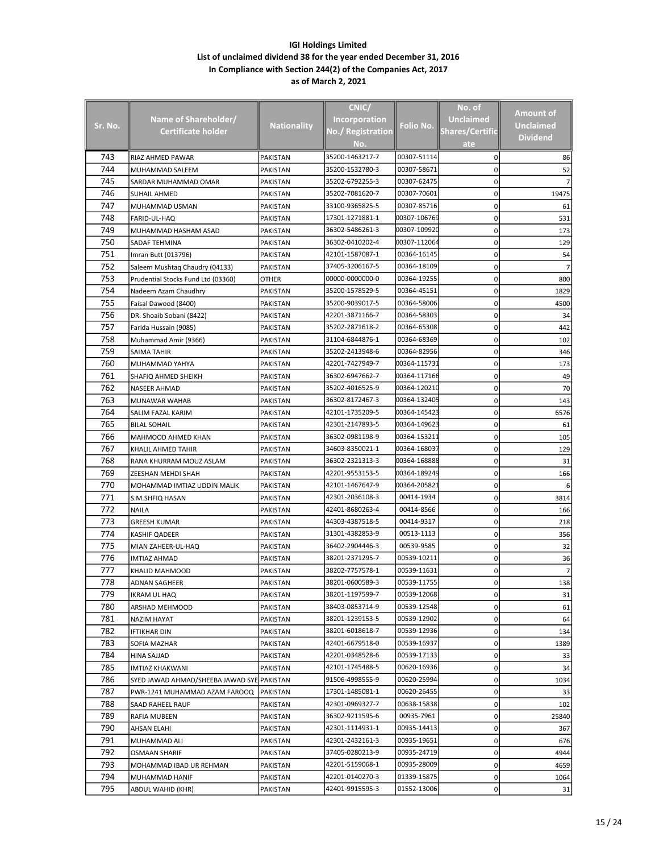|         |                                            |                    | CNIC/                    |              | No. of                 |                 |
|---------|--------------------------------------------|--------------------|--------------------------|--------------|------------------------|-----------------|
|         | Name of Shareholder/                       |                    | <b>Incorporation</b>     |              | <b>Unclaimed</b>       | Amount of       |
| Sr. No. | Certificate holder                         | <b>Nationality</b> | <b>No./ Registration</b> | Folio No.    | <b>Shares/Certific</b> | Unclaimed       |
|         |                                            |                    | No.                      |              | ate                    | <b>Dividend</b> |
| 743     | RIAZ AHMED PAWAR                           | PAKISTAN           | 35200-1463217-7          | 00307-51114  | 0                      | 86              |
| 744     | MUHAMMAD SALEEM                            | PAKISTAN           | 35200-1532780-3          | 00307-58671  | 0                      | 52              |
| 745     | SARDAR MUHAMMAD OMAR                       | PAKISTAN           | 35202-6792255-3          | 00307-62475  | 0                      |                 |
| 746     | SUHAIL AHMED                               | PAKISTAN           | 35202-7081620-7          | 00307-70601  | 0                      | 19475           |
| 747     | MUHAMMAD USMAN                             | PAKISTAN           | 33100-9365825-5          | 00307-85716  | 0                      | 61              |
| 748     | <b>FARID-UL-HAQ</b>                        | PAKISTAN           | 17301-1271881-1          | 00307-106769 | 0                      | 531             |
| 749     | MUHAMMAD HASHAM ASAD                       | PAKISTAN           | 36302-5486261-3          | 00307-109920 | 0                      | 173             |
| 750     | SADAF TEHMINA                              | PAKISTAN           | 36302-0410202-4          | 00307-112064 | 0                      | 129             |
| 751     | Imran Butt (013796)                        | PAKISTAN           | 42101-1587087-1          | 00364-16145  | 0                      | 54              |
| 752     | Saleem Mushtaq Chaudry (04133)             | PAKISTAN           | 37405-3206167-5          | 00364-18109  | 0                      |                 |
| 753     | Prudential Stocks Fund Ltd (03360)         | OTHER              | 00000-0000000-0          | 00364-19255  | 0                      | 800             |
| 754     | Nadeem Azam Chaudhry                       | PAKISTAN           | 35200-1578529-5          | 00364-45151  | 0                      | 1829            |
| 755     | Faisal Dawood (8400)                       | PAKISTAN           | 35200-9039017-5          | 00364-58006  | 0                      | 4500            |
| 756     | DR. Shoaib Sobani (8422)                   | PAKISTAN           | 42201-3871166-7          | 00364-58303  | 0                      | 34              |
| 757     | Farida Hussain (9085)                      | PAKISTAN           | 35202-2871618-2          | 00364-65308  | 0                      | 442             |
| 758     | Muhammad Amir (9366)                       | PAKISTAN           | 31104-6844876-1          | 00364-68369  | 0                      | 102             |
| 759     | SAIMA TAHIR                                | PAKISTAN           | 35202-2413948-6          | 00364-82956  | 0                      | 346             |
| 760     | MUHAMMAD YAHYA                             | PAKISTAN           | 42201-7427949-7          | 00364-115731 | 0                      | 173             |
| 761     | SHAFIQ AHMED SHEIKH                        | PAKISTAN           | 36302-6947662-7          | 00364-117166 | 0                      | 49              |
| 762     | NASEER AHMAD                               | PAKISTAN           | 35202-4016525-9          | 00364-120210 | 0                      | 70              |
| 763     | MUNAWAR WAHAB                              | PAKISTAN           | 36302-8172467-3          | 00364-132405 | 0                      | 143             |
| 764     | SALIM FAZAL KARIM                          | PAKISTAN           | 42101-1735209-5          | 00364-145423 | 0                      | 6576            |
| 765     | <b>BILAL SOHAIL</b>                        | PAKISTAN           | 42301-2147893-5          | 00364-149623 | 0                      | 61              |
| 766     | MAHMOOD AHMED KHAN                         | PAKISTAN           | 36302-0981198-9          | 00364-153211 | 0                      | 105             |
| 767     | KHALIL AHMED TAHIR                         | PAKISTAN           | 34603-8350021-1          | 00364-168037 | 0                      | 129             |
| 768     | RANA KHURRAM MOUZ ASLAM                    | PAKISTAN           | 36302-2321313-3          | 00364-168888 | 0                      | 31              |
| 769     | ZEESHAN MEHDI SHAH                         | PAKISTAN           | 42201-9553153-5          | 00364-189249 | 0                      | 166             |
| 770     | MOHAMMAD IMTIAZ UDDIN MALIK                | PAKISTAN           | 42101-1467647-9          | 00364-205821 | 0                      |                 |
| 771     | S.M.SHFIQ HASAN                            | PAKISTAN           | 42301-2036108-3          | 00414-1934   | 0                      | 3814            |
| 772     | <b>NAILA</b>                               | PAKISTAN           | 42401-8680263-4          | 00414-8566   | 0                      | 166             |
| 773     | <b>GREESH KUMAR</b>                        | <b>PAKISTAN</b>    | 44303-4387518-5          | 00414-9317   | 0                      | 218             |
| 774     | KASHIF QADEER                              | PAKISTAN           | 31301-4382853-9          | 00513-1113   | 0                      | 356             |
| 775     | MIAN ZAHEER-UL-HAQ                         | PAKISTAN           | 36402-2904446-3          | 00539-9585   | 0                      | 32              |
| 776     | <b>IMTIAZ AHMAD</b>                        | PAKISTAN           | 38201-2371295-7          | 00539-10211  | 0                      | 36              |
| 777     | KHALID MAHMOOD                             | PAKISTAN           | 38202-7757578-1          | 00539-11631  | 0                      | 7               |
| 778     | ADNAN SAGHEER                              | PAKISTAN           | 38201-0600589-3          | 00539-11755  | 0                      | 138             |
| 779     | IKRAM UL HAQ                               | PAKISTAN           | 38201-1197599-7          | 00539-12068  | 0                      | 31              |
| 780     | ARSHAD MEHMOOD                             | PAKISTAN           | 38403-0853714-9          | 00539-12548  | 0                      | 61              |
| 781     | NAZIM HAYAT                                | PAKISTAN           | 38201-1239153-5          | 00539-12902  | 0                      | 64              |
| 782     | IFTIKHAR DIN                               | PAKISTAN           | 38201-6018618-7          | 00539-12936  | 0                      | 134             |
| 783     | SOFIA MAZHAR                               | PAKISTAN           | 42401-6679518-0          | 00539-16937  | 0                      | 1389            |
| 784     | HINA SAJJAD                                | PAKISTAN           | 42201-0348528-6          | 00539-17133  | 0                      | 33              |
| 785     | <b>IMTIAZ KHAKWANI</b>                     | PAKISTAN           | 42101-1745488-5          | 00620-16936  | 0                      | 34              |
| 786     | SYED JAWAD AHMAD/SHEEBA JAWAD SYE PAKISTAN |                    | 91506-4998555-9          | 00620-25994  | 0                      | 1034            |
| 787     | PWR-1241 MUHAMMAD AZAM FAROOQ              | PAKISTAN           | 17301-1485081-1          | 00620-26455  | 0                      | 33              |
| 788     | SAAD RAHEEL RAUF                           | PAKISTAN           | 42301-0969327-7          | 00638-15838  | 0                      | 102             |
| 789     | RAFIA MUBEEN                               | PAKISTAN           | 36302-9211595-6          | 00935-7961   | 0                      | 25840           |
| 790     | AHSAN ELAHI                                | PAKISTAN           | 42301-1114931-1          | 00935-14413  | 0                      | 367             |
| 791     | MUHAMMAD ALI                               | PAKISTAN           | 42301-2432161-3          | 00935-19651  | 0                      | 676             |
| 792     | OSMAAN SHARIF                              | PAKISTAN           | 37405-0280213-9          | 00935-24719  | 0                      | 4944            |
| 793     | MOHAMMAD IBAD UR REHMAN                    | PAKISTAN           | 42201-5159068-1          | 00935-28009  | 0                      | 4659            |
| 794     | MUHAMMAD HANIF                             | PAKISTAN           | 42201-0140270-3          | 01339-15875  | 0                      | 1064            |
| 795     | ABDUL WAHID (KHR)                          | PAKISTAN           | 42401-9915595-3          | 01552-13006  | 0                      | 31              |
|         |                                            |                    |                          |              |                        |                 |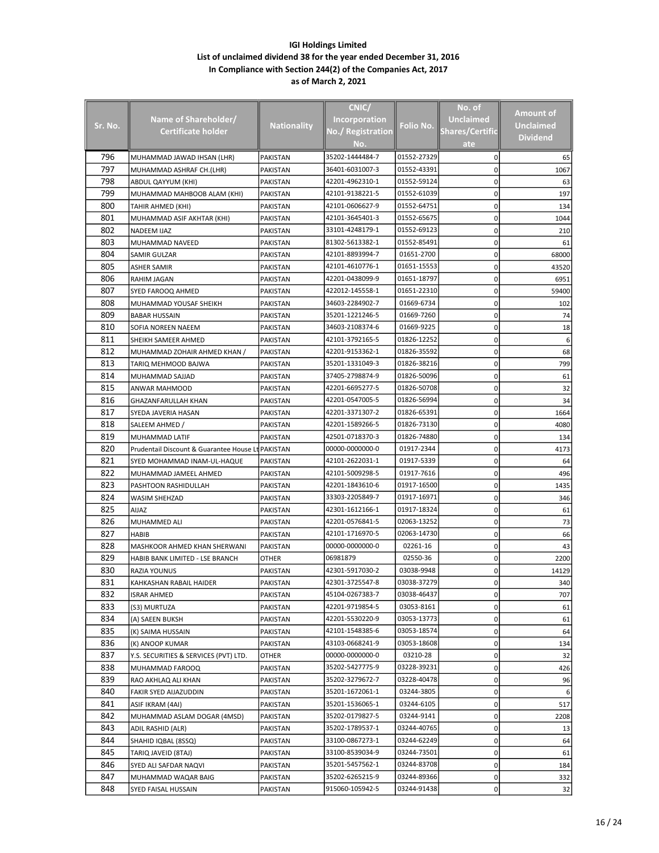|         |                                                   |                    | CNIC/                    |             | No. of                 |                  |
|---------|---------------------------------------------------|--------------------|--------------------------|-------------|------------------------|------------------|
|         | Name of Shareholder/                              |                    | <b>Incorporation</b>     |             | <b>Unclaimed</b>       | Amount of        |
| Sr. No. | <b>Certificate holder</b>                         | <b>Nationality</b> | <b>No./ Registration</b> | Folio No.   | <b>Shares/Certific</b> | <b>Unclaimed</b> |
|         |                                                   |                    | No.                      |             | ate                    | <b>Dividend</b>  |
| 796     | MUHAMMAD JAWAD IHSAN (LHR)                        | PAKISTAN           | 35202-1444484-7          | 01552-27329 | 0                      | 65               |
| 797     |                                                   | PAKISTAN           | 36401-6031007-3          | 01552-43391 | 0                      | 1067             |
| 798     | MUHAMMAD ASHRAF CH.(LHR)                          | PAKISTAN           | 42201-4962310-1          | 01552-59124 | 0                      | 63               |
| 799     | ABDUL QAYYUM (KHI)<br>MUHAMMAD MAHBOOB ALAM (KHI) | PAKISTAN           | 42101-9138221-5          | 01552-61039 | 0                      | 197              |
| 800     | TAHIR AHMED (KHI)                                 | PAKISTAN           | 42101-0606627-9          | 01552-64751 | 0                      | 134              |
| 801     | MUHAMMAD ASIF AKHTAR (KHI)                        | PAKISTAN           | 42101-3645401-3          | 01552-65675 | 0                      | 1044             |
| 802     | <b>NADEEM IJAZ</b>                                | PAKISTAN           | 33101-4248179-1          | 01552-69123 | 0                      | 210              |
| 803     | MUHAMMAD NAVEED                                   | PAKISTAN           | 81302-5613382-1          | 01552-85491 | 0                      | 61               |
| 804     | SAMIR GULZAR                                      | PAKISTAN           | 42101-8893994-7          | 01651-2700  | 0                      | 68000            |
| 805     | <b>ASHER SAMIR</b>                                |                    | 42101-4610776-1          | 01651-15553 | 0                      | 43520            |
| 806     |                                                   | PAKISTAN           | 42201-0438099-9          | 01651-18797 | 0                      | 6951             |
| 807     | RAHIM JAGAN                                       | PAKISTAN           | 422012-145558-1          | 01651-22310 | 0                      |                  |
| 808     | SYED FAROOQ AHMED                                 | PAKISTAN           | 34603-2284902-7          | 01669-6734  | 0                      | 59400            |
| 809     | MUHAMMAD YOUSAF SHEIKH                            | PAKISTAN           | 35201-1221246-5          | 01669-7260  |                        | 102              |
| 810     | <b>BABAR HUSSAIN</b>                              | PAKISTAN           | 34603-2108374-6          | 01669-9225  | 0<br>0                 | 74               |
|         | SOFIA NOREEN NAEEM                                | PAKISTAN           | 42101-3792165-5          | 01826-12252 |                        | 18               |
| 811     | SHEIKH SAMEER AHMED                               | PAKISTAN           | 42201-9153362-1          |             | 0                      | 6                |
| 812     | MUHAMMAD ZOHAIR AHMED KHAN /                      | PAKISTAN           |                          | 01826-35592 | 0                      | 68               |
| 813     | TARIQ MEHMOOD BAJWA                               | PAKISTAN           | 35201-1331049-3          | 01826-38216 | 0                      | 799              |
| 814     | MUHAMMAD SAJJAD                                   | PAKISTAN           | 37405-2798874-9          | 01826-50096 | 0                      | 61               |
| 815     | ANWAR MAHMOOD                                     | PAKISTAN           | 42201-6695277-5          | 01826-50708 | 0                      | 32               |
| 816     | GHAZANFARULLAH KHAN                               | PAKISTAN           | 42201-0547005-5          | 01826-56994 | 0                      | 34               |
| 817     | SYEDA JAVERIA HASAN                               | PAKISTAN           | 42201-3371307-2          | 01826-65391 | 0                      | 1664             |
| 818     | SALEEM AHMED /                                    | PAKISTAN           | 42201-1589266-5          | 01826-73130 | 0                      | 4080             |
| 819     | MUHAMMAD LATIF                                    | PAKISTAN           | 42501-0718370-3          | 01826-74880 | 0                      | 134              |
| 820     | Prudentail Discount & Guarantee House Lt PAKISTAN |                    | 00000-0000000-0          | 01917-2344  | 0                      | 4173             |
| 821     | SYED MOHAMMAD INAM-UL-HAQUE                       | PAKISTAN           | 42101-2622031-1          | 01917-5339  | 0                      | 64               |
| 822     | MUHAMMAD JAMEEL AHMED                             | PAKISTAN           | 42101-5009298-5          | 01917-7616  | 0                      | 496              |
| 823     | PASHTOON RASHIDULLAH                              | PAKISTAN           | 42201-1843610-6          | 01917-16500 | 0                      | 1435             |
| 824     | <b>WASIM SHEHZAD</b>                              | PAKISTAN           | 33303-2205849-7          | 01917-16971 | 0                      | 346              |
| 825     | <b>AIJAZ</b>                                      | PAKISTAN           | 42301-1612166-1          | 01917-18324 | 0                      | 61               |
| 826     | MUHAMMED ALI                                      | PAKISTAN           | 42201-0576841-5          | 02063-13252 | 0                      | 73               |
| 827     | <b>HABIB</b>                                      | PAKISTAN           | 42101-1716970-5          | 02063-14730 | 0                      | 66               |
| 828     | MASHKOOR AHMED KHAN SHERWANI                      | PAKISTAN           | 00000-0000000-0          | 02261-16    | 0                      | 43               |
| 829     | HABIB BANK LIMITED - LSE BRANCH                   | OTHER              | 06981879                 | 02550-36    | 0                      | 2200             |
| 830     | RAZIA YOUNUS                                      | PAKISTAN           | 42301-5917030-2          | 03038-9948  | 0                      | 14129            |
| 831     | KAHKASHAN RABAIL HAIDER                           | PAKISTAN           | 42301-3725547-8          | 03038-37279 | 0                      | 340              |
| 832     | ISRAR AHMED                                       | PAKISTAN           | 45104-0267383-7          | 03038-46437 | 0                      | 707              |
| 833     | (S3) MURTUZA                                      | PAKISTAN           | 42201-9719854-5          | 03053-8161  | 0                      | 61               |
| 834     | (A) SAEEN BUKSH                                   | PAKISTAN           | 42201-5530220-9          | 03053-13773 | 0                      | 61               |
| 835     | (K) SAIMA HUSSAIN                                 | PAKISTAN           | 42101-1548385-6          | 03053-18574 | 0                      | 64               |
| 836     | (K) ANOOP KUMAR                                   | PAKISTAN           | 43103-0668241-9          | 03053-18608 | 0                      | 134              |
| 837     | Y.S. SECURITIES & SERVICES (PVT) LTD.             | OTHER              | 00000-0000000-0          | 03210-28    | 0                      | 32               |
| 838     | MUHAMMAD FAROOQ                                   | PAKISTAN           | 35202-5427775-9          | 03228-39231 | 0                      | 426              |
| 839     | RAO AKHLAQ ALI KHAN                               | PAKISTAN           | 35202-3279672-7          | 03228-40478 | 0                      | 96               |
| 840     | FAKIR SYED AIJAZUDDIN                             | PAKISTAN           | 35201-1672061-1          | 03244-3805  | 0                      |                  |
| 841     | ASIF IKRAM (4AI)                                  | PAKISTAN           | 35201-1536065-1          | 03244-6105  | 0                      | 517              |
| 842     | MUHAMMAD ASLAM DOGAR (4MSD)                       | PAKISTAN           | 35202-0179827-5          | 03244-9141  | 0                      | 2208             |
| 843     | ADIL RASHID (ALR)                                 | PAKISTAN           | 35202-1789537-1          | 03244-40765 | 0                      | 13               |
| 844     | SHAHID IQBAL (8SSQ)                               | PAKISTAN           | 33100-0867273-1          | 03244-62249 | 0                      | 64               |
| 845     | TARIQ JAVEID (8TAJ)                               | PAKISTAN           | 33100-8539034-9          | 03244-73501 | 0                      | 61               |
| 846     | SYED ALI SAFDAR NAQVI                             | PAKISTAN           | 35201-5457562-1          | 03244-83708 | 0                      | 184              |
| 847     | MUHAMMAD WAQAR BAIG                               | PAKISTAN           | 35202-6265215-9          | 03244-89366 | 0                      | 332              |
| 848     | SYED FAISAL HUSSAIN                               | PAKISTAN           | 915060-105942-5          | 03244-91438 | 0                      | 32               |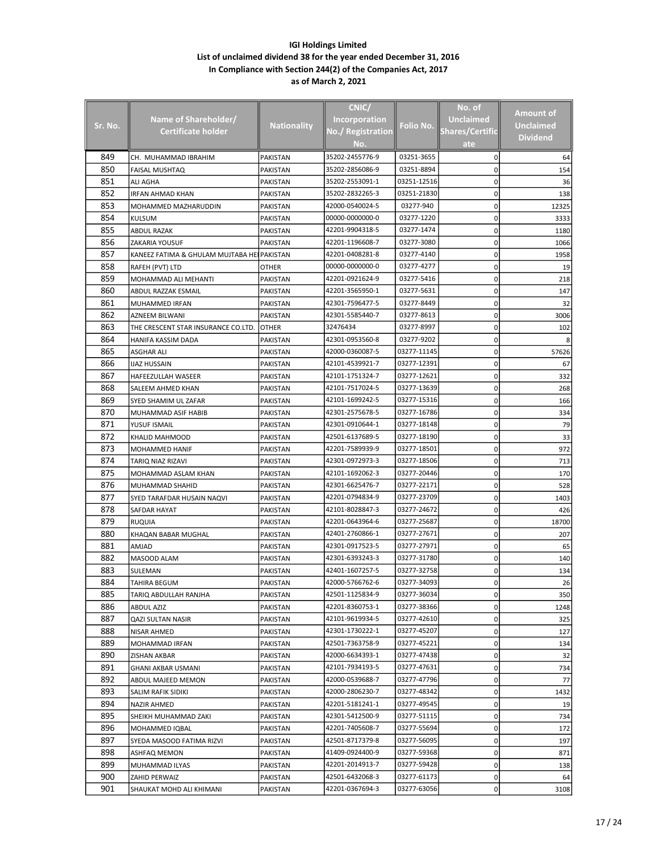|         |                                             |                    | CNIC/                |             | No. of                 |                  |
|---------|---------------------------------------------|--------------------|----------------------|-------------|------------------------|------------------|
|         |                                             |                    |                      |             |                        | <b>Amount of</b> |
| Sr. No. | Name of Shareholder/                        | <b>Nationality</b> | <b>Incorporation</b> | Folio No.   | <b>Unclaimed</b>       | <b>Unclaimed</b> |
|         | Certificate holder                          |                    | No./ Registration    |             | <b>Shares/Certific</b> | <b>Dividend</b>  |
|         |                                             |                    | No.                  |             | ate                    |                  |
| 849     | CH. MUHAMMAD IBRAHIM                        | <b>PAKISTAN</b>    | 35202-2455776-9      | 03251-3655  | 0                      | 64               |
| 850     | <b>FAISAL MUSHTAQ</b>                       | PAKISTAN           | 35202-2856086-9      | 03251-8894  | 0                      | 154              |
| 851     | ALI AGHA                                    | PAKISTAN           | 35202-2553091-1      | 03251-12516 | 0                      | 36               |
| 852     | <b>IRFAN AHMAD KHAN</b>                     | PAKISTAN           | 35202-2832265-3      | 03251-21830 | 0                      | 138              |
| 853     | MOHAMMED MAZHARUDDIN                        | PAKISTAN           | 42000-0540024-5      | 03277-940   | 0                      | 12325            |
| 854     | KULSUM                                      | PAKISTAN           | 00000-0000000-0      | 03277-1220  | 0                      | 3333             |
| 855     | <b>ABDUL RAZAK</b>                          | PAKISTAN           | 42201-9904318-5      | 03277-1474  | 0                      | 1180             |
| 856     | ZAKARIA YOUSUF                              | PAKISTAN           | 42201-1196608-7      | 03277-3080  | 0                      | 1066             |
| 857     | KANEEZ FATIMA & GHULAM MUJTABA HEI PAKISTAN |                    | 42201-0408281-8      | 03277-4140  | 0                      | 1958             |
|         |                                             |                    | 00000-0000000-0      | 03277-4277  |                        |                  |
| 858     | RAFEH (PVT) LTD                             | OTHER              |                      |             | 0                      | 19               |
| 859     | MOHAMMAD ALI MEHANTI                        | PAKISTAN           | 42201-0921624-9      | 03277-5416  | 0                      | 218              |
| 860     | ABDUL RAZZAK ESMAIL                         | PAKISTAN           | 42201-3565950-1      | 03277-5631  | 0                      | 147              |
| 861     | MUHAMMED IRFAN                              | PAKISTAN           | 42301-7596477-5      | 03277-8449  | 0                      | 32               |
| 862     | AZNEEM BILWANI                              | PAKISTAN           | 42301-5585440-7      | 03277-8613  | 0                      | 3006             |
| 863     | THE CRESCENT STAR INSURANCE CO.LTD.         | <b>OTHER</b>       | 32476434             | 03277-8997  | 0                      | 102              |
| 864     | HANIFA KASSIM DADA                          | PAKISTAN           | 42301-0953560-8      | 03277-9202  | 0                      |                  |
| 865     | ASGHAR ALI                                  | PAKISTAN           | 42000-0360087-5      | 03277-11145 | 0                      | 57626            |
| 866     | <b>IJAZ HUSSAIN</b>                         | PAKISTAN           | 42101-4539921-7      | 03277-12391 | 0                      | 67               |
| 867     | <b>HAFEEZULLAH WASEER</b>                   | PAKISTAN           | 42101-1751324-7      | 03277-12621 | 0                      | 332              |
| 868     | SALEEM AHMED KHAN                           | PAKISTAN           | 42101-7517024-5      | 03277-13639 | 0                      | 268              |
| 869     | SYED SHAMIM UL ZAFAR                        | PAKISTAN           | 42101-1699242-5      | 03277-15316 | 0                      | 166              |
| 870     | MUHAMMAD ASIF HABIB                         | PAKISTAN           | 42301-2575678-5      | 03277-16786 | 0                      | 334              |
| 871     | YUSUF ISMAIL                                | PAKISTAN           | 42301-0910644-1      | 03277-18148 | 0                      | 79               |
| 872     | KHALID MAHMOOD                              | PAKISTAN           | 42501-6137689-5      | 03277-18190 | 0                      | 33               |
| 873     | <b>MOHAMMED HANIF</b>                       | PAKISTAN           | 42201-7589939-9      | 03277-18501 | 0                      | 972              |
| 874     | TARIQ NIAZ RIZAVI                           | PAKISTAN           | 42301-0972973-3      | 03277-18506 | 0                      | 713              |
| 875     | MOHAMMAD ASLAM KHAN                         | PAKISTAN           | 42101-1692062-3      | 03277-20446 | 0                      | 170              |
| 876     | MUHAMMAD SHAHID                             | PAKISTAN           | 42301-6625476-7      | 03277-22171 | 0                      | 528              |
| 877     | SYED TARAFDAR HUSAIN NAQVI                  | PAKISTAN           | 42201-0794834-9      | 03277-23709 | 0                      | 1403             |
| 878     | SAFDAR HAYAT                                | PAKISTAN           | 42101-8028847-3      | 03277-24672 | 0                      | 426              |
| 879     | <b>RUQUIA</b>                               | PAKISTAN           | 42201-0643964-6      | 03277-25687 | 0                      | 18700            |
| 880     | KHAQAN BABAR MUGHAL                         | PAKISTAN           | 42401-2760866-1      | 03277-27671 | 0                      | 207              |
| 881     | <b>AMJAD</b>                                | PAKISTAN           | 42301-0917523-5      | 03277-27971 | 0                      | 65               |
| 882     | MASOOD ALAM                                 | PAKISTAN           | 42301-6393243-3      | 03277-31780 | 0                      | 140              |
| 883     | SULEMAN                                     | PAKISTAN           | 42401-1607257-5      | 03277-32758 | 0                      | 134              |
| 884     | TAHIRA BEGUM                                | PAKISTAN           | 42000-5766762-6      | 03277-34093 | 0                      | 26               |
| 885     | TARIQ ABDULLAH RANJHA                       | PAKISTAN           | 42501-1125834-9      | 03277-36034 | 0                      | 350              |
| 886     |                                             | PAKISTAN           | 42201-8360753-1      | 03277-38366 | 0                      |                  |
|         | ABDUL AZIZ                                  |                    | 42101-9619934-5      |             |                        | 1248             |
| 887     | QAZI SULTAN NASIR                           | PAKISTAN           |                      | 03277-42610 | 0                      | 325              |
| 888     | NISAR AHMED                                 | PAKISTAN           | 42301-1730222-1      | 03277-45207 | 0                      | 127              |
| 889     | MOHAMMAD IRFAN                              | PAKISTAN           | 42501-7363758-9      | 03277-45221 | 0                      | 134              |
| 890     | <b>ZISHAN AKBAR</b>                         | PAKISTAN           | 42000-6634393-1      | 03277-47438 | 0                      | 32               |
| 891     | GHANI AKBAR USMANI                          | PAKISTAN           | 42101-7934193-5      | 03277-47631 | 0                      | 734              |
| 892     | ABDUL MAJEED MEMON                          | PAKISTAN           | 42000-0539688-7      | 03277-47796 | 0                      | 77               |
| 893     | SALIM RAFIK SIDIKI                          | PAKISTAN           | 42000-2806230-7      | 03277-48342 | 0                      | 1432             |
| 894     | NAZIR AHMED                                 | PAKISTAN           | 42201-5181241-1      | 03277-49545 | 0                      | 19               |
| 895     | SHEIKH MUHAMMAD ZAKI                        | PAKISTAN           | 42301-5412500-9      | 03277-51115 | 0                      | 734              |
| 896     | MOHAMMED IQBAL                              | PAKISTAN           | 42201-7405608-7      | 03277-55694 | 0                      | 172              |
| 897     | SYEDA MASOOD FATIMA RIZVI                   | PAKISTAN           | 42501-8717379-8      | 03277-56095 | 0                      | 197              |
| 898     | ASHFAQ MEMON                                | PAKISTAN           | 41409-0924400-9      | 03277-59368 | 0                      | 871              |
| 899     | MUHAMMAD ILYAS                              | PAKISTAN           | 42201-2014913-7      | 03277-59428 | 0                      | 138              |
| 900     | ZAHID PERWAIZ                               | PAKISTAN           | 42501-6432068-3      | 03277-61173 | 0                      | 64               |
| 901     | SHAUKAT MOHD ALI KHIMANI                    | PAKISTAN           | 42201-0367694-3      | 03277-63056 | 0                      | 3108             |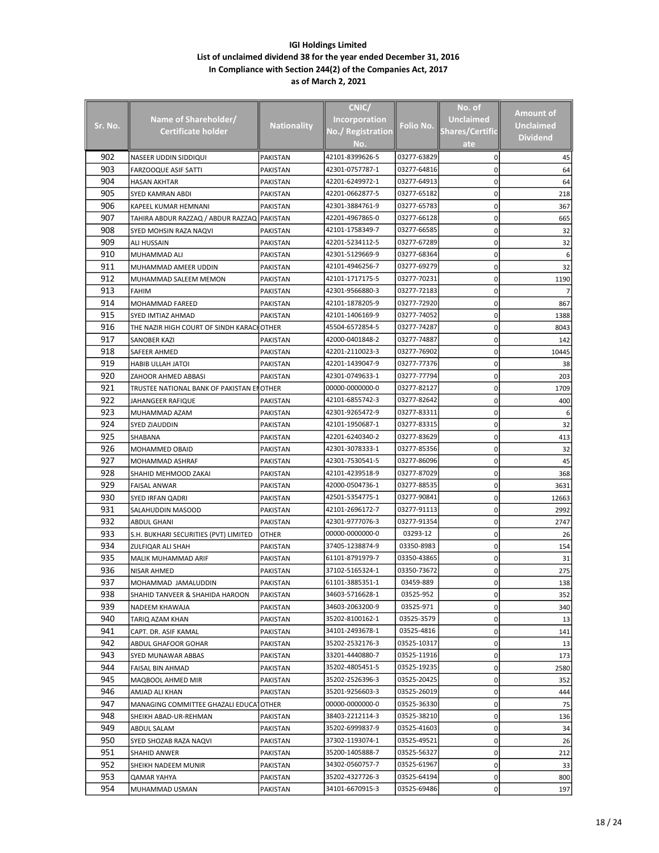|         |                                             |                    | CNIC/                    |             | No. of                 |                  |
|---------|---------------------------------------------|--------------------|--------------------------|-------------|------------------------|------------------|
|         | <b>Name of Shareholder/</b>                 |                    | <b>Incorporation</b>     |             | <b>Unclaimed</b>       | Amount of        |
| Sr. No. | <b>Certificate holder</b>                   | <b>Nationality</b> | <b>No./ Registration</b> | Folio No.   | <b>Shares/Certific</b> | <b>Unclaimed</b> |
|         |                                             |                    | No.                      |             | ate                    | <b>Dividend</b>  |
| 902     | NASEER UDDIN SIDDIQUI                       | PAKISTAN           | 42101-8399626-5          | 03277-63829 | 0                      | 45               |
| 903     | <b>FARZOOQUE ASIF SATTI</b>                 | PAKISTAN           | 42301-0757787-1          | 03277-64816 | 0                      | 64               |
| 904     | HASAN AKHTAR                                | PAKISTAN           | 42201-6249972-1          | 03277-64913 | 0                      | 64               |
| 905     | SYED KAMRAN ABDI                            | PAKISTAN           | 42201-0662877-5          | 03277-65182 | 0                      | 218              |
| 906     | KAPEEL KUMAR HEMNANI                        | PAKISTAN           | 42301-3884761-9          | 03277-65783 | 0                      | 367              |
| 907     | TAHIRA ABDUR RAZZAQ / ABDUR RAZZAQ PAKISTAN |                    | 42201-4967865-0          | 03277-66128 | 0                      | 665              |
| 908     | SYED MOHSIN RAZA NAQVI                      | PAKISTAN           | 42101-1758349-7          | 03277-66585 | 0                      | 32               |
| 909     | ALI HUSSAIN                                 | PAKISTAN           | 42201-5234112-5          | 03277-67289 | 0                      | 32               |
| 910     | MUHAMMAD ALI                                | PAKISTAN           | 42301-5129669-9          | 03277-68364 | 0                      | 6                |
| 911     | MUHAMMAD AMEER UDDIN                        | PAKISTAN           | 42101-4946256-7          | 03277-69279 | 0                      | 32               |
| 912     | MUHAMMAD SALEEM MEMON                       | PAKISTAN           | 42101-1717175-5          | 03277-70231 | 0                      | 1190             |
| 913     | <b>FAHIM</b>                                | PAKISTAN           | 42301-9566880-3          | 03277-72183 | 0                      |                  |
| 914     | MOHAMMAD FAREED                             | PAKISTAN           | 42101-1878205-9          | 03277-72920 | 0                      | 867              |
| 915     | SYED IMTIAZ AHMAD                           | PAKISTAN           | 42101-1406169-9          | 03277-74052 | 0                      | 1388             |
| 916     | THE NAZIR HIGH COURT OF SINDH KARACHOTHER   |                    | 45504-6572854-5          | 03277-74287 | 0                      | 8043             |
| 917     | SANOBER KAZI                                | PAKISTAN           | 42000-0401848-2          | 03277-74887 | 0                      | 142              |
| 918     | SAFEER AHMED                                | PAKISTAN           | 42201-2110023-3          | 03277-76902 | 0                      | 10445            |
| 919     | <b>HABIB ULLAH JATOI</b>                    | PAKISTAN           | 42201-1439047-9          | 03277-77376 | 0                      | 38               |
| 920     | ZAHOOR AHMED ABBASI                         | PAKISTAN           | 42301-0749633-1          | 03277-77794 | 0                      | 203              |
| 921     | TRUSTEE NATIONAL BANK OF PAKISTAN ENOTHER   |                    | 00000-0000000-0          | 03277-82127 | 0                      | 1709             |
| 922     | JAHANGEER RAFIQUE                           | PAKISTAN           | 42101-6855742-3          | 03277-82642 | 0                      | 400              |
| 923     | MUHAMMAD AZAM                               | PAKISTAN           | 42301-9265472-9          | 03277-83311 | 0                      |                  |
| 924     | <b>SYED ZIAUDDIN</b>                        | PAKISTAN           | 42101-1950687-1          | 03277-83315 | 0                      | 32               |
| 925     | SHABANA                                     | PAKISTAN           | 42201-6240340-2          | 03277-83629 | 0                      | 413              |
| 926     | MOHAMMED OBAID                              | PAKISTAN           | 42301-3078333-1          | 03277-85356 | 0                      | 32               |
| 927     | MOHAMMAD ASHRAF                             | PAKISTAN           | 42301-7530541-5          | 03277-86096 | 0                      | 45               |
| 928     | SHAHID MEHMOOD ZAKAI                        | PAKISTAN           | 42101-4239518-9          | 03277-87029 | 0                      | 368              |
| 929     | <b>FAISAL ANWAR</b>                         | PAKISTAN           | 42000-0504736-1          | 03277-88535 | 0                      | 3631             |
| 930     | SYED IRFAN QADRI                            | PAKISTAN           | 42501-5354775-1          | 03277-90841 | 0                      | 12663            |
| 931     | SALAHUDDIN MASOOD                           | PAKISTAN           | 42101-2696172-7          | 03277-91113 | 0                      | 2992             |
| 932     | <b>ABDUL GHANI</b>                          | PAKISTAN           | 42301-9777076-3          | 03277-91354 | 0                      | 2747             |
| 933     | S.H. BUKHARI SECURITIES (PVT) LIMITED       | OTHER              | 00000-0000000-0          | 03293-12    | 0                      | 26               |
| 934     | ZULFIQAR ALI SHAH                           | PAKISTAN           | 37405-1238874-9          | 03350-8983  | 0                      | 154              |
| 935     | MALIK MUHAMMAD ARIF                         | PAKISTAN           | 61101-8791979-7          | 03350-43865 | 0                      | 31               |
| 936     | <b>NISAR AHMED</b>                          | PAKISTAN           | 37102-5165324-1          | 03350-73672 | 0                      | 275              |
| 937     | MOHAMMAD JAMALUDDIN                         | PAKISTAN           | 61101-3885351-1          | 03459-889   | 0                      | 138              |
| 938     | SHAHID TANVEER & SHAHIDA HAROON             | PAKISTAN           | 34603-5716628-1          | 03525-952   | 0                      | 352              |
| 939     | NADEEM KHAWAJA                              | PAKISTAN           | 34603-2063200-9          | 03525-971   | 0                      | 340              |
| 940     | TARIQ AZAM KHAN                             | PAKISTAN           | 35202-8100162-1          | 03525-3579  | 0                      | 13               |
| 941     | CAPT. DR. ASIF KAMAL                        | PAKISTAN           | 34101-2493678-1          | 03525-4816  | 0                      | 141              |
| 942     | ABDUL GHAFOOR GOHAR                         | PAKISTAN           | 35202-2532176-3          | 03525-10317 | 0                      | 13               |
| 943     | SYED MUNAWAR ABBAS                          | PAKISTAN           | 33201-4440880-7          | 03525-11916 | 0                      | 173              |
| 944     | <b>FAISAL BIN AHMAD</b>                     | PAKISTAN           | 35202-4805451-5          | 03525-19235 | 0                      | 2580             |
| 945     | MAQBOOL AHMED MIR                           | PAKISTAN           | 35202-2526396-3          | 03525-20425 | 0                      | 352              |
| 946     | AMJAD ALI KHAN                              | PAKISTAN           | 35201-9256603-3          | 03525-26019 | 0                      | 444              |
| 947     | MANAGING COMMITTEE GHAZALI EDUCA OTHER      |                    | 00000-0000000-0          | 03525-36330 | 0                      | 75               |
| 948     | SHEIKH ABAD-UR-REHMAN                       | PAKISTAN           | 38403-2212114-3          | 03525-38210 | 0                      | 136              |
| 949     | ABDUL SALAM                                 | PAKISTAN           | 35202-6999837-9          | 03525-41603 | 0                      | 34               |
| 950     | SYED SHOZAB RAZA NAQVI                      | PAKISTAN           | 37302-1193074-1          | 03525-49521 | 0                      | 26               |
| 951     | SHAHID ANWER                                | PAKISTAN           | 35200-1405888-7          | 03525-56327 | 0                      | 212              |
| 952     | SHEIKH NADEEM MUNIR                         | PAKISTAN           | 34302-0560757-7          | 03525-61967 | 0                      | 33               |
| 953     | QAMAR YAHYA                                 | PAKISTAN           | 35202-4327726-3          | 03525-64194 | 0                      | 800              |
| 954     | MUHAMMAD USMAN                              | PAKISTAN           | 34101-6670915-3          | 03525-69486 | 0                      | 197              |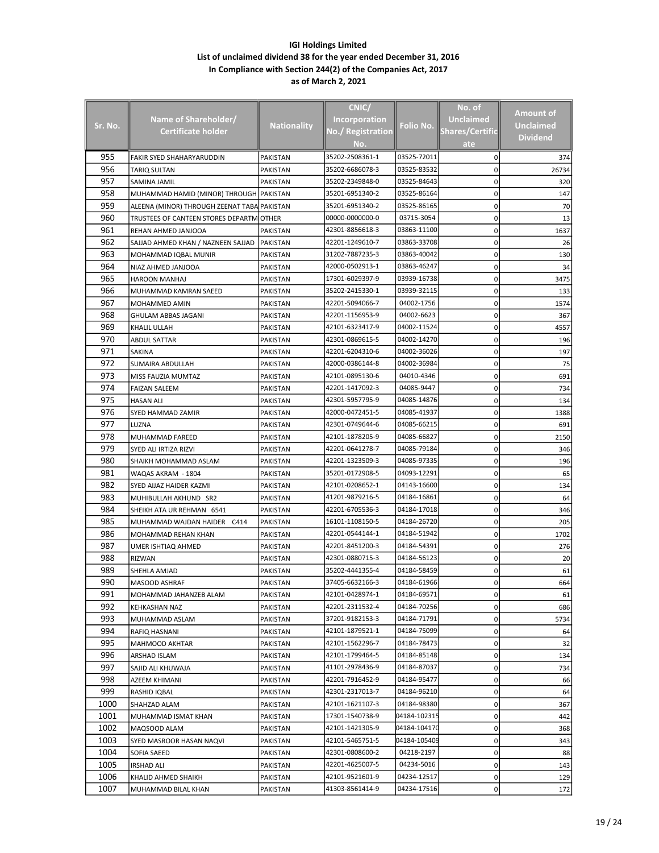|         |                                             |                    | CNIC/                |              | No. of                 |                  |
|---------|---------------------------------------------|--------------------|----------------------|--------------|------------------------|------------------|
|         |                                             |                    |                      |              |                        | Amount of        |
| Sr. No. | Name of Shareholder/                        | <b>Nationality</b> | <b>Incorporation</b> | Folio No.    | Unclaimed              | <b>Unclaimed</b> |
|         | Certificate holder                          |                    | No./ Registration    |              | <b>Shares/Certific</b> | <b>Dividend</b>  |
|         |                                             |                    | No.                  |              | ate                    |                  |
| 955     | <b>FAKIR SYED SHAHARYARUDDIN</b>            | PAKISTAN           | 35202-2508361-1      | 03525-72011  | 0                      | 374              |
| 956     | TARIQ SULTAN                                | PAKISTAN           | 35202-6686078-3      | 03525-83532  | 0                      | 26734            |
| 957     | SAMINA JAMIL                                | PAKISTAN           | 35202-2349848-0      | 03525-84643  | 0                      | 320              |
| 958     | MUHAMMAD HAMID (MINOR) THROUGH PAKISTAN     |                    | 35201-6951340-2      | 03525-86164  | 0                      | 147              |
| 959     | ALEENA (MINOR) THROUGH ZEENAT TABA PAKISTAN |                    | 35201-6951340-2      | 03525-86165  | 0                      | 70               |
| 960     | TRUSTEES OF CANTEEN STORES DEPARTM          | <b>JOTHER</b>      | 00000-0000000-0      | 03715-3054   | 0                      | 13               |
| 961     | REHAN AHMED JANJOOA                         | PAKISTAN           | 42301-8856618-3      | 03863-11100  | 0                      | 1637             |
| 962     | SAJJAD AHMED KHAN / NAZNEEN SAJJAD          | <b>PAKISTAN</b>    | 42201-1249610-7      | 03863-33708  | 0                      | 26               |
| 963     | MOHAMMAD IQBAL MUNIR                        | PAKISTAN           | 31202-7887235-3      | 03863-40042  | 0                      | 130              |
| 964     | NIAZ AHMED JANJOOA                          | PAKISTAN           | 42000-0502913-1      | 03863-46247  | 0                      | 34               |
| 965     | <b>HAROON MANHAJ</b>                        | PAKISTAN           | 17301-6029397-9      | 03939-16738  | 0                      | 3475             |
| 966     | MUHAMMAD KAMRAN SAEED                       | PAKISTAN           | 35202-2415330-1      | 03939-32115  | 0                      | 133              |
| 967     | MOHAMMED AMIN                               | PAKISTAN           | 42201-5094066-7      | 04002-1756   | 0                      | 1574             |
| 968     | GHULAM ABBAS JAGANI                         | PAKISTAN           | 42201-1156953-9      | 04002-6623   | 0                      | 367              |
| 969     | KHALIL ULLAH                                | <b>PAKISTAN</b>    | 42101-6323417-9      | 04002-11524  | 0                      | 4557             |
| 970     | ABDUL SATTAR                                | PAKISTAN           | 42301-0869615-5      | 04002-14270  | 0                      | 196              |
| 971     | SAKINA                                      | PAKISTAN           | 42201-6204310-6      | 04002-36026  | 0                      | 197              |
| 972     | SUMAIRA ABDULLAH                            | PAKISTAN           | 42000-0386144-8      | 04002-36984  | 0                      | 75               |
| 973     | MISS FAUZIA MUMTAZ                          | PAKISTAN           | 42101-0895130-6      | 04010-4346   | 0                      | 691              |
| 974     | <b>FAIZAN SALEEM</b>                        | PAKISTAN           | 42201-1417092-3      | 04085-9447   | 0                      | 734              |
| 975     |                                             |                    | 42301-5957795-9      | 04085-14876  | 0                      |                  |
| 976     | <b>HASAN ALI</b>                            | PAKISTAN           |                      | 04085-41937  |                        | 134              |
|         | SYED HAMMAD ZAMIR                           | PAKISTAN           | 42000-0472451-5      |              | 0                      | 1388             |
| 977     | LUZNA                                       | PAKISTAN           | 42301-0749644-6      | 04085-66215  | 0                      | 691              |
| 978     | MUHAMMAD FAREED                             | PAKISTAN           | 42101-1878205-9      | 04085-66827  | 0                      | 2150             |
| 979     | SYED ALI IRTIZA RIZVI                       | PAKISTAN           | 42201-0641278-7      | 04085-79184  | 0                      | 346              |
| 980     | SHAIKH MOHAMMAD ASLAM                       | PAKISTAN           | 42201-1323509-3      | 04085-97335  | 0                      | 196              |
| 981     | WAQAS AKRAM - 1804                          | PAKISTAN           | 35201-0172908-5      | 04093-12291  | 0                      | 65               |
| 982     | SYED AIJAZ HAIDER KAZMI                     | PAKISTAN           | 42101-0208652-1      | 04143-16600  | 0                      | 134              |
| 983     | MUHIBULLAH AKHUND SR2                       | PAKISTAN           | 41201-9879216-5      | 04184-16861  | 0                      | 64               |
| 984     | SHEIKH ATA UR REHMAN 6541                   | PAKISTAN           | 42201-6705536-3      | 04184-17018  | 0                      | 346              |
| 985     | MUHAMMAD WAJDAN HAIDER<br>C414              | PAKISTAN           | 16101-1108150-5      | 04184-26720  | 0                      | 205              |
| 986     | MOHAMMAD REHAN KHAN                         | PAKISTAN           | 42201-0544144-1      | 04184-51942  | 0                      | 1702             |
| 987     | UMER ISHTIAQ AHMED                          | PAKISTAN           | 42201-8451200-3      | 04184-54391  | 0                      | 276              |
| 988     | RIZWAN                                      | PAKISTAN           | 42301-0880715-3      | 04184-56123  | 0                      | 20               |
| 989     | SHEHLA AMJAD                                | PAKISTAN           | 35202-4441355-4      | 04184-58459  | 0                      | 61               |
| 990     | MASOOD ASHRAF                               | PAKISTAN           | 37405-6632166-3      | 04184-61966  | 0                      | 664              |
| 991     | MOHAMMAD JAHANZEB ALAM                      | PAKISTAN           | 42101-0428974-1      | 04184-69571  | 0                      | 61               |
| 992     | KEHKASHAN NAZ                               | PAKISTAN           | 42201-2311532-4      | 04184-70256  | 0                      | 686              |
| 993     | MUHAMMAD ASLAM                              | PAKISTAN           | 37201-9182153-3      | 04184-71791  | 0                      | 5734             |
| 994     | RAFIQ HASNANI                               | PAKISTAN           | 42101-1879521-1      | 04184-75099  | 0                      | 64               |
| 995     | MAHMOOD AKHTAR                              | PAKISTAN           | 42101-1562296-7      | 04184-78473  | 0                      | 32               |
| 996     | ARSHAD ISLAM                                | PAKISTAN           | 42101-1799464-5      | 04184-85148  | 0                      | 134              |
| 997     | SAJID ALI KHUWAJA                           | PAKISTAN           | 41101-2978436-9      | 04184-87037  | 0                      | 734              |
| 998     | AZEEM KHIMANI                               | PAKISTAN           | 42201-7916452-9      | 04184-95477  | 0                      | 66               |
| 999     | RASHID IQBAL                                | PAKISTAN           | 42301-2317013-7      | 04184-96210  | 0                      | 64               |
| 1000    | SHAHZAD ALAM                                | PAKISTAN           | 42101-1621107-3      | 04184-98380  | 0                      | 367              |
| 1001    | MUHAMMAD ISMAT KHAN                         | PAKISTAN           | 17301-1540738-9      | 04184-102315 | 0                      | 442              |
| 1002    | MAQSOOD ALAM                                | PAKISTAN           | 42101-1421305-9      | 04184-104170 | 0                      | 368              |
| 1003    | SYED MASROOR HASAN NAQVI                    | PAKISTAN           | 42101-5465751-5      | 04184-105409 | 0                      | 343              |
| 1004    | SOFIA SAEED                                 | PAKISTAN           | 42301-0808600-2      | 04218-2197   | 0                      | 88               |
| 1005    | IRSHAD ALI                                  | PAKISTAN           | 42201-4625007-5      | 04234-5016   | 0                      | 143              |
| 1006    |                                             |                    | 42101-9521601-9      | 04234-12517  | 0                      | 129              |
| 1007    | KHALID AHMED SHAIKH                         | PAKISTAN           | 41303-8561414-9      | 04234-17516  |                        |                  |
|         | MUHAMMAD BILAL KHAN                         | PAKISTAN           |                      |              | 0                      | 172              |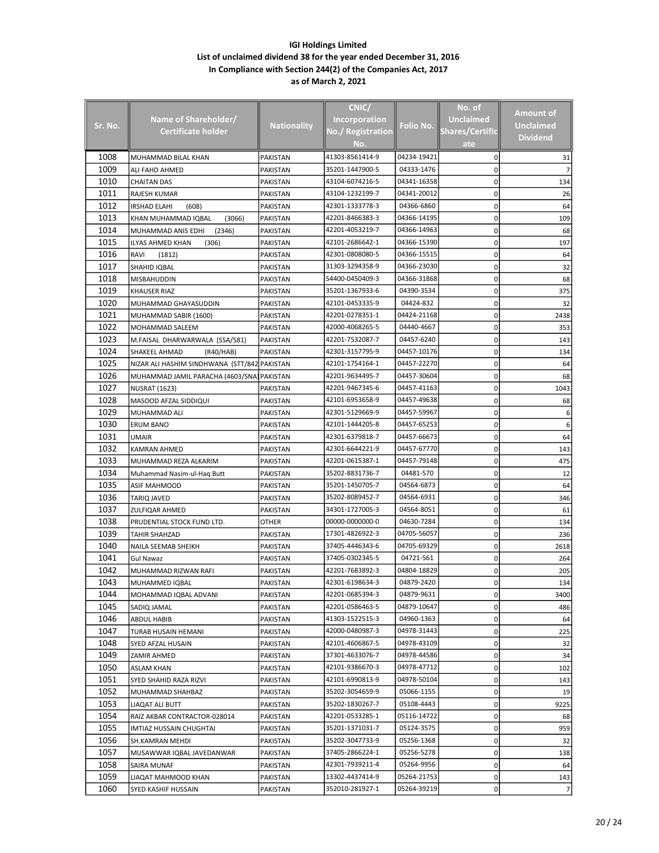|                |                                              |                    | CNIC/                |             | No. of                 | Amount of        |
|----------------|----------------------------------------------|--------------------|----------------------|-------------|------------------------|------------------|
| <u>Sr. No.</u> | Name of Shareholder/                         | <b>Nationality</b> | <b>Incorporation</b> | Folio No.   | <b>Unclaimed</b>       | <b>Unclaimed</b> |
|                | <b>Certificate holder</b>                    |                    | No./ Registration    |             | <b>Shares/Certific</b> | <b>Dividend</b>  |
|                |                                              |                    | No.                  |             | ate                    |                  |
| 1008           | MUHAMMAD BILAL KHAN                          | PAKISTAN           | 41303-8561414-9      | 04234-19421 | 0                      | 31               |
| 1009           | ALI FAHD AHMED                               | PAKISTAN           | 35201-1447900-5      | 04333-1476  | 0                      |                  |
| 1010           | CHAITAN DAS                                  | PAKISTAN           | 43104-6074216-5      | 04341-16358 | 0                      | 134              |
| 1011           | RAJESH KUMAR                                 | PAKISTAN           | 43104-1232199-7      | 04341-20012 | 0                      | 26               |
| 1012           | IRSHAD ELAHI<br>(608)                        | PAKISTAN           | 42301-1333778-3      | 04366-6860  | 0                      | 64               |
| 1013           |                                              | <b>PAKISTAN</b>    | 42201-8466383-3      | 04366-14195 |                        |                  |
| 1014           | KHAN MUHAMMAD IQBAL<br>(3066)                |                    | 42201-4053219-7      |             | 0                      | 109              |
|                | MUHAMMAD ANIS EDHI<br>(2346)                 | PAKISTAN           |                      | 04366-14963 | 0                      | 68               |
| 1015           | ILYAS AHMED KHAN<br>(306)                    | PAKISTAN           | 42101-2686642-1      | 04366-15390 | 0                      | 197              |
| 1016           | RAVI<br>(1812)                               | PAKISTAN           | 42301-0808080-5      | 04366-15515 | 0                      | 64               |
| 1017           | SHAHID IQBAL                                 | PAKISTAN           | 31303-3294358-9      | 04366-23030 | 0                      | 32               |
| 1018           | MISBAHUDDIN                                  | PAKISTAN           | 54400-0450409-3      | 04366-31868 | 0                      | 68               |
| 1019           | KHAUSER RIAZ                                 | PAKISTAN           | 35201-1367933-6      | 04390-3534  | 0                      | 375              |
| 1020           | MUHAMMAD GHAYASUDDIN                         | PAKISTAN           | 42101-0453335-9      | 04424-832   | 0                      | 32               |
| 1021           | MUHAMMAD SABIR (1600)                        | PAKISTAN           | 42201-0278351-1      | 04424-21168 | 0                      | 2438             |
| 1022           | MOHAMMAD SALEEM                              | PAKISTAN           | 42000-4068265-5      | 04440-4667  | 0                      | 353              |
| 1023           | M.FAISAL DHARWARWALA (SSA/581)               | PAKISTAN           | 42201-7532087-7      | 04457-6240  | 0                      | 143              |
| 1024           | <b>SHAKEEL AHMAD</b><br>(R40/HAB)            | <b>PAKISTAN</b>    | 42301-3157795-9      | 04457-10176 | 0                      | 134              |
| 1025           | NIZAR ALI HASHIM SINDHWANA (STT/842 PAKISTAN |                    | 42101-1754164-1      | 04457-22270 | 0                      | 64               |
| 1026           | MUHAMMAD JAMIL PARACHA (4603/SNA) PAKISTAN   |                    | 42201-9634495-7      | 04457-30604 | 0                      | 68               |
| 1027           | NUSRAT (1623)                                | PAKISTAN           | 42201-9467345-6      | 04457-41163 | 0                      | 1043             |
| 1028           | MASOOD AFZAL SIDDIQUI                        | PAKISTAN           | 42101-6953658-9      | 04457-49638 | 0                      | 68               |
| 1029           | MUHAMMAD ALI                                 | PAKISTAN           | 42301-5129669-9      | 04457-59967 | 0                      | 6                |
|                |                                              |                    |                      | 04457-65253 |                        |                  |
| 1030           | <b>ERUM BANO</b>                             | PAKISTAN           | 42101-1444205-8      |             | 0                      | 6                |
| 1031           | <b>UMAIR</b>                                 | PAKISTAN           | 42301-6379818-7      | 04457-66673 | 0                      | 64               |
| 1032           | <b>KAMRAN AHMED</b>                          | PAKISTAN           | 42301-6644221-9      | 04457-67770 | 0                      | 143              |
| 1033           | MUHAMMAD REZA ALKARIM                        | PAKISTAN           | 42201-0615387-1      | 04457-79148 | 0                      | 475              |
| 1034           | Muhammad Nasim-ul-Haq Butt                   | PAKISTAN           | 35202-8831736-7      | 04481-570   | 0                      | 12               |
| 1035           | ASIF MAHMOOD                                 | PAKISTAN           | 35201-1450705-7      | 04564-6873  | 0                      | 64               |
| 1036           | TARIQ JAVED                                  | PAKISTAN           | 35202-8089452-7      | 04564-6931  | 0                      | 346              |
| 1037           | <b>ZULFIQAR AHMED</b>                        | PAKISTAN           | 34301-1727005-3      | 04564-8051  | 0                      | 61               |
| 1038           | PRUDENTIAL STOCK FUND LTD.                   | OTHER              | 00000-0000000-0      | 04630-7284  | 0                      | 134              |
| 1039           | TAHIR SHAHZAD                                | <b>PAKISTAN</b>    | 17301-4826922-3      | 04705-56057 | 0                      | 236              |
| 1040           | NAILA SEEMAB SHEIKH                          | PAKISTAN           | 37405-4446343-6      | 04705-69329 | 0                      | 2618             |
| 1041           | Gul Nawaz                                    | PAKISTAN           | 37405-0302345-5      | 04721-561   | 0                      | 264              |
| 1042           | MUHAMMAD RIZWAN RAFI                         | PAKISTAN           | 42201-7683892-3      | 04804-18829 | 0                      | 205              |
| 1043           | MUHAMMED IQBAL                               | PAKISTAN           | 42301-6198634-3      | 04879-2420  | 0                      | 134              |
| 1044           | MOHAMMAD IQBAL ADVANI                        | PAKISTAN           | 42201-0685394-3      | 04879-9631  | 0                      | 3400             |
| 1045           | SADIQ JAMAL                                  | PAKISTAN           | 42201-0586463-5      | 04879-10647 | 0                      | 486              |
| 1046           | <b>ABDUL HABIB</b>                           | PAKISTAN           | 41303-1522515-3      | 04960-1363  | 0                      | 64               |
| 1047           | TURAB HUSAIN HEMANI                          | PAKISTAN           | 42000-0480987-3      | 04978-31443 | 0                      | 225              |
| 1048           |                                              |                    | 42101-4606867-5      | 04978-43109 | 0                      | 32               |
|                | SYED AFZAL HUSAIN                            | PAKISTAN           | 37301-4633076-7      | 04978-44586 |                        |                  |
| 1049           | ZAMIR AHMED                                  | PAKISTAN           |                      |             | 0                      | 34               |
| 1050           | ASLAM KHAN                                   | PAKISTAN           | 42101-9386670-3      | 04978-47712 | 0                      | 102              |
| 1051           | SYED SHAHID RAZA RIZVI                       | PAKISTAN           | 42101-6990813-9      | 04978-50104 | 0                      | 143              |
| 1052           | MUHAMMAD SHAHBAZ                             | PAKISTAN           | 35202-3054659-9      | 05066-1155  | 0                      | 19               |
| 1053           | LIAQAT ALI BUTT                              | PAKISTAN           | 35202-1830267-7      | 05108-4443  | 0                      | 9225             |
| 1054           | RAIZ AKBAR CONTRACTOR-028014                 | PAKISTAN           | 42201-0533285-1      | 05116-14722 | 0                      | 68               |
| 1055           | IMTIAZ HUSSAIN CHUGHTAI                      | PAKISTAN           | 35201-1371031-7      | 05124-3575  | 0                      | 959              |
| 1056           | SH.KAMRAN MEHDI                              | PAKISTAN           | 35202-3047733-9      | 05256-1368  | 0                      | 32               |
| 1057           | MUSAWWAR IQBAL JAVEDANWAR                    | PAKISTAN           | 37405-2866224-1      | 05256-5278  | 0                      | 138              |
| 1058           | SAIRA MUNAF                                  | PAKISTAN           | 42301-7939211-4      | 05264-9956  | 0                      | 64               |
| 1059           | LIAQAT MAHMOOD KHAN                          | PAKISTAN           | 13302-4437414-9      | 05264-21753 | 0                      | 143              |
| 1060           | SYED KASHIF HUSSAIN                          | PAKISTAN           | 352010-281927-1      | 05264-39219 | 0                      | 7                |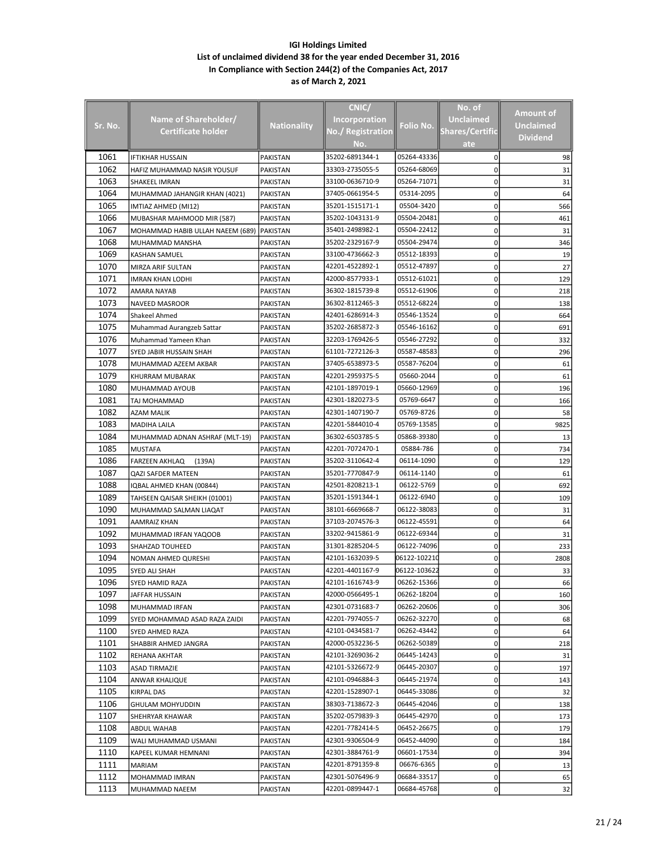|              |                                  |                    | CNIC/                    |                            | No. of                 |                  |
|--------------|----------------------------------|--------------------|--------------------------|----------------------------|------------------------|------------------|
|              | Name of Shareholder/             |                    | <b>Incorporation</b>     |                            | <b>Unclaimed</b>       | Amount of        |
| Sr. No.      | <b>Certificate holder</b>        | <b>Nationality</b> | <b>No./ Registration</b> | Folio No.                  | <b>Shares/Certific</b> | <b>Unclaimed</b> |
|              |                                  |                    | No.                      |                            | ate                    | <b>Dividend</b>  |
| 1061         | IFTIKHAR HUSSAIN                 | PAKISTAN           | 35202-6891344-1          | 05264-43336                | 0                      | 98               |
| 1062         | HAFIZ MUHAMMAD NASIR YOUSUF      | PAKISTAN           | 33303-2735055-5          | 05264-68069                | 0                      | 31               |
| 1063         | SHAKEEL IMRAN                    | PAKISTAN           | 33100-0636710-9          | 05264-71071                | 0                      | 31               |
| 1064         | MUHAMMAD JAHANGIR KHAN (4021)    | PAKISTAN           | 37405-0661954-5          | 05314-2095                 | 0                      | 64               |
| 1065         | IMTIAZ AHMED (MI12)              | PAKISTAN           | 35201-1515171-1          | 05504-3420                 | 0                      | 566              |
| 1066         | MUBASHAR MAHMOOD MIR (587)       | PAKISTAN           | 35202-1043131-9          | 05504-20481                | 0                      | 461              |
| 1067         | MOHAMMAD HABIB ULLAH NAEEM (689) | <b>PAKISTAN</b>    | 35401-2498982-1          | 05504-22412                | 0                      | 31               |
| 1068         | MUHAMMAD MANSHA                  | PAKISTAN           | 35202-2329167-9          | 05504-29474                | 0                      | 346              |
| 1069         | KASHAN SAMUEL                    | PAKISTAN           | 33100-4736662-3          | 05512-18393                | 0                      | 19               |
| 1070         | MIRZA ARIF SULTAN                | PAKISTAN           | 42201-4522892-1          | 05512-47897                | 0                      | 27               |
| 1071         | IMRAN KHAN LODHI                 | PAKISTAN           | 42000-8577933-1          | 05512-61021                | 0                      | 129              |
| 1072         | AMARA NAYAB                      | PAKISTAN           | 36302-1815739-8          | 05512-61906                | 0                      | 218              |
| 1073         | NAVEED MASROOR                   | PAKISTAN           | 36302-8112465-3          | 05512-68224                | 0                      | 138              |
| 1074         | Shakeel Ahmed                    | PAKISTAN           | 42401-6286914-3          | 05546-13524                | 0                      | 664              |
| 1075         | Muhammad Aurangzeb Sattar        | PAKISTAN           | 35202-2685872-3          | 05546-16162                | 0                      | 691              |
| 1076         | Muhammad Yameen Khan             | PAKISTAN           | 32203-1769426-5          | 05546-27292                | 0                      | 332              |
| 1077         | SYED JABIR HUSSAIN SHAH          | PAKISTAN           | 61101-7272126-3          | 05587-48583                | 0                      | 296              |
| 1078         | MUHAMMAD AZEEM AKBAR             | PAKISTAN           | 37405-6538973-5          | 05587-76204                | 0                      | 61               |
| 1079         | KHURRAM MUBARAK                  | PAKISTAN           | 42201-2959375-5          | 05660-2044                 | 0                      | 61               |
| 1080         | MUHAMMAD AYOUB                   | PAKISTAN           | 42101-1897019-1          | 05660-12969                | 0                      | 196              |
| 1081         | TAJ MOHAMMAD                     | PAKISTAN           | 42301-1820273-5          | 05769-6647                 | 0                      | 166              |
| 1082         | AZAM MALIK                       | PAKISTAN           | 42301-1407190-7          | 05769-8726                 | 0                      | 58               |
| 1083         |                                  |                    | 42201-5844010-4          | 05769-13585                | 0                      |                  |
| 1084         | MADIHA LAILA                     | PAKISTAN           | 36302-6503785-5          | 05868-39380                |                        | 9825             |
| 1085         | MUHAMMAD ADNAN ASHRAF (MLT-19)   | PAKISTAN           | 42201-7072470-1          | 05884-786                  | 0<br>0                 | 13               |
|              | <b>MUSTAFA</b>                   | PAKISTAN           | 35202-3110642-4          | 06114-1090                 |                        | 734              |
| 1086<br>1087 | FARZEEN AKHLAQ<br>(139A)         | PAKISTAN           | 35201-7770847-9          | 06114-1140                 | 0<br>0                 | 129<br>61        |
| 1088         | QAZI SAFDER MATEEN               | PAKISTAN           | 42501-8208213-1          | 06122-5769                 | 0                      | 692              |
| 1089         | IQBAL AHMED KHAN (00844)         | PAKISTAN           | 35201-1591344-1          | 06122-6940                 | 0                      |                  |
| 1090         | TAHSEEN QAISAR SHEIKH (01001)    | PAKISTAN           |                          |                            |                        | 109              |
| 1091         | MUHAMMAD SALMAN LIAQAT           | PAKISTAN           | 38101-6669668-7          | 06122-38083                | 0                      | 31               |
| 1092         | AAMRAIZ KHAN                     | <b>PAKISTAN</b>    | 37103-2074576-3          | 06122-45591<br>06122-69344 | 0<br>0                 | 64               |
| 1093         | MUHAMMAD IRFAN YAQOOB            | PAKISTAN           | 33202-9415861-9          |                            |                        | 31               |
|              | SHAHZAD TOUHEED                  | PAKISTAN           | 31301-8285204-5          | 06122-74096                | 0                      | 233              |
| 1094         | <b>NOMAN AHMED QURESHI</b>       | PAKISTAN           | 42101-1632039-5          | 06122-102210               | 0                      | 2808             |
| 1095         | SYED ALI SHAH                    | PAKISTAN           | 42201-4401167-9          | 06122-103622               | 0                      | 33               |
| 1096         | SYED HAMID RAZA                  | PAKISTAN           | 42101-1616743-9          | 06262-15366                | 0                      | 66               |
| 1097         | JAFFAR HUSSAIN                   | PAKISTAN           | 42000-0566495-1          | 06262-18204                | 0                      | 160              |
| 1098         | MUHAMMAD IRFAN                   | PAKISTAN           | 42301-0731683-7          | 06262-20606                | 0                      | 306              |
| 1099         | SYED MOHAMMAD ASAD RAZA ZAIDI    | PAKISTAN           | 42201-7974055-7          | 06262-32270                | 0                      | 68               |
| 1100         | SYED AHMED RAZA                  | PAKISTAN           | 42101-0434581-7          | 06262-43442                | 0                      | 64               |
| 1101         | SHABBIR AHMED JANGRA             | PAKISTAN           | 42000-0532236-5          | 06262-50389                | 0                      | 218              |
| 1102         | REHANA AKHTAR                    | PAKISTAN           | 42101-3269036-2          | 06445-14243                | 0                      | 31               |
| 1103         | ASAD TIRMAZIE                    | PAKISTAN           | 42101-5326672-9          | 06445-20307                | 0                      | 197              |
| 1104         | ANWAR KHALIQUE                   | PAKISTAN           | 42101-0946884-3          | 06445-21974                | 0                      | 143              |
| 1105         | KIRPAL DAS                       | PAKISTAN           | 42201-1528907-1          | 06445-33086                | 0                      | 32               |
| 1106         | GHULAM MOHYUDDIN                 | PAKISTAN           | 38303-7138672-3          | 06445-42046                | 0                      | 138              |
| 1107         | SHEHRYAR KHAWAR                  | PAKISTAN           | 35202-0579839-3          | 06445-42970                | 0                      | 173              |
| 1108         | ABDUL WAHAB                      | PAKISTAN           | 42201-7782414-5          | 06452-26675                | 0                      | 179              |
| 1109         | WALI MUHAMMAD USMANI             | PAKISTAN           | 42301-9306504-9          | 06452-44090                | 0                      | 184              |
| 1110         | KAPEEL KUMAR HEMNANI             | PAKISTAN           | 42301-3884761-9          | 06601-17534                | 0                      | 394              |
| 1111         | MARIAM                           | PAKISTAN           | 42201-8791359-8          | 06676-6365                 | 0                      | 13               |
| 1112         | MOHAMMAD IMRAN                   | PAKISTAN           | 42301-5076496-9          | 06684-33517                | 0                      | 65               |
| 1113         | MUHAMMAD NAEEM                   | PAKISTAN           | 42201-0899447-1          | 06684-45768                | 0                      | 32               |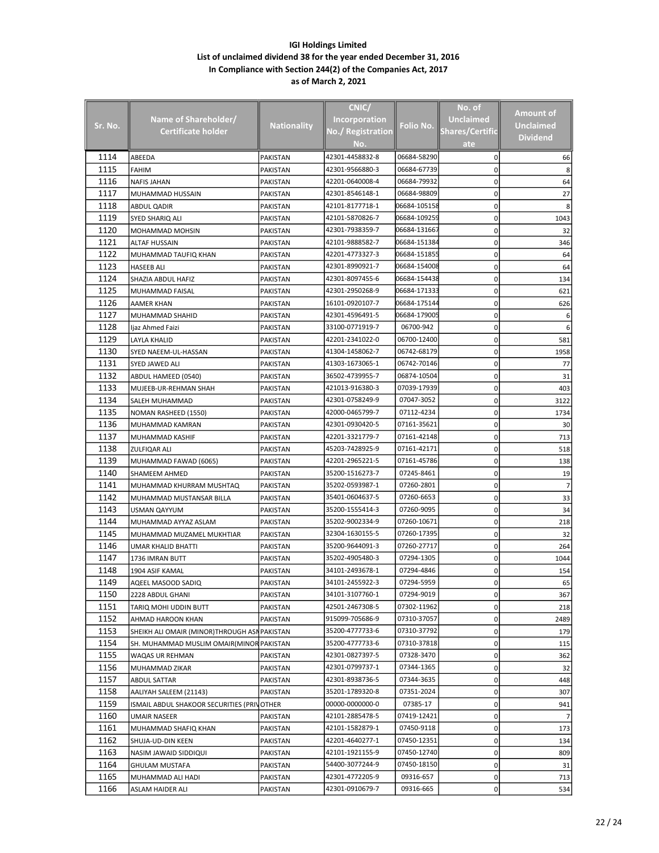|         |                                              |                    | CNIC/                    |              | No. of                 |                 |
|---------|----------------------------------------------|--------------------|--------------------------|--------------|------------------------|-----------------|
|         | Name of Shareholder/                         |                    | <b>Incorporation</b>     |              | <b>Unclaimed</b>       | Amount of       |
| Sr. No. | <b>Certificate holder</b>                    | <b>Nationality</b> | <b>No./ Registration</b> | Folio No.    | <b>Shares/Certific</b> | Unclaimed       |
|         |                                              |                    | No.                      |              | ate                    | <b>Dividend</b> |
| 1114    | ABEEDA                                       | PAKISTAN           | 42301-4458832-8          | 06684-58290  | 0                      | 66              |
| 1115    | FAHIM                                        | PAKISTAN           | 42301-9566880-3          | 06684-67739  | 0                      |                 |
| 1116    | NAFIS JAHAN                                  | PAKISTAN           | 42201-0640008-4          | 06684-79932  | 0                      | 64              |
| 1117    | MUHAMMAD HUSSAIN                             | PAKISTAN           | 42301-8546148-1          | 06684-98809  | 0                      | 27              |
| 1118    | ABDUL QADIR                                  | PAKISTAN           | 42101-8177718-1          | 06684-105158 | 0                      | 8               |
| 1119    | SYED SHARIQ ALI                              | PAKISTAN           | 42101-5870826-7          | 06684-109259 | 0                      | 1043            |
| 1120    | MOHAMMAD MOHSIN                              | PAKISTAN           | 42301-7938359-7          | 06684-131667 | 0                      | 32              |
| 1121    | ALTAF HUSSAIN                                | PAKISTAN           | 42101-9888582-7          | 06684-151384 | 0                      | 346             |
| 1122    | MUHAMMAD TAUFIQ KHAN                         | PAKISTAN           | 42201-4773327-3          | 06684-151855 | 0                      | 64              |
| 1123    | <b>HASEEB ALI</b>                            | PAKISTAN           | 42301-8990921-7          | 06684-154008 | 0                      | 64              |
| 1124    | SHAZIA ABDUL HAFIZ                           | PAKISTAN           | 42301-8097455-6          | 06684-154438 | 0                      | 134             |
| 1125    | MUHAMMAD FAISAL                              | PAKISTAN           | 42301-2950268-9          | 06684-171333 | 0                      | 621             |
| 1126    | AAMER KHAN                                   | PAKISTAN           | 16101-0920107-7          | 06684-175144 | 0                      | 626             |
| 1127    | MUHAMMAD SHAHID                              | PAKISTAN           | 42301-4596491-5          | 06684-179005 | 0                      | 6               |
| 1128    | ljaz Ahmed Faizi                             | <b>PAKISTAN</b>    | 33100-0771919-7          | 06700-942    | 0                      |                 |
| 1129    | LAYLA KHALID                                 | PAKISTAN           | 42201-2341022-0          | 06700-12400  | 0                      | 581             |
| 1130    | SYED NAEEM-UL-HASSAN                         | PAKISTAN           | 41304-1458062-7          | 06742-68179  | 0                      | 1958            |
| 1131    | SYED JAWED ALI                               | PAKISTAN           | 41303-1673065-1          | 06742-70146  | 0                      | 77              |
| 1132    | ABDUL HAMEED (0540)                          | PAKISTAN           | 36502-4739955-7          | 06874-10504  | 0                      | 31              |
| 1133    | MUJEEB-UR-REHMAN SHAH                        | PAKISTAN           | 421013-916380-3          | 07039-17939  | 0                      | 403             |
| 1134    | SALEH MUHAMMAD                               | PAKISTAN           | 42301-0758249-9          | 07047-3052   | 0                      | 3122            |
| 1135    | NOMAN RASHEED (1550)                         | PAKISTAN           | 42000-0465799-7          | 07112-4234   | 0                      | 1734            |
| 1136    | MUHAMMAD KAMRAN                              | PAKISTAN           | 42301-0930420-5          | 07161-35621  | 0                      | 30              |
| 1137    | MUHAMMAD KASHIF                              | PAKISTAN           | 42201-3321779-7          | 07161-42148  | 0                      | 713             |
| 1138    | ZULFIQAR ALI                                 | PAKISTAN           | 45203-7428925-9          | 07161-42171  | 0                      | 518             |
| 1139    | MUHAMMAD FAWAD (6065)                        | PAKISTAN           | 42201-2965221-5          | 07161-45786  | 0                      | 138             |
| 1140    | SHAMEEM AHMED                                | PAKISTAN           | 35200-1516273-7          | 07245-8461   | 0                      | 19              |
| 1141    | MUHAMMAD KHURRAM MUSHTAQ                     | PAKISTAN           | 35202-0593987-1          | 07260-2801   | 0                      |                 |
| 1142    | MUHAMMAD MUSTANSAR BILLA                     | PAKISTAN           | 35401-0604637-5          | 07260-6653   | 0                      | 33              |
| 1143    | USMAN QAYYUM                                 | PAKISTAN           | 35200-1555414-3          | 07260-9095   | 0                      | 34              |
| 1144    | MUHAMMAD AYYAZ ASLAM                         | PAKISTAN           | 35202-9002334-9          | 07260-10671  | 0                      | 218             |
| 1145    | MUHAMMAD MUZAMEL MUKHTIAR                    | PAKISTAN           | 32304-1630155-5          | 07260-17395  | 0                      | 32              |
| 1146    | UMAR KHALID BHATTI                           | PAKISTAN           | 35200-9644091-3          | 07260-27717  | 0                      | 264             |
| 1147    | 1736 IMRAN BUTT                              | PAKISTAN           | 35202-4905480-3          | 07294-1305   | 0                      | 1044            |
| 1148    | 1904 ASIF KAMAL                              | PAKISTAN           | 34101-2493678-1          | 07294-4846   | 0                      | 154             |
| 1149    | AQEEL MASOOD SADIQ                           | PAKISTAN           | 34101-2455922-3          | 07294-5959   | 0                      | 65              |
| 1150    | 2228 ABDUL GHANI                             | PAKISTAN           | 34101-3107760-1          | 07294-9019   | 0                      | 367             |
| 1151    | TARIQ MOHI UDDIN BUTT                        | PAKISTAN           | 42501-2467308-5          | 07302-11962  | 0                      | 218             |
| 1152    | AHMAD HAROON KHAN                            | PAKISTAN           | 915099-705686-9          | 07310-37057  | 0                      | 2489            |
| 1153    | SHEIKH ALI OMAIR (MINOR)THROUGH ASN PAKISTAN |                    | 35200-4777733-6          | 07310-37792  | 0                      | 179             |
| 1154    | SH. MUHAMMAD MUSLIM OMAIR(MINOR              | PAKISTAN           | 35200-4777733-6          | 07310-37818  | 0                      | 115             |
| 1155    | WAQAS UR REHMAN                              | PAKISTAN           | 42301-0827397-5          | 07328-3470   | 0                      | 362             |
| 1156    | MUHAMMAD ZIKAR                               | PAKISTAN           | 42301-0799737-1          | 07344-1365   | 0                      | 32              |
| 1157    | ABDUL SATTAR                                 | PAKISTAN           | 42301-8938736-5          | 07344-3635   | 0                      | 448             |
| 1158    | AALIYAH SALEEM (21143)                       | PAKISTAN           | 35201-1789320-8          | 07351-2024   | 0                      | 307             |
| 1159    | ISMAIL ABDUL SHAKOOR SECURITIES (PRINOTHER   |                    | 00000-0000000-0          | 07385-17     | 0                      | 941             |
| 1160    | UMAIR NASEER                                 | PAKISTAN           | 42101-2885478-5          | 07419-12421  | 0                      | 7               |
| 1161    | MUHAMMAD SHAFIQ KHAN                         | PAKISTAN           | 42101-1582879-1          | 07450-9118   | 0                      | 173             |
| 1162    | SHUJA-UD-DIN KEEN                            | PAKISTAN           | 42201-4640277-1          | 07450-12351  | 0                      | 134             |
| 1163    | NASIM JAWAID SIDDIQUI                        | PAKISTAN           | 42101-1921155-9          | 07450-12740  | 0                      | 809             |
| 1164    | GHULAM MUSTAFA                               | PAKISTAN           | 54400-3077244-9          | 07450-18150  | 0                      | 31              |
| 1165    | MUHAMMAD ALI HADI                            | PAKISTAN           | 42301-4772205-9          | 09316-657    | 0                      | 713             |
| 1166    | ASLAM HAIDER ALI                             | PAKISTAN           | 42301-0910679-7          | 09316-665    | 0                      | 534             |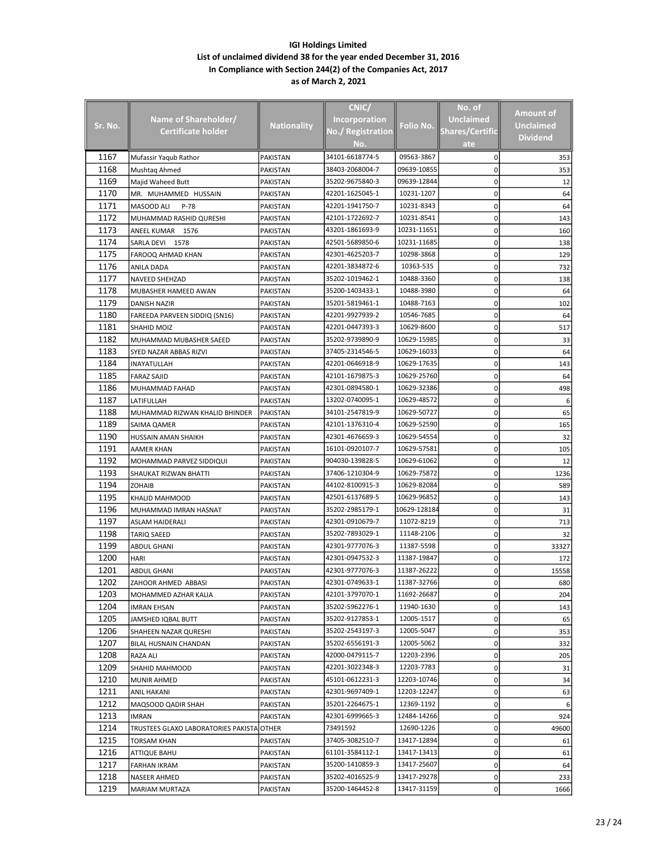|         |                                           |                    | CNIC/                |              | No. of                 |                 |
|---------|-------------------------------------------|--------------------|----------------------|--------------|------------------------|-----------------|
|         | Name of Shareholder/                      |                    | <b>Incorporation</b> |              | <b>Unclaimed</b>       | Amount of       |
| Sr. No. | Certificate holder                        | <b>Nationality</b> | No./ Registration    | Folio No.    | <b>Shares/Certific</b> | Unclaimed       |
|         |                                           |                    | No.                  |              | ate                    | <b>Dividend</b> |
| 1167    | Mufassir Yaqub Rathor                     | PAKISTAN           | 34101-6618774-5      | 09563-3867   | 0                      | 353             |
| 1168    | Mushtag Ahmed                             | PAKISTAN           | 38403-2068004-7      | 09639-10855  | 0                      | 353             |
| 1169    | Majid Waheed Butt                         | PAKISTAN           | 35202-9675840-3      | 09639-12844  | 0                      | 12              |
| 1170    | MR. MUHAMMED HUSSAIN                      | PAKISTAN           | 42201-1625045-1      | 10231-1207   | 0                      | 64              |
| 1171    | MASOOD ALI<br>$P-78$                      | PAKISTAN           | 42201-1941750-7      | 10231-8343   | 0                      | 64              |
| 1172    | MUHAMMAD RASHID QURESHI                   | <b>PAKISTAN</b>    | 42101-1722692-7      | 10231-8541   | 0                      | 143             |
| 1173    | ANEEL KUMAR 1576                          | PAKISTAN           | 43201-1861693-9      | 10231-11651  | 0                      | 160             |
| 1174    | SARLA DEVI 1578                           | PAKISTAN           | 42501-5689850-6      | 10231-11685  | 0                      | 138             |
| 1175    | FAROOQ AHMAD KHAN                         | PAKISTAN           | 42301-4625203-7      | 10298-3868   | 0                      | 129             |
| 1176    | ANILA DADA                                | PAKISTAN           | 42201-3834872-6      | 10363-535    | 0                      | 732             |
| 1177    | NAVEED SHEHZAD                            | PAKISTAN           | 35202-1019462-1      | 10488-3360   | 0                      | 138             |
| 1178    | MUBASHER HAMEED AWAN                      | PAKISTAN           | 35200-1403433-1      | 10488-3980   | 0                      | 64              |
| 1179    | DANISH NAZIR                              | PAKISTAN           | 35201-5819461-1      | 10488-7163   | 0                      | 102             |
| 1180    | FAREEDA PARVEEN SIDDIQ (SN16)             | <b>PAKISTAN</b>    | 42201-9927939-2      | 10546-7685   | 0                      | 64              |
| 1181    | SHAHID MOIZ                               | PAKISTAN           | 42201-0447393-3      | 10629-8600   | 0                      | 517             |
| 1182    | MUHAMMAD MUBASHER SAEED                   | PAKISTAN           | 35202-9739890-9      | 10629-15985  | 0                      | 33              |
| 1183    | SYED NAZAR ABBAS RIZVI                    | PAKISTAN           | 37405-2314546-5      | 10629-16033  | 0                      | 64              |
| 1184    | INAYATULLAH                               | PAKISTAN           | 42201-0646918-9      | 10629-17635  | 0                      | 143             |
| 1185    | <b>FARAZ SAJID</b>                        | PAKISTAN           | 42101-1679875-3      | 10629-25760  | 0                      | 64              |
| 1186    | MUHAMMAD FAHAD                            | PAKISTAN           | 42301-0894580-1      | 10629-32386  | 0                      | 498             |
| 1187    | LATIFULLAH                                | PAKISTAN           | 13202-0740095-1      | 10629-48572  | 0                      | 6               |
| 1188    | MUHAMMAD RIZWAN KHALID BHINDER            | PAKISTAN           | 34101-2547819-9      | 10629-50727  | 0                      | 65              |
| 1189    | SAIMA QAMER                               | PAKISTAN           | 42101-1376310-4      | 10629-52590  | 0                      | 165             |
| 1190    | HUSSAIN AMAN SHAIKH                       | PAKISTAN           | 42301-4676659-3      | 10629-54554  | 0                      | 32              |
| 1191    | AAMER KHAN                                | PAKISTAN           | 16101-0920107-7      | 10629-57581  | 0                      | 105             |
| 1192    | MOHAMMAD PARVEZ SIDDIQUI                  | PAKISTAN           | 904030-139828-5      | 10629-61062  | 0                      | 12              |
| 1193    | SHAUKAT RIZWAN BHATTI                     | PAKISTAN           | 37406-1210304-9      | 10629-75872  | 0                      | 1236            |
| 1194    | ZOHAIB                                    | PAKISTAN           | 44102-8100915-3      | 10629-82084  | 0                      | 589             |
| 1195    | KHALID MAHMOOD                            | PAKISTAN           | 42501-6137689-5      | 10629-96852  | 0                      | 143             |
| 1196    | MUHAMMAD IMRAN HASNAT                     | PAKISTAN           | 35202-2985179-1      | 10629-128184 | 0                      | 31              |
| 1197    | ASLAM HAIDERALI                           | PAKISTAN           | 42301-0910679-7      | 11072-8219   | 0                      | 713             |
| 1198    | <b>TARIQ SAEED</b>                        | <b>PAKISTAN</b>    | 35202-7893029-1      | 11148-2106   | 0                      | 32              |
| 1199    | ABDUL GHANI                               | PAKISTAN           | 42301-9777076-3      | 11387-5598   | 0                      | 33327           |
| 1200    | HARI                                      | PAKISTAN           | 42301-0947532-3      | 11387-19847  | 0                      | 172             |
| 1201    | ABDUL GHANI                               | PAKISTAN           | 42301-9777076-3      | 11387-26222  | 0                      | 15558           |
| 1202    | ZAHOOR AHMED ABBASI                       | PAKISTAN           | 42301-0749633-1      | 11387-32766  | 0                      | 680             |
| 1203    | MOHAMMED AZHAR KALIA                      | PAKISTAN           | 42101-3797070-1      | 11692-26687  | 0                      | 204             |
| 1204    | IMRAN EHSAN                               | PAKISTAN           | 35202-5962276-1      | 11940-1630   | 0                      | 143             |
| 1205    | JAMSHED IQBAL BUTT                        | PAKISTAN           | 35202-9127853-1      | 12005-1517   | 0                      | 65              |
| 1206    | SHAHEEN NAZAR QURESHI                     | PAKISTAN           | 35202-2543197-3      | 12005-5047   | 0                      | 353             |
| 1207    | BILAL HUSNAIN CHANDAN                     | PAKISTAN           | 35202-6556191-3      | 12005-5062   | 0                      | 332             |
| 1208    | RAZA ALI                                  | PAKISTAN           | 42000-0479115-7      | 12203-2396   | 0                      | 205             |
| 1209    | SHAHID MAHMOOD                            | PAKISTAN           | 42201-3022348-3      | 12203-7783   | 0                      | 31              |
| 1210    | MUNIR AHMED                               | PAKISTAN           | 45101-0612231-3      | 12203-10746  | 0                      | 34              |
| 1211    | <b>ANIL HAKANI</b>                        | PAKISTAN           | 42301-9697409-1      | 12203-12247  | 0                      | 63              |
| 1212    | MAQSOOD QADIR SHAH                        | PAKISTAN           | 35201-2264675-1      | 12369-1192   | 0                      |                 |
| 1213    | IMRAN                                     | PAKISTAN           | 42301-6999665-3      | 12484-14266  | 0                      | 924             |
| 1214    | TRUSTEES GLAXO LABORATORIES PAKISTA OTHER |                    | 73491592             | 12690-1226   | 0                      | 49600           |
| 1215    | TORSAM KHAN                               | PAKISTAN           | 37405-3082510-7      | 13417-12894  | 0                      | 61              |
| 1216    | ATTIQUE BAHU                              | PAKISTAN           | 61101-3584112-1      | 13417-13413  | 0                      | 61              |
| 1217    | <b>FARHAN IKRAM</b>                       | PAKISTAN           | 35200-1410859-3      | 13417-25607  | 0                      | 64              |
| 1218    | NASEER AHMED                              | PAKISTAN           | 35202-4016525-9      | 13417-29278  | 0                      | 233             |
| 1219    | MARIAM MURTAZA                            | PAKISTAN           | 35200-1464452-8      | 13417-31159  | 0                      | 1666            |